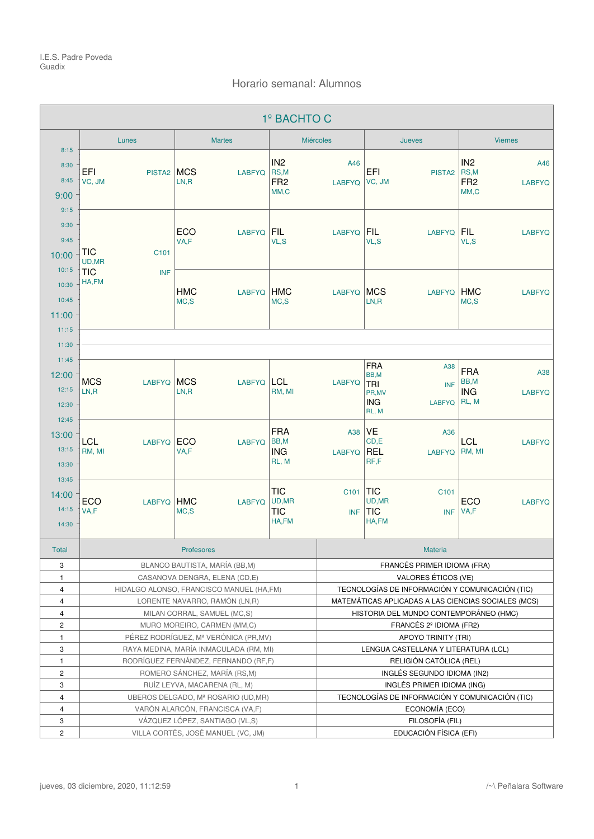|                                  |                      |                                          |                                                              |               | 1º BACHTO C                                         |                                                           |                                                           |                                                                                                        |                                                      |                      |  |
|----------------------------------|----------------------|------------------------------------------|--------------------------------------------------------------|---------------|-----------------------------------------------------|-----------------------------------------------------------|-----------------------------------------------------------|--------------------------------------------------------------------------------------------------------|------------------------------------------------------|----------------------|--|
|                                  |                      | Lunes                                    | <b>Martes</b>                                                |               |                                                     | <b>Miércoles</b>                                          |                                                           | Jueves                                                                                                 |                                                      | <b>Viernes</b>       |  |
| 8:15<br>8:30<br>8:45<br>9:00     | <b>EFI</b><br>VC, JM | PISTA <sub>2</sub>                       | <b>MCS</b><br>LN, R                                          | <b>LABFYQ</b> | IN <sub>2</sub><br>RS,M<br>FR <sub>2</sub><br>MM, C | A46<br><b>LABFYQ</b>                                      | <b>EFI</b><br>VC, JM                                      | PISTA <sub>2</sub>                                                                                     | IN <sub>2</sub><br> RS,M<br>FR <sub>2</sub><br>MM, C | A46<br><b>LABFYQ</b> |  |
| 9:15<br>9:30<br>9:45<br>10:00    | <b>TIC</b><br>UD, MR | C <sub>101</sub>                         | <b>ECO</b><br>VA,F                                           | <b>LABFYQ</b> | <b>FIL</b><br>VL,S                                  | <b>LABFYQ</b>                                             | FIL.<br>VL,S                                              | <b>LABFYQ</b>                                                                                          | FIL<br>VL,S                                          | <b>LABFYQ</b>        |  |
| 10:15<br>10:30<br>10:45<br>11:00 | <b>TIC</b><br>HA,FM  | <b>INF</b>                               | <b>HMC</b><br>MC, S                                          | <b>LABFYQ</b> | <b>HMC</b><br>MC, S                                 | <b>LABFYQ</b>                                             | <b>MCS</b><br>LN, R                                       | <b>LABFYQ</b>                                                                                          | <b>HMC</b><br>MC,S                                   | <b>LABFYQ</b>        |  |
| 11:15<br>11:30                   |                      |                                          |                                                              |               |                                                     |                                                           |                                                           |                                                                                                        |                                                      |                      |  |
| 11:45                            |                      |                                          |                                                              |               |                                                     |                                                           |                                                           |                                                                                                        |                                                      |                      |  |
| 12:00<br>12:15<br>12:30<br>12:45 | <b>MCS</b><br>LN, R  | <b>LABFYQ</b>                            | <b>MCS</b><br>LN, R                                          | <b>LABFYQ</b> | <b>LCL</b><br>RM, MI                                | <b>LABFYQ</b>                                             | <b>FRA</b><br>BB,M<br><b>TRI</b><br>PR,MV<br>ING<br>RL, M | A38<br><b>INF</b><br><b>LABFYQ</b>                                                                     | <b>FRA</b><br>BB,M<br><b>ING</b><br>RL, M            | A38<br><b>LABFYQ</b> |  |
| 13:00<br>13:15<br>13:30          | <b>LCL</b><br>RM, MI | <b>LABFYQ</b>                            | ECO<br>VA,F                                                  | <b>LABFYQ</b> | <b>FRA</b><br>BB,M<br><b>ING</b><br>RL, M           | A38<br><b>LABFYQ</b>                                      | VE<br>CD,E<br><b>REL</b><br>RF,F                          | A36<br><b>LABFYQ</b>                                                                                   | <b>LCL</b><br>RM, MI                                 | <b>LABFYQ</b>        |  |
| 13:45<br>14:00<br>14:15<br>14:30 | <b>ECO</b><br>VA,F   | <b>LABFYQ</b>                            | <b>HMC</b><br>MC,S                                           | <b>LABFYQ</b> | <b>TIC</b><br>UD, MR<br><b>TIC</b><br>HA,FM         | C <sub>101</sub><br><b>INF</b>                            | <b>TIC</b><br>UD, MR<br><b>TIC</b><br>HA,FM               | C <sub>101</sub><br><b>INF</b>                                                                         | <b>ECO</b><br>VA,F                                   | <b>LABFYQ</b>        |  |
| Total                            |                      |                                          | Profesores                                                   |               |                                                     |                                                           |                                                           | Materia                                                                                                |                                                      |                      |  |
| 3                                |                      |                                          | BLANCO BAUTISTA, MARÍA (BB,M)                                |               |                                                     |                                                           |                                                           | FRANCÉS PRIMER IDIOMA (FRA)                                                                            |                                                      |                      |  |
| $\mathbf{1}$                     |                      |                                          | CASANOVA DENGRA, ELENA (CD,E)                                |               |                                                     |                                                           |                                                           | VALORES ÉTICOS (VE)                                                                                    |                                                      |                      |  |
| 4<br>$\overline{4}$              |                      | HIDALGO ALONSO, FRANCISCO MANUEL (HA,FM) | LORENTE NAVARRO, RAMÓN (LN,R)                                |               |                                                     |                                                           |                                                           | TECNOLOGÍAS DE INFORMACIÓN Y COMUNICACIÓN (TIC)<br>MATEMÁTICAS APLICADAS A LAS CIENCIAS SOCIALES (MCS) |                                                      |                      |  |
| $\overline{4}$                   |                      |                                          | MILAN CORRAL, SAMUEL (MC,S)                                  |               |                                                     |                                                           |                                                           | HISTORIA DEL MUNDO CONTEMPORÁNEO (HMC)                                                                 |                                                      |                      |  |
| $\overline{c}$                   |                      |                                          | MURO MOREIRO, CARMEN (MM,C)                                  |               |                                                     |                                                           |                                                           | FRANCÉS 2º IDIOMA (FR2)                                                                                |                                                      |                      |  |
| $\mathbf{1}$                     |                      | PÉREZ RODRÍGUEZ, Mª VERÓNICA (PR, MV)    |                                                              |               |                                                     |                                                           |                                                           | <b>APOYO TRINITY (TRI)</b>                                                                             |                                                      |                      |  |
| 3                                |                      | RAYA MEDINA, MARÍA INMACULADA (RM, MI)   |                                                              |               |                                                     |                                                           |                                                           | LENGUA CASTELLANA Y LITERATURA (LCL)                                                                   |                                                      |                      |  |
| $\mathbf{1}$                     |                      | RODRÍGUEZ FERNÁNDEZ, FERNANDO (RF,F)     |                                                              |               |                                                     |                                                           |                                                           | RELIGIÓN CATÓLICA (REL)                                                                                |                                                      |                      |  |
| $\overline{c}$<br>3              |                      |                                          | ROMERO SÁNCHEZ, MARÍA (RS,M)<br>RUÍZ LEYVA, MACARENA (RL, M) |               |                                                     | INGLÉS SEGUNDO IDIOMA (IN2)<br>INGLÉS PRIMER IDIOMA (ING) |                                                           |                                                                                                        |                                                      |                      |  |
| $\overline{4}$                   |                      | UBEROS DELGADO, Mª ROSARIO (UD, MR)      |                                                              |               |                                                     | TECNOLOGÍAS DE INFORMACIÓN Y COMUNICACIÓN (TIC)           |                                                           |                                                                                                        |                                                      |                      |  |
| $\overline{4}$                   |                      |                                          | VARÓN ALARCÓN, FRANCISCA (VA,F)                              |               |                                                     | ECONOMÍA (ECO)                                            |                                                           |                                                                                                        |                                                      |                      |  |
| 3                                |                      |                                          | VÁZQUEZ LÓPEZ, SANTIAGO (VL,S)                               |               |                                                     |                                                           |                                                           | FILOSOFÍA (FIL)                                                                                        |                                                      |                      |  |
| $\overline{c}$                   |                      |                                          | VILLA CORTÉS, JOSÉ MANUEL (VC, JM)                           |               |                                                     |                                                           | EDUCACIÓN FÍSICA (EFI)                                    |                                                                                                        |                                                      |                      |  |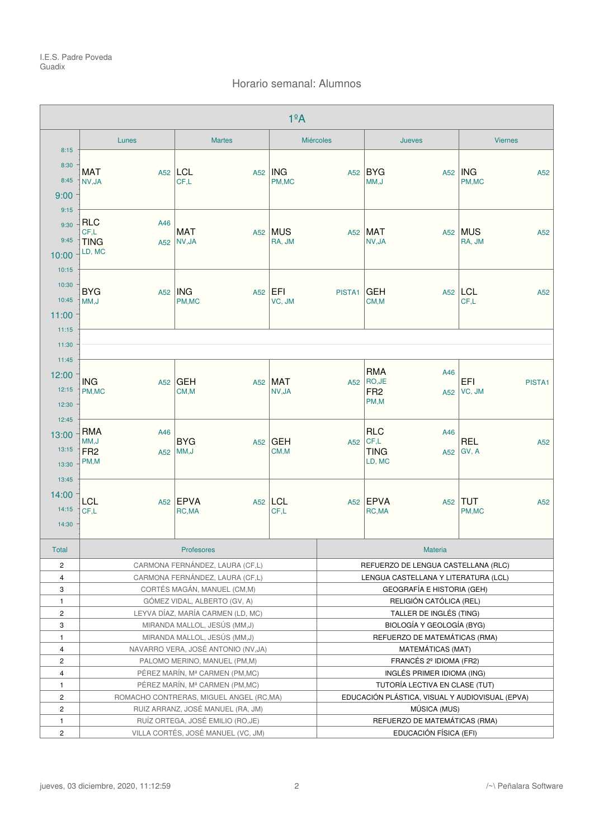|                                           |                                                              |                                                                            | $1^{\circ}A$         |                                                                                   |                                                 |                                                       |                      |                |
|-------------------------------------------|--------------------------------------------------------------|----------------------------------------------------------------------------|----------------------|-----------------------------------------------------------------------------------|-------------------------------------------------|-------------------------------------------------------|----------------------|----------------|
|                                           | Lunes                                                        | <b>Martes</b>                                                              |                      | <b>Miércoles</b>                                                                  |                                                 | <b>Jueves</b>                                         |                      | <b>Viernes</b> |
| 8:15<br>8:30<br>8:45<br>9:00              | <b>MAT</b><br>A52<br>NV, JA                                  | LCL<br>A52<br>CF,L                                                         | <b>ING</b><br>PM, MC |                                                                                   | A52 $BYG$<br>MM,J                               | A52                                                   | ING<br>PM, MC        | A52            |
| 9:15<br>9:30<br>9:45<br>10:00             | <b>RLC</b><br>A46<br>CF, L<br><b>TING</b><br>A52<br>LD, MC   | <b>MAT</b><br>A52<br>NV, JA                                                | MUS<br>RA, JM        |                                                                                   | $A52$ MAT<br>NV, JA                             | A52                                                   | <b>MUS</b><br>RA, JM | A52            |
| 10:15<br>10:30<br>10:45<br>11:00<br>11:15 | <b>BYG</b><br>A52<br>MM, J                                   | <b>ING</b><br>A52<br>PM, MC                                                | <b>EFI</b><br>VC, JM | PISTA1                                                                            | <b>GEH</b><br>CM,M                              | A52                                                   | LCL<br>CF,L          | A52            |
| 11:30                                     |                                                              |                                                                            |                      |                                                                                   |                                                 |                                                       |                      |                |
| 11:45<br>12:00<br>12:15<br>12:30          | <b>ING</b><br>A52<br>PM, MC                                  | <b>GEH</b><br>CM, M                                                        | $A52$ MAT<br>NV, JA  | A52                                                                               | <b>RMA</b><br>RO, JE<br>FR <sub>2</sub><br>PM,M | A46<br>A52                                            | <b>EFI</b><br>VC, JM | PISTA1         |
| 12:45<br>13:00<br>13:15<br>13:30          | <b>RMA</b><br>A46<br>MM, J<br>FR <sub>2</sub><br>A52<br>PM,M | <b>BYG</b><br>A52<br>MM, J                                                 | <b>GEH</b><br>CM, M  | A52                                                                               | <b>RLC</b><br>CF, L<br><b>TING</b><br>LD, MC    | A46<br>A52                                            | <b>REL</b><br>GV, A  | A52            |
| 13:45<br>14:00<br>14:15<br>14:30          | <b>LCL</b><br>A52<br>CF,L                                    | <b>EPVA</b><br>RC, MA                                                      | $A52$ LCL<br>CF,L    |                                                                                   | A52 EPVA<br>RC, MA                              |                                                       | A52 TUT<br>PM, MC    | A52            |
| Total                                     |                                                              | Profesores                                                                 |                      |                                                                                   |                                                 | <b>Materia</b>                                        |                      |                |
| $\overline{\mathbf{c}}$                   |                                                              | CARMONA FERNÁNDEZ, LAURA (CF,L)                                            |                      |                                                                                   |                                                 | REFUERZO DE LENGUA CASTELLANA (RLC)                   |                      |                |
| $\overline{\mathbf{4}}$                   |                                                              | CARMONA FERNÁNDEZ, LAURA (CF,L)                                            |                      |                                                                                   |                                                 | LENGUA CASTELLANA Y LITERATURA (LCL)                  |                      |                |
| 3<br>$\mathbf{1}$                         |                                                              | CORTÉS MAGÁN, MANUEL (CM,M)<br>GÓMEZ VIDAL, ALBERTO (GV, A)                |                      |                                                                                   |                                                 | GEOGRAFÍA E HISTORIA (GEH)<br>RELIGIÓN CATÓLICA (REL) |                      |                |
| $\mathsf 2$                               |                                                              | LEYVA DÍAZ, MARÍA CARMEN (LD, MC)                                          |                      |                                                                                   |                                                 | TALLER DE INGLÉS (TING)                               |                      |                |
| 3                                         |                                                              | MIRANDA MALLOL, JESÚS (MM,J)                                               |                      |                                                                                   |                                                 | BIOLOGÍA Y GEOLOGÍA (BYG)                             |                      |                |
| $\mathbf{1}$                              |                                                              | MIRANDA MALLOL, JESÚS (MM,J)                                               |                      |                                                                                   |                                                 | REFUERZO DE MATEMÁTICAS (RMA)                         |                      |                |
| $\overline{4}$                            |                                                              | NAVARRO VERA, JOSÉ ANTONIO (NV, JA)                                        |                      |                                                                                   |                                                 | MATEMÁTICAS (MAT)                                     |                      |                |
| $\mathsf 2$                               |                                                              | PALOMO MERINO, MANUEL (PM,M)                                               |                      |                                                                                   |                                                 | FRANCÉS 2º IDIOMA (FR2)                               |                      |                |
| $\overline{\mathbf{4}}$                   |                                                              | PÉREZ MARÍN, Mª CARMEN (PM, MC)                                            |                      | INGLÉS PRIMER IDIOMA (ING)                                                        |                                                 |                                                       |                      |                |
| $\mathbf{1}$<br>$\mathsf 2$               |                                                              | PÉREZ MARÍN, Mª CARMEN (PM, MC)<br>ROMACHO CONTRERAS, MIGUEL ANGEL (RC,MA) |                      | TUTORÍA LECTIVA EN CLASE (TUT)<br>EDUCACIÓN PLÁSTICA, VISUAL Y AUDIOVISUAL (EPVA) |                                                 |                                                       |                      |                |
| $\mathsf 2$                               |                                                              | RUIZ ARRANZ, JOSÉ MANUEL (RA, JM)                                          |                      | MÚSICA (MUS)                                                                      |                                                 |                                                       |                      |                |
| $\mathbf{1}$                              |                                                              | RUÍZ ORTEGA, JOSÉ EMILIO (RO, JE)                                          |                      | REFUERZO DE MATEMÁTICAS (RMA)                                                     |                                                 |                                                       |                      |                |
| $\sqrt{2}$                                |                                                              | VILLA CORTÉS, JOSÉ MANUEL (VC, JM)                                         |                      |                                                                                   |                                                 | EDUCACIÓN FÍSICA (EFI)                                |                      |                |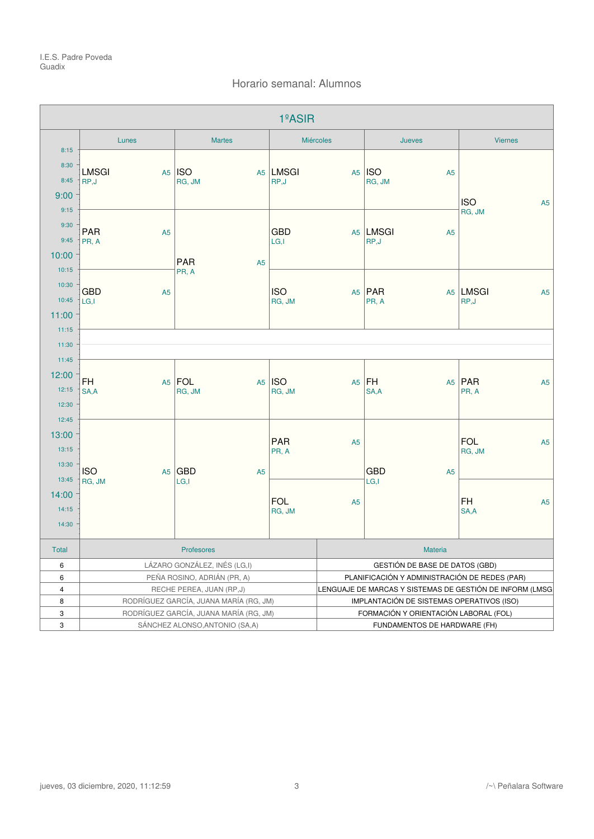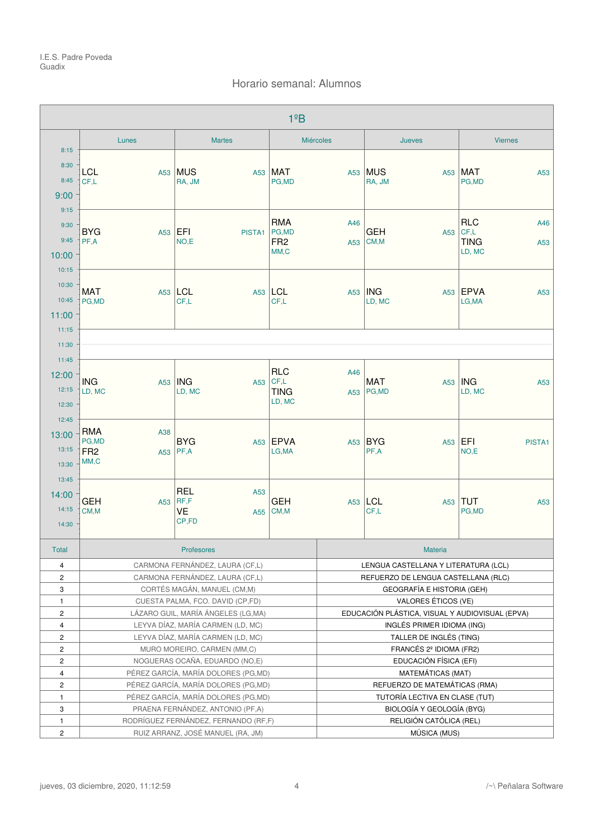|                                           |                                                                                                            | Lunes      | <b>Martes</b>                                                   |                        |                                                | <b>Miércoles</b>               |                     | Jueves                                            |                                                        | <b>Viernes</b> |  |
|-------------------------------------------|------------------------------------------------------------------------------------------------------------|------------|-----------------------------------------------------------------|------------------------|------------------------------------------------|--------------------------------|---------------------|---------------------------------------------------|--------------------------------------------------------|----------------|--|
| 8:15<br>8:30<br>8:45<br>9:00              | <b>LCL</b><br>CF,L                                                                                         | A53        | <b>MUS</b><br>RA, JM                                            | A53                    | MAT<br>PG,MD                                   | A53                            | MUS<br>RA, JM       | A53                                               | MAT<br>PG,MD                                           | A53            |  |
| 9:15<br>9:30<br>9:45<br>10:00             | <b>BYG</b><br>PF,A                                                                                         | A53        | EFI<br>NO, E                                                    | PISTA1                 | <b>RMA</b><br>PG,MD<br>FR <sub>2</sub><br>MM,C | A46<br>A53                     | <b>GEH</b><br>CM,M  | A53                                               | <b>RLC</b><br>CF <sub>1</sub><br><b>TING</b><br>LD, MC | A46<br>A53     |  |
| 10:15<br>10:30<br>10:45<br>11:00<br>11:15 | <b>MAT</b><br>PG,MD                                                                                        | A53        | LCL<br>CF,L                                                     |                        | $A53$ LCL<br>CF,L                              | A53                            | ING<br>LD, MC       | A53                                               | EPVA<br>LG, MA                                         | A53            |  |
| 11:30<br>11:45                            |                                                                                                            |            |                                                                 |                        |                                                |                                |                     |                                                   |                                                        |                |  |
| 12:00<br>12:15<br>12:30                   | <b>RLC</b><br><b>ING</b><br><b>ING</b><br>CF, L<br>A53<br>A53<br>LD, MC<br>LD, MC<br><b>TING</b><br>LD, MC |            |                                                                 |                        |                                                | A46<br>A53                     | <b>MAT</b><br>PG,MD | A53                                               | <b>ING</b><br>LD, MC                                   | A53            |  |
| 12:45<br>13:00<br>13:15<br>13:30          | <b>RMA</b><br>PG,MD<br>FR <sub>2</sub><br>MM, C                                                            | A38<br>A53 | <b>BYG</b><br>PF,A                                              | A53                    | <b>EPVA</b><br>LG, MA                          |                                | $A53$ BYG<br>PF,A   | A53                                               | <b>EFI</b><br>NO,E                                     | PISTA1         |  |
| 13:45<br>14:00<br>14:15<br>14:30          | <b>GEH</b><br>CM,M                                                                                         | A53        | <b>REL</b><br>RF,F<br><b>VE</b><br>CP,FD                        | A <sub>53</sub><br>A55 | <b>GEH</b><br>CM, M                            |                                | $A53$ LCL<br>CF,L   | A53                                               | <b>TUT</b><br>PG,MD                                    | A53            |  |
| Total                                     |                                                                                                            |            | Profesores                                                      |                        |                                                |                                |                     | Materia                                           |                                                        |                |  |
| 4                                         |                                                                                                            |            | CARMONA FERNÁNDEZ, LAURA (CF,L)                                 |                        |                                                |                                |                     | LENGUA CASTELLANA Y LITERATURA (LCL)              |                                                        |                |  |
| $\overline{\mathbf{c}}$                   |                                                                                                            |            | CARMONA FERNÁNDEZ, LAURA (CF,L)                                 |                        |                                                |                                |                     | REFUERZO DE LENGUA CASTELLANA (RLC)               |                                                        |                |  |
| 3<br>$\mathbf{1}$                         |                                                                                                            |            | CORTÉS MAGÁN, MANUEL (CM,M)<br>CUESTA PALMA, FCO. DAVID (CP,FD) |                        |                                                |                                |                     | GEOGRAFÍA E HISTORIA (GEH)<br>VALORES ÉTICOS (VE) |                                                        |                |  |
| $\overline{\mathbf{c}}$                   |                                                                                                            |            | LÁZARO GUIL, MARÍA ÁNGELES (LG, MA)                             |                        |                                                |                                |                     | EDUCACIÓN PLÁSTICA, VISUAL Y AUDIOVISUAL (EPVA)   |                                                        |                |  |
| $\overline{4}$                            |                                                                                                            |            | LEYVA DÍAZ, MARÍA CARMEN (LD, MC)                               |                        |                                                |                                |                     | INGLÉS PRIMER IDIOMA (ING)                        |                                                        |                |  |
| $\overline{c}$                            |                                                                                                            |            | LEYVA DÍAZ, MARÍA CARMEN (LD, MC)                               |                        |                                                |                                |                     | TALLER DE INGLÉS (TING)                           |                                                        |                |  |
| $\overline{c}$                            |                                                                                                            |            | MURO MOREIRO, CARMEN (MM,C)<br>NOGUERAS OCAÑA, EDUARDO (NO,E)   |                        |                                                |                                |                     | FRANCÉS 2º IDIOMA (FR2)<br>EDUCACIÓN FÍSICA (EFI) |                                                        |                |  |
| $\mathsf 2$<br>$\overline{4}$             |                                                                                                            |            | PÉREZ GARCÍA, MARÍA DOLORES (PG,MD)                             |                        |                                                |                                |                     | MATEMÁTICAS (MAT)                                 |                                                        |                |  |
| $\mathsf 2$                               |                                                                                                            |            | PÉREZ GARCÍA, MARÍA DOLORES (PG,MD)                             |                        |                                                | REFUERZO DE MATEMÁTICAS (RMA)  |                     |                                                   |                                                        |                |  |
| $\mathbf{1}$                              |                                                                                                            |            | PÉREZ GARCÍA, MARÍA DOLORES (PG,MD)                             |                        |                                                | TUTORÍA LECTIVA EN CLASE (TUT) |                     |                                                   |                                                        |                |  |
| 3                                         |                                                                                                            |            | PRAENA FERNÁNDEZ, ANTONIO (PF,A)                                |                        |                                                | BIOLOGÍA Y GEOLOGÍA (BYG)      |                     |                                                   |                                                        |                |  |
| $\mathbf{1}$                              |                                                                                                            |            | RODRÍGUEZ FERNÁNDEZ, FERNANDO (RF,F)                            |                        |                                                |                                |                     | RELIGIÓN CATÓLICA (REL)                           |                                                        |                |  |
| $\sqrt{2}$                                |                                                                                                            |            | RUIZ ARRANZ, JOSÉ MANUEL (RA, JM)                               |                        |                                                |                                | MÚSICA (MUS)        |                                                   |                                                        |                |  |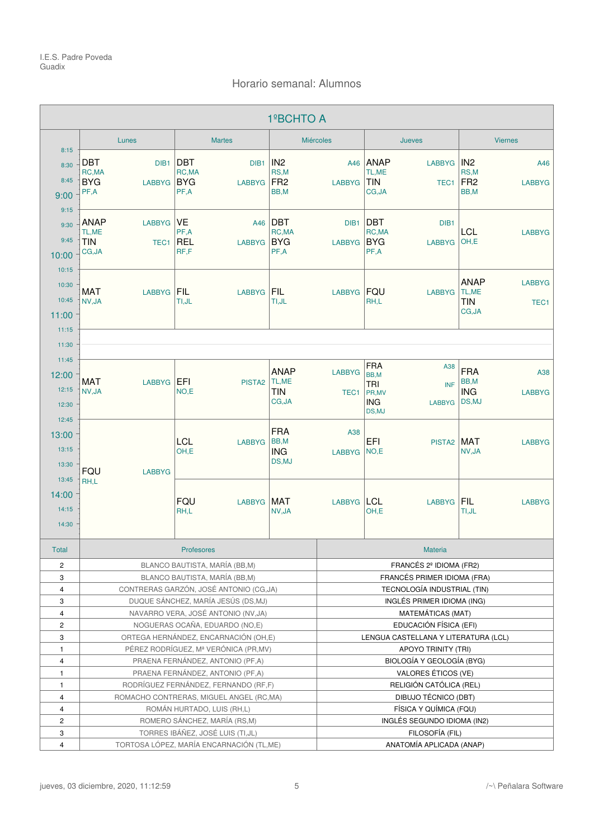|                                           |                                              |                                          |                                            |                                                                       | 1ºBCHTO A                                          |                                                       |                                              |                                                        |                                                    |                       |
|-------------------------------------------|----------------------------------------------|------------------------------------------|--------------------------------------------|-----------------------------------------------------------------------|----------------------------------------------------|-------------------------------------------------------|----------------------------------------------|--------------------------------------------------------|----------------------------------------------------|-----------------------|
| 8:15                                      |                                              | Lunes                                    |                                            | <b>Martes</b>                                                         |                                                    | <b>Miércoles</b>                                      |                                              | <b>Jueves</b>                                          |                                                    | <b>Viernes</b>        |
| 8:30<br>8:45                              | <b>DBT</b><br>RC, MA<br><b>BYG</b><br>PF,A   | DIB <sub>1</sub><br><b>LABBYG</b>        | <b>DBT</b><br>RC, MA<br><b>BYG</b><br>PF,A | DIB <sub>1</sub><br><b>LABBYG</b>                                     | IN <sub>2</sub><br>RS,M<br>FR <sub>2</sub><br>BB,M | A46<br><b>LABBYG</b>                                  | <b>ANAP</b><br>TL,ME<br><b>TIN</b><br>CG, JA | <b>LABBYG</b><br>TEC <sub>1</sub>                      | IN <sub>2</sub><br>RS,M<br>FR <sub>2</sub><br>BB,M | A46<br><b>LABBYG</b>  |
| 9:00<br>9:15<br>9:30<br>9:45              | <b>ANAP</b><br>TL,ME<br><b>TIN</b><br>CG, JA | <b>LABBYG</b><br>TEC <sub>1</sub>        | <b>VE</b><br>PF,A<br>REL<br>RF,F           | A46<br><b>LABBYG</b>                                                  | <b>DBT</b><br>RC, MA<br><b>BYG</b><br>PF,A         | DIB <sub>1</sub><br>LABBYG                            | <b>DBT</b><br>RC, MA<br><b>BYG</b><br>PF,A   | DIB <sub>1</sub><br><b>LABBYG</b>                      | <b>LCL</b><br>OH,E                                 | <b>LABBYG</b>         |
| 10:00<br>10:15<br>10:30<br>10:45<br>11:00 | <b>MAT</b><br>NV, JA                         | <b>LABBYG</b>                            | FIL<br>TI, JL                              | <b>LABBYG</b>                                                         | FIL<br>TI, JL                                      | <b>LABBYG</b>                                         | <b>FQU</b><br>RH,L                           | <b>LABBYG</b>                                          | <b>ANAP</b><br>TL,ME<br><b>TIN</b><br>CG, JA       | <b>LABBYG</b><br>TEC1 |
| 11:15<br>11:30<br>11:45                   |                                              |                                          |                                            |                                                                       |                                                    |                                                       | <b>FRA</b>                                   | A38                                                    |                                                    |                       |
| 12:00<br>12:15<br>12:30                   | <b>MAT</b><br>NV, JA                         | <b>LABBYG</b>                            | EFI<br>NO.E                                | PISTA <sub>2</sub>                                                    | <b>ANAP</b><br>TL, ME<br><b>TIN</b><br>CG, JA      | <b>LABBYG</b><br>TEC1                                 | BB,M<br><b>TRI</b><br>PR, MV<br>ING<br>DS,MJ | <b>INF</b><br><b>LABBYG</b>                            | <b>FRA</b><br>BB,M<br><b>ING</b><br>DS,MJ          | A38<br><b>LABBYG</b>  |
| 12:45<br>13:00<br>13:15<br>13:30<br>13:45 | <b>FQU</b><br>RH,L                           | <b>LABBYG</b>                            | <b>LCL</b><br>OH,E                         | <b>LABBYG</b>                                                         | <b>FRA</b><br>BB,M<br><b>ING</b><br>DS,MJ          | A38<br><b>LABBYG</b>                                  | EFI<br>NO, E                                 | PISTA <sub>2</sub>                                     | <b>MAT</b><br>NV, JA                               | <b>LABBYG</b>         |
| 14:00<br>14:15<br>14:30                   |                                              |                                          | <b>FQU</b><br>RH,L                         | <b>LABBYG</b>                                                         | <b>MAT</b><br>NV, JA                               | LABBYG LCL                                            | OH,E                                         | <b>LABBYG</b>                                          | FIL<br>TI, JL                                      | <b>LABBYG</b>         |
| Total                                     |                                              |                                          | Profesores                                 |                                                                       |                                                    |                                                       |                                              | Materia                                                |                                                    |                       |
| $\overline{c}$                            |                                              |                                          |                                            | BLANCO BAUTISTA, MARÍA (BB,M)                                         |                                                    |                                                       |                                              | FRANCÉS 2º IDIOMA (FR2)                                |                                                    |                       |
| 3                                         |                                              |                                          |                                            | BLANCO BAUTISTA, MARÍA (BB,M)                                         |                                                    |                                                       |                                              | FRANCÉS PRIMER IDIOMA (FRA)                            |                                                    |                       |
| $\overline{4}$                            |                                              | CONTRERAS GARZÓN, JOSÉ ANTONIO (CG,JA)   |                                            |                                                                       |                                                    |                                                       |                                              | TECNOLOGÍA INDUSTRIAL (TIN)                            |                                                    |                       |
| 3                                         |                                              |                                          |                                            | DUQUE SÁNCHEZ, MARÍA JESÚS (DS,MJ)                                    |                                                    |                                                       |                                              | INGLÉS PRIMER IDIOMA (ING)<br><b>MATEMÁTICAS (MAT)</b> |                                                    |                       |
| $\overline{4}$<br>$\overline{c}$          |                                              |                                          |                                            | NAVARRO VERA, JOSÉ ANTONIO (NV, JA)<br>NOGUERAS OCAÑA, EDUARDO (NO,E) |                                                    |                                                       |                                              | EDUCACIÓN FÍSICA (EFI)                                 |                                                    |                       |
| 3                                         |                                              |                                          |                                            | ORTEGA HERNÁNDEZ, ENCARNACIÓN (OH,E)                                  |                                                    |                                                       |                                              | LENGUA CASTELLANA Y LITERATURA (LCL)                   |                                                    |                       |
| $\mathbf{1}$                              |                                              |                                          |                                            | PÉREZ RODRÍGUEZ, Mª VERÓNICA (PR, MV)                                 |                                                    |                                                       |                                              | <b>APOYO TRINITY (TRI)</b>                             |                                                    |                       |
| $\overline{4}$                            |                                              |                                          |                                            | PRAENA FERNÁNDEZ, ANTONIO (PF,A)                                      |                                                    |                                                       |                                              | BIOLOGÍA Y GEOLOGÍA (BYG)                              |                                                    |                       |
| $\mathbf{1}$                              |                                              |                                          |                                            | PRAENA FERNÁNDEZ, ANTONIO (PF,A)                                      |                                                    |                                                       |                                              | <b>VALORES ÉTICOS (VE)</b>                             |                                                    |                       |
| $\mathbf{1}$                              |                                              |                                          |                                            | RODRÍGUEZ FERNÁNDEZ, FERNANDO (RF,F)                                  |                                                    |                                                       |                                              | RELIGIÓN CATÓLICA (REL)                                |                                                    |                       |
| 4                                         |                                              | ROMACHO CONTRERAS, MIGUEL ANGEL (RC,MA)  |                                            |                                                                       |                                                    | DIBUJO TÉCNICO (DBT)                                  |                                              |                                                        |                                                    |                       |
| $\overline{4}$                            |                                              |                                          | ROMÁN HURTADO, LUIS (RH,L)                 |                                                                       |                                                    | FÍSICA Y QUÍMICA (FQU)<br>INGLÉS SEGUNDO IDIOMA (IN2) |                                              |                                                        |                                                    |                       |
| $\overline{c}$<br>3                       |                                              |                                          |                                            | ROMERO SÁNCHEZ, MARÍA (RS,M)<br>TORRES IBÁÑEZ, JOSÉ LUIS (TI, JL)     |                                                    |                                                       |                                              | FILOSOFÍA (FIL)                                        |                                                    |                       |
| $\overline{4}$                            |                                              | TORTOSA LÓPEZ, MARÍA ENCARNACIÓN (TL,ME) |                                            |                                                                       |                                                    |                                                       |                                              | ANATOMÍA APLICADA (ANAP)                               |                                                    |                       |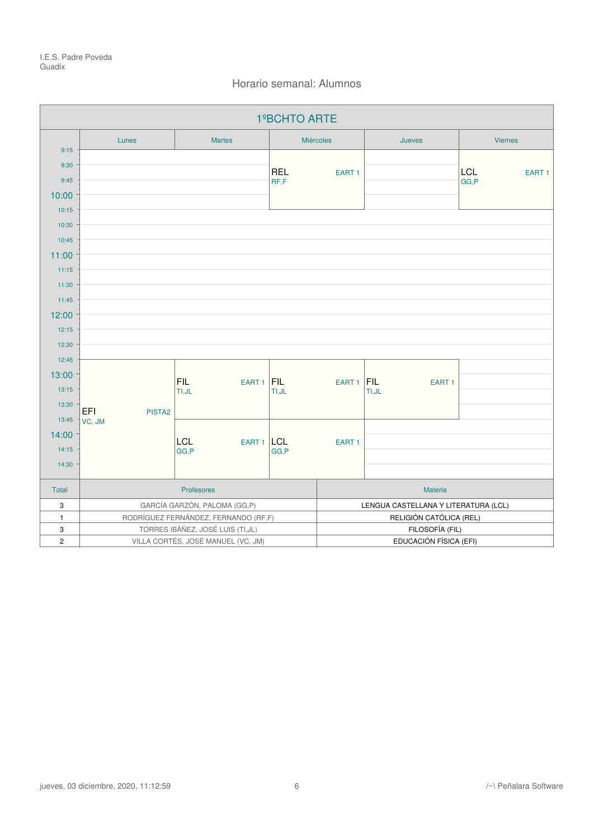|              |                         |                                      | 1ºBCHTO ARTE |                         |                                      |                                 |
|--------------|-------------------------|--------------------------------------|--------------|-------------------------|--------------------------------------|---------------------------------|
|              | Lunes                   | <b>Martes</b>                        |              | <b>Miércoles</b>        | <b>Jueves</b>                        | <b>Viernes</b>                  |
| 9:15         |                         |                                      |              |                         |                                      |                                 |
| 9:30         |                         |                                      | <b>REL</b>   | EART <sub>1</sub>       |                                      | <b>LCL</b><br>EART <sub>1</sub> |
| 9:45         |                         |                                      | RF, F        |                         |                                      | GG, P                           |
| 10:00        |                         |                                      |              |                         |                                      |                                 |
| 10:15        |                         |                                      |              |                         |                                      |                                 |
| 10:30        |                         |                                      |              |                         |                                      |                                 |
| 10:45        |                         |                                      |              |                         |                                      |                                 |
| 11:00        |                         |                                      |              |                         |                                      |                                 |
| 11:15        |                         |                                      |              |                         |                                      |                                 |
| 11:30        |                         |                                      |              |                         |                                      |                                 |
| 11:45        |                         |                                      |              |                         |                                      |                                 |
| 12:00        |                         |                                      |              |                         |                                      |                                 |
| 12:15        |                         |                                      |              |                         |                                      |                                 |
| 12:30        |                         |                                      |              |                         |                                      |                                 |
| 12:45        |                         |                                      |              |                         |                                      |                                 |
| 13:00        |                         |                                      |              |                         |                                      |                                 |
| 13:15        |                         | <b>FIL</b><br>EART 1 FIL<br>TI, JL   | TI, JL       | EART 1                  | FIL<br>EART <sub>1</sub><br>TI,JL    |                                 |
| 13:30        |                         |                                      |              |                         |                                      |                                 |
| 13:45        | EFI<br>PISTA2<br>VC, JM |                                      |              |                         |                                      |                                 |
| 14:00        |                         |                                      |              |                         |                                      |                                 |
| 14:15        |                         | EART 1   LCL<br><b>LCL</b>           |              | EART <sub>1</sub>       |                                      |                                 |
| 14:30        |                         | GG, P                                | GG, P        |                         |                                      |                                 |
|              |                         |                                      |              |                         |                                      |                                 |
| <b>Total</b> |                         | Profesores                           |              |                         | <b>Materia</b>                       |                                 |
| 3            |                         | GARCÍA GARZÓN, PALOMA (GG,P)         |              |                         | LENGUA CASTELLANA Y LITERATURA (LCL) |                                 |
| $\mathbf{1}$ |                         | RODRÍGUEZ FERNÁNDEZ, FERNANDO (RF,F) |              | RELIGIÓN CATÓLICA (REL) |                                      |                                 |
| 3            |                         | TORRES IBÁÑEZ, JOSÉ LUIS (TI, JL)    |              |                         | FILOSOFÍA (FIL)                      |                                 |
| $\mathbf 2$  |                         | VILLA CORTÉS, JOSÉ MANUEL (VC, JM)   |              |                         | EDUCACIÓN FÍSICA (EFI)               |                                 |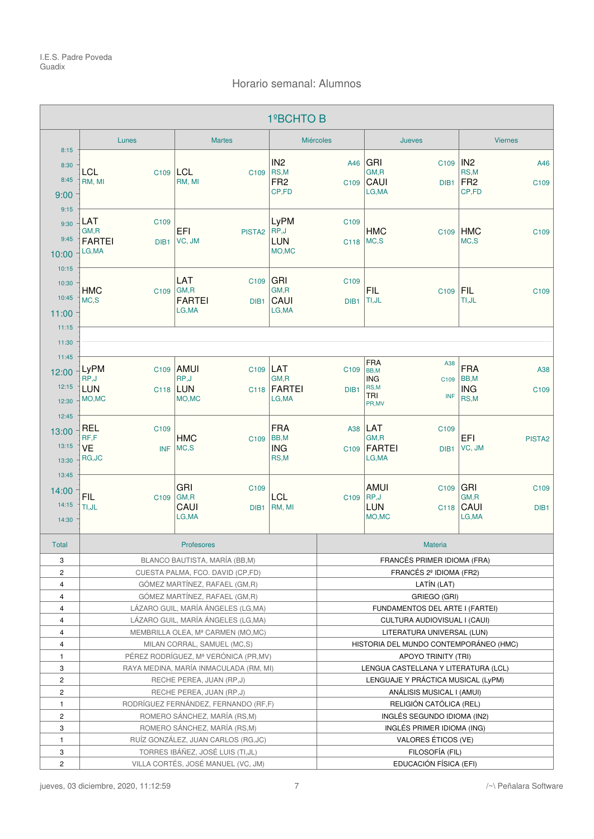|                                  | 1ºBCHTO B                                  |                                        |                                                                            |                                      |                                                     |                                      |                                                          |                                                                 |                                                     |                          |  |  |
|----------------------------------|--------------------------------------------|----------------------------------------|----------------------------------------------------------------------------|--------------------------------------|-----------------------------------------------------|--------------------------------------|----------------------------------------------------------|-----------------------------------------------------------------|-----------------------------------------------------|--------------------------|--|--|
| 8:15                             |                                            | Lunes                                  | <b>Martes</b>                                                              |                                      |                                                     | <b>Miércoles</b>                     |                                                          | <b>Jueves</b>                                                   |                                                     | <b>Viernes</b>           |  |  |
| 8:30<br>8:45<br>9:00             | <b>LCL</b><br>RM, MI                       | C <sub>109</sub>                       | <b>LCL</b><br>RM, MI                                                       | C <sub>109</sub>                     | IN <sub>2</sub><br>RS,M<br>FR <sub>2</sub><br>CP,FD | A46<br>C <sub>109</sub>              | <b>GRI</b><br>GM,R<br>CAUI<br>LG,MA                      | C <sub>109</sub><br>DIB <sub>1</sub>                            | IN <sub>2</sub><br>RS,M<br>FR <sub>2</sub><br>CP,FD | A46<br>C109              |  |  |
| 9:15<br>9:30<br>9:45<br>10:00    | LAT<br>GM,R<br><b>FARTEI</b><br>LG, MA     | C109<br>DIB <sub>1</sub>               | <b>EFI</b><br>VC, JM                                                       | PISTA <sub>2</sub>                   | LyPM<br>RP,J<br><b>LUN</b><br>MO, MC                | C <sub>109</sub><br>C118             | <b>HMC</b><br>MC <sub>,</sub> S                          | C <sub>109</sub>                                                | <b>HMC</b><br>MC,S                                  | C <sub>109</sub>         |  |  |
| 10:15<br>10:30<br>10:45<br>11:00 | <b>HMC</b><br>MC,S                         | C <sub>109</sub>                       | LAT<br>GM,R<br><b>FARTEI</b><br>LG, MA                                     | C <sub>109</sub><br>DIB <sub>1</sub> | GRI<br>GM,R<br>CAUI<br>LG, MA                       | C <sub>109</sub><br>DIB <sub>1</sub> | <b>FIL</b><br>TI, JL                                     | C <sub>109</sub>                                                | FIL.<br>TI, JL                                      | C <sub>109</sub>         |  |  |
| 11:15<br>11:30<br>11:45          |                                            |                                        |                                                                            |                                      |                                                     |                                      |                                                          |                                                                 |                                                     |                          |  |  |
| 12:00<br>12:15<br>12:30          | LyPM<br>RP,J<br>LUN<br>MO, MC              | C109<br>C118                           | AMUI<br>RP,J<br><b>LUN</b><br>MO, MC                                       | C109<br>C118                         | LAT<br>GM,R<br><b>FARTEI</b><br>LG, MA              | C <sub>109</sub><br>DIB <sub>1</sub> | <b>FRA</b><br>BB,M<br><b>ING</b><br>RS,M<br>TRI<br>PR,MV | A38<br>C109<br><b>INF</b>                                       | <b>FRA</b><br>BB,M<br><b>ING</b><br>RS,M            | A38<br>C <sub>109</sub>  |  |  |
| 12:45<br>13:00<br>13:15<br>13:30 | <b>REL</b><br>RF, F<br><b>VE</b><br>RG, JC | C <sub>109</sub><br><b>INF</b>         | <b>HMC</b><br>MC, S                                                        | C <sub>109</sub>                     | <b>FRA</b><br>BB,M<br><b>ING</b><br>RS,M            | A38<br>C <sub>109</sub>              | LAT<br>GM,R<br><b>FARTEI</b><br>LG, MA                   | C <sub>109</sub><br>DIB <sub>1</sub>                            | EFI<br>VC, JM                                       | PISTA <sub>2</sub>       |  |  |
| 13:45<br>14:00<br>14:15<br>14:30 | <b>FIL</b><br>TI, JL                       | C <sub>109</sub>                       | GRI<br>GM,R<br>CAUI<br>LG, MA                                              | C109<br>DIB <sub>1</sub>             | <b>LCL</b><br>RM, MI                                | C <sub>109</sub>                     | <b>AMUI</b><br>RP,J<br><b>LUN</b><br>MO, MC              | C <sub>109</sub><br>C118                                        | <b>GRI</b><br>GM,R<br>CAUI<br>LG, MA                | C109<br>DIB <sub>1</sub> |  |  |
| <b>Total</b>                     |                                            |                                        | <b>Profesores</b>                                                          |                                      |                                                     |                                      |                                                          | <b>Materia</b>                                                  |                                                     |                          |  |  |
| 3                                |                                            |                                        | BLANCO BAUTISTA, MARÍA (BB,M)                                              |                                      |                                                     |                                      |                                                          | FRANCÉS PRIMER IDIOMA (FRA)                                     |                                                     |                          |  |  |
| $\overline{c}$                   |                                            |                                        | CUESTA PALMA, FCO. DAVID (CP,FD)                                           |                                      |                                                     |                                      |                                                          | FRANCÉS 2º IDIOMA (FR2)                                         |                                                     |                          |  |  |
| 4                                |                                            |                                        | GÓMEZ MARTÍNEZ, RAFAEL (GM,R)                                              |                                      |                                                     |                                      |                                                          | LATÍN (LAT)                                                     |                                                     |                          |  |  |
| 4                                |                                            |                                        | GÓMEZ MARTÍNEZ, RAFAEL (GM,R)                                              |                                      |                                                     |                                      |                                                          | GRIEGO (GRI)                                                    |                                                     |                          |  |  |
| 4<br>4                           |                                            |                                        | LÁZARO GUIL, MARÍA ÁNGELES (LG, MA)<br>LÁZARO GUIL, MARÍA ÁNGELES (LG, MA) |                                      |                                                     |                                      |                                                          | FUNDAMENTOS DEL ARTE I (FARTEI)<br>CULTURA AUDIOVISUAL I (CAUI) |                                                     |                          |  |  |
| 4                                |                                            |                                        | MEMBRILLA OLEA, Mª CARMEN (MO,MC)                                          |                                      |                                                     |                                      |                                                          | LITERATURA UNIVERSAL (LUN)                                      |                                                     |                          |  |  |
| 4                                |                                            |                                        | MILAN CORRAL, SAMUEL (MC,S)                                                |                                      |                                                     |                                      |                                                          | HISTORIA DEL MUNDO CONTEMPORÁNEO (HMC)                          |                                                     |                          |  |  |
| $\mathbf{1}$                     |                                            | PÉREZ RODRÍGUEZ, Mª VERÓNICA (PR, MV)  |                                                                            |                                      |                                                     |                                      |                                                          | <b>APOYO TRINITY (TRI)</b>                                      |                                                     |                          |  |  |
| 3                                |                                            | RAYA MEDINA, MARÍA INMACULADA (RM, MI) |                                                                            |                                      |                                                     |                                      |                                                          | LENGUA CASTELLANA Y LITERATURA (LCL)                            |                                                     |                          |  |  |
| $\overline{c}$                   |                                            |                                        | RECHE PEREA, JUAN (RP,J)                                                   |                                      |                                                     |                                      |                                                          | LENGUAJE Y PRÁCTICA MUSICAL (LyPM)                              |                                                     |                          |  |  |
| $\overline{c}$                   |                                            |                                        | RECHE PEREA, JUAN (RP,J)                                                   |                                      |                                                     |                                      |                                                          | ANÁLISIS MUSICAL I (AMUI)                                       |                                                     |                          |  |  |
| $\mathbf{1}$                     |                                            | RODRÍGUEZ FERNÁNDEZ, FERNANDO (RF,F)   |                                                                            |                                      |                                                     | RELIGIÓN CATÓLICA (REL)              |                                                          |                                                                 |                                                     |                          |  |  |
| $\overline{c}$                   |                                            |                                        | ROMERO SÁNCHEZ, MARÍA (RS,M)                                               |                                      |                                                     | INGLÉS SEGUNDO IDIOMA (IN2)          |                                                          |                                                                 |                                                     |                          |  |  |
| 3                                |                                            |                                        | ROMERO SÁNCHEZ, MARÍA (RS,M)                                               |                                      |                                                     | INGLÉS PRIMER IDIOMA (ING)           |                                                          |                                                                 |                                                     |                          |  |  |
| $\mathbf{1}$                     |                                            |                                        | RUÍZ GONZÁLEZ, JUAN CARLOS (RG, JC)                                        |                                      |                                                     | VALORES ÉTICOS (VE)                  |                                                          |                                                                 |                                                     |                          |  |  |
| 3                                |                                            |                                        | TORRES IBÁÑEZ, JOSÉ LUIS (TI, JL)                                          |                                      |                                                     |                                      |                                                          | FILOSOFÍA (FIL)                                                 |                                                     |                          |  |  |
| $\mathbf{2}$                     |                                            |                                        | VILLA CORTÉS, JOSÉ MANUEL (VC, JM)                                         |                                      |                                                     | EDUCACIÓN FÍSICA (EFI)               |                                                          |                                                                 |                                                     |                          |  |  |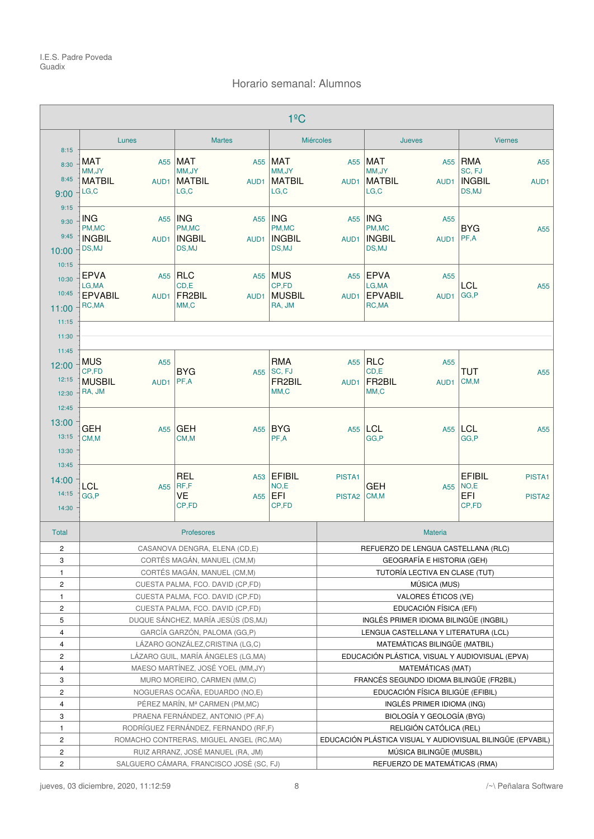|                                           |                                                     |                                          |                                                                      |                                     | $1^{\circ}$ C                                  |                                                            |                                                  |                                                 |                                         |                              |
|-------------------------------------------|-----------------------------------------------------|------------------------------------------|----------------------------------------------------------------------|-------------------------------------|------------------------------------------------|------------------------------------------------------------|--------------------------------------------------|-------------------------------------------------|-----------------------------------------|------------------------------|
|                                           |                                                     | Lunes                                    |                                                                      | <b>Martes</b>                       |                                                | <b>Miércoles</b>                                           |                                                  | <b>Jueves</b>                                   |                                         | <b>Viernes</b>               |
| 8:15<br>8:30<br>8:45<br>9:00              | <b>MAT</b><br>MM, JY<br><b>MATBIL</b><br>$LG$ , $C$ | A <sub>55</sub><br>AUD <sub>1</sub>      | <b>MAT</b><br>MM, JY<br><b>MATBIL</b><br>LG,C                        | A <sub>55</sub><br>AUD <sub>1</sub> | <b>MAT</b><br>MM, JY<br><b>MATBIL</b><br>LG.C  | A <sub>55</sub><br>AUD <sub>1</sub>                        | MAT<br>MM, JY<br><b>MATBIL</b><br>LG.C           | A <sub>55</sub><br>AUD <sub>1</sub>             | RMA<br>SC, FJ<br><b>INGBIL</b><br>DS,MJ | A55<br>AUD <sub>1</sub>      |
| 9:15<br>9:30<br>9:45<br>10:00             | <b>ING</b><br>PM,MC<br><b>INGBIL</b><br>DS,MJ       | A55<br>AUD <sub>1</sub>                  | <b>ING</b><br>PM, MC<br><b>INGBIL</b><br>DS,MJ                       | A55<br>AUD <sub>1</sub>             | <b>ING</b><br>PM, MC<br><b>INGBIL</b><br>DS,MJ | A <sub>55</sub><br>AUD <sub>1</sub>                        | <b>ING</b><br>PM, MC<br><b>INGBIL</b><br>DS,MJ   | A55<br>AUD <sub>1</sub>                         | <b>BYG</b><br> PF, A                    | A55                          |
| 10:15<br>10:30<br>10:45<br>11:00<br>11:15 | <b>EPVA</b><br>LG,MA<br><b>EPVABIL</b><br>RC, MA    | A55<br>AUD <sub>1</sub>                  | <b>RLC</b><br>CD.E<br>FR2BIL<br>MM, C                                | A <sub>55</sub><br>AUD <sub>1</sub> | <b>MUS</b><br>CP,FD<br><b>MUSBIL</b><br>RA, JM | A <sub>55</sub><br>AUD <sub>1</sub>                        | <b>EPVA</b><br>LG,MA<br><b>EPVABIL</b><br>RC, MA | A55<br>AUD <sub>1</sub>                         | <b>LCL</b><br>GG, P                     | A55                          |
| 11:30<br>11:45<br>12:00<br>12:15<br>12:30 | <b>MUS</b><br>CP,FD<br><b>MUSBIL</b><br>RA, JM      | A55<br>AUD <sub>1</sub>                  | <b>BYG</b><br>PF,A                                                   | A <sub>55</sub>                     | <b>RMA</b><br>SC, FJ<br>FR2BIL<br>MM,C         | A <sub>55</sub><br>AUD <sub>1</sub>                        | <b>RLC</b><br>CD, E<br><b>FR2BIL</b><br>MM,C     | A55<br>AUD <sub>1</sub>                         | TUT<br>CM, M                            | A55                          |
| 12:45<br>13:00<br>13:15<br>13:30          | <b>GEH</b><br>CM,M                                  | A55                                      | <b>GEH</b><br>CM, M                                                  | A55                                 | <b>BYG</b><br>PF,A                             | A55                                                        | <b>LCL</b><br>GG,P                               | A55                                             | <b>LCL</b><br>GG,P                      | A55                          |
| 13:45<br>14:00<br>14:15<br>14:30          | <b>LCL</b><br>GG,P                                  | A55                                      | <b>REL</b><br>RF,F<br><b>VE</b><br>CP,FD                             | A53<br>A <sub>55</sub>              | <b>EFIBIL</b><br>NO, E<br>EFI<br>CP,FD         | PISTA1<br><b>PISTA2</b>                                    | <b>GEH</b><br>CM,M                               | A <sub>55</sub>                                 | <b>EFIBIL</b><br>NO,E<br>EFI<br>CP,FD   | PISTA1<br>PISTA <sub>2</sub> |
| <b>Total</b>                              |                                                     |                                          | <b>Profesores</b>                                                    |                                     |                                                |                                                            |                                                  | <b>Materia</b>                                  |                                         |                              |
| $\overline{\mathbf{c}}$                   |                                                     |                                          | CASANOVA DENGRA, ELENA (CD,E)                                        |                                     |                                                |                                                            |                                                  | REFUERZO DE LENGUA CASTELLANA (RLC)             |                                         |                              |
| 3                                         |                                                     |                                          | CORTÉS MAGÁN, MANUEL (CM,M)                                          |                                     |                                                |                                                            |                                                  | GEOGRAFÍA E HISTORIA (GEH)                      |                                         |                              |
| $\mathbf{1}$                              |                                                     |                                          | CORTÉS MAGÁN, MANUEL (CM,M)                                          |                                     |                                                |                                                            |                                                  | TUTORÍA LECTIVA EN CLASE (TUT)                  |                                         |                              |
| $\sqrt{2}$<br>$\mathbf{1}$                |                                                     |                                          | CUESTA PALMA, FCO. DAVID (CP,FD)<br>CUESTA PALMA, FCO. DAVID (CP,FD) |                                     |                                                |                                                            |                                                  | MÚSICA (MUS)<br>VALORES ÉTICOS (VE)             |                                         |                              |
| $\overline{c}$                            |                                                     |                                          | CUESTA PALMA, FCO. DAVID (CP,FD)                                     |                                     |                                                |                                                            |                                                  | EDUCACIÓN FÍSICA (EFI)                          |                                         |                              |
| 5                                         |                                                     |                                          | DUQUE SÁNCHEZ, MARÍA JESÚS (DS,MJ)                                   |                                     |                                                |                                                            |                                                  | INGLÉS PRIMER IDIOMA BILINGÜE (INGBIL)          |                                         |                              |
| 4                                         |                                                     |                                          | GARCÍA GARZÓN, PALOMA (GG,P)                                         |                                     |                                                |                                                            |                                                  | LENGUA CASTELLANA Y LITERATURA (LCL)            |                                         |                              |
| 4                                         |                                                     |                                          | LÁZARO GONZÁLEZ, CRISTINA (LG,C)                                     |                                     |                                                |                                                            |                                                  | MATEMÁTICAS BILINGÜE (MATBIL)                   |                                         |                              |
| $\overline{c}$                            |                                                     |                                          | LÁZARO GUIL, MARÍA ÁNGELES (LG, MA)                                  |                                     |                                                |                                                            |                                                  | EDUCACIÓN PLÁSTICA, VISUAL Y AUDIOVISUAL (EPVA) |                                         |                              |
| 4                                         |                                                     |                                          | MAESO MARTÍNEZ, JOSÉ YOEL (MM,JY)                                    |                                     |                                                |                                                            |                                                  | MATEMÁTICAS (MAT)                               |                                         |                              |
| 3                                         |                                                     |                                          | MURO MOREIRO, CARMEN (MM,C)                                          |                                     |                                                |                                                            |                                                  | FRANCÉS SEGUNDO IDIOMA BILINGÜE (FR2BIL)        |                                         |                              |
| $\sqrt{2}$                                |                                                     |                                          | NOGUERAS OCAÑA, EDUARDO (NO,E)                                       |                                     |                                                |                                                            |                                                  | EDUCACIÓN FÍSICA BILIGÚE (EFIBIL)               |                                         |                              |
| 4                                         |                                                     |                                          | PÉREZ MARÍN, Mª CARMEN (PM, MC)                                      |                                     |                                                | INGLÉS PRIMER IDIOMA (ING)                                 |                                                  |                                                 |                                         |                              |
| 3                                         |                                                     |                                          | PRAENA FERNÁNDEZ, ANTONIO (PF,A)                                     |                                     |                                                | BIOLOGÍA Y GEOLOGÍA (BYG)                                  |                                                  |                                                 |                                         |                              |
| $\mathbf{1}$                              |                                                     | RODRÍGUEZ FERNÁNDEZ, FERNANDO (RF,F)     |                                                                      |                                     |                                                | RELIGIÓN CATÓLICA (REL)                                    |                                                  |                                                 |                                         |                              |
| $\overline{c}$                            |                                                     | ROMACHO CONTRERAS, MIGUEL ANGEL (RC,MA)  |                                                                      |                                     |                                                | EDUCACIÓN PLÁSTICA VISUAL Y AUDIOVISUAL BILINGÜE (EPVABIL) |                                                  |                                                 |                                         |                              |
| $\overline{\mathbf{c}}$                   |                                                     |                                          | RUIZ ARRANZ, JOSÉ MANUEL (RA, JM)                                    |                                     |                                                |                                                            |                                                  | MÚSICA BILINGÜE (MUSBIL)                        |                                         |                              |
| $\sqrt{2}$                                |                                                     | SALGUERO CÁMARA, FRANCISCO JOSÉ (SC, FJ) |                                                                      |                                     |                                                |                                                            |                                                  | REFUERZO DE MATEMÁTICAS (RMA)                   |                                         |                              |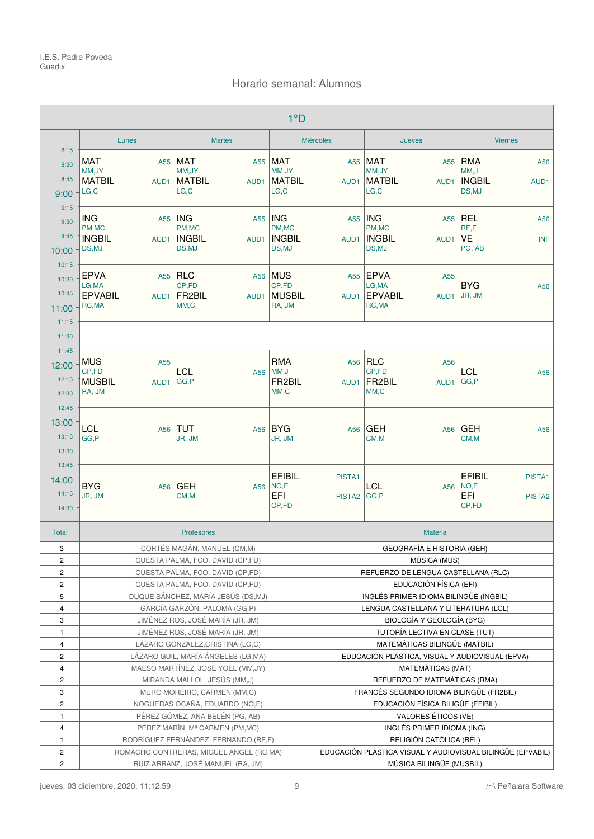|                                           |                                                   |                                         |                                                                        |                                     | 1 <sup>°</sup> D                                    |                                                            |                                                   |                                     |                                              |                              |
|-------------------------------------------|---------------------------------------------------|-----------------------------------------|------------------------------------------------------------------------|-------------------------------------|-----------------------------------------------------|------------------------------------------------------------|---------------------------------------------------|-------------------------------------|----------------------------------------------|------------------------------|
|                                           |                                                   | Lunes                                   |                                                                        | <b>Martes</b>                       |                                                     | <b>Miércoles</b>                                           |                                                   | <b>Jueves</b>                       |                                              | <b>Viernes</b>               |
| 8:15<br>8:30<br>8:45<br>9:00              | <b>MAT</b><br>MM, JY<br><b>MATBIL</b><br>LG, C    | A <sub>55</sub><br>AUD <sub>1</sub>     | <b>MAT</b><br>MM, JY<br><b>MATBIL</b><br>LG, C                         | A <sub>55</sub><br>AUD <sub>1</sub> | <b>MAT</b><br>MM, JY<br><b>MATBIL</b><br>$LG$ , $C$ | A <sub>55</sub><br>AUD <sub>1</sub>                        | MAT<br>MM, JY<br><b>MATBIL</b><br>LG.C            | A <sub>55</sub><br>AUD <sub>1</sub> | RMA<br>U,MM<br><b>INGBIL</b><br>DS,MJ        | A56<br>AUD <sub>1</sub>      |
| 9:15<br>9:30<br>9:45<br>10:00             | <b>ING</b><br>PM, MC<br><b>INGBIL</b><br>DS,MJ    | A55<br>AUD <sub>1</sub>                 | <b>ING</b><br>PM, MC<br><b>INGBIL</b><br>DS,MJ                         | A55<br>AUD <sub>1</sub>             | <b>ING</b><br>PM, MC<br><b>INGBIL</b><br>DS,MJ      | A55<br>AUD <sub>1</sub>                                    | <b>ING</b><br>PM, MC<br><b>INGBIL</b><br>DS,MJ    | A55<br>AUD <sub>1</sub>             | <b>REL</b><br>RF,F<br><b>VE</b><br>PG, AB    | A56<br><b>INF</b>            |
| 10:15<br>10:30<br>10:45<br>11:00<br>11:15 | <b>EPVA</b><br>LG, MA<br><b>EPVABIL</b><br>RC, MA | A <sub>55</sub><br>AUD <sub>1</sub>     | <b>RLC</b><br>CP,FD<br><b>FR2BIL</b><br>MM, C                          | A56<br>AUD <sub>1</sub>             | <b>MUS</b><br>CP,FD<br><b>MUSBIL</b><br>RA, JM      | A <sub>55</sub><br>AUD <sub>1</sub>                        | <b>EPVA</b><br>LG, MA<br><b>EPVABIL</b><br>RC, MA | A55<br>AUD <sub>1</sub>             | <b>BYG</b><br>JR, JM                         | A56                          |
| 11:30<br>11:45<br>12:00<br>12:15<br>12:30 | <b>MUS</b><br>CP,FD<br><b>MUSBIL</b><br>RA, JM    | A55<br>AUD <sub>1</sub>                 | <b>LCL</b><br>GG,P                                                     | A56                                 | <b>RMA</b><br>MM, J<br>FR2BIL<br>MM,C               | A56<br>AUD <sub>1</sub>                                    | <b>RLC</b><br>CP,FD<br><b>FR2BIL</b><br>MM,C      | A56<br>AUD <sub>1</sub>             | <b>LCL</b><br>GG,P                           | A56                          |
| 12:45<br>13:00<br>13:15<br>13:30          | <b>LCL</b><br>GG.P                                | A56                                     | <b>TUT</b><br>JR, JM                                                   | A56                                 | <b>BYG</b><br>JR, JM                                | A56                                                        | <b>GEH</b><br>CM,M                                | A56                                 | <b>GEH</b><br>CM,M                           | A56                          |
| 13:45<br>14:00<br>14:15<br>14:30          | <b>BYG</b><br>JR, JM                              | A56                                     | <b>GEH</b><br>CM, M                                                    | A56                                 | <b>EFIBIL</b><br>NO, E<br><b>EFI</b><br>CP.FD       | PISTA1<br><b>PISTA2</b>                                    | LCL<br>GG,P                                       | A56                                 | <b>EFIBIL</b><br>NO,E<br><b>EFI</b><br>CP,FD | PISTA1<br>PISTA <sub>2</sub> |
| Total                                     |                                                   |                                         | <b>Profesores</b>                                                      |                                     |                                                     |                                                            |                                                   | <b>Materia</b>                      |                                              |                              |
| 3                                         |                                                   |                                         | CORTÉS MAGÁN, MANUEL (CM,M)                                            |                                     |                                                     |                                                            |                                                   | <b>GEOGRAFÍA E HISTORIA (GEH)</b>   |                                              |                              |
| 2                                         |                                                   |                                         | CUESTA PALMA, FCO. DAVID (CP,FD)                                       |                                     |                                                     |                                                            |                                                   | MÚSICA (MUS)                        |                                              |                              |
| 2                                         |                                                   |                                         | CUESTA PALMA, FCO. DAVID (CP,FD)                                       |                                     |                                                     |                                                            | REFUERZO DE LENGUA CASTELLANA (RLC)               |                                     |                                              |                              |
| $\overline{\mathbf{c}}$<br>5              |                                                   |                                         | CUESTA PALMA, FCO. DAVID (CP,FD)<br>DUQUE SÁNCHEZ, MARÍA JESÚS (DS,MJ) |                                     |                                                     |                                                            | INGLÉS PRIMER IDIOMA BILINGÜE (INGBIL)            | EDUCACIÓN FÍSICA (EFI)              |                                              |                              |
| 4                                         |                                                   |                                         | GARCÍA GARZÓN, PALOMA (GG,P)                                           |                                     |                                                     |                                                            | LENGUA CASTELLANA Y LITERATURA (LCL)              |                                     |                                              |                              |
| 3                                         |                                                   |                                         | JIMÉNEZ ROS, JOSÉ MARÍA (JR, JM)                                       |                                     |                                                     |                                                            |                                                   | BIOLOGÍA Y GEOLOGÍA (BYG)           |                                              |                              |
| $\mathbf{1}$                              |                                                   |                                         | JIMÉNEZ ROS, JOSÉ MARÍA (JR, JM)                                       |                                     |                                                     |                                                            |                                                   | TUTORÍA LECTIVA EN CLASE (TUT)      |                                              |                              |
| 4                                         |                                                   |                                         | LÁZARO GONZÁLEZ, CRISTINA (LG,C)                                       |                                     |                                                     |                                                            |                                                   | MATEMÁTICAS BILINGÜE (MATBIL)       |                                              |                              |
| $\overline{\mathbf{c}}$                   |                                                   |                                         | LÁZARO GUIL, MARÍA ÁNGELES (LG, MA)                                    |                                     |                                                     |                                                            | EDUCACIÓN PLÁSTICA, VISUAL Y AUDIOVISUAL (EPVA)   |                                     |                                              |                              |
| 4                                         |                                                   |                                         | MAESO MARTÍNEZ, JOSÉ YOEL (MM,JY)                                      |                                     |                                                     |                                                            |                                                   | <b>MATEMÁTICAS (MAT)</b>            |                                              |                              |
| $\overline{\mathbf{c}}$                   |                                                   |                                         | MIRANDA MALLOL, JESÚS (MM,J)                                           |                                     |                                                     |                                                            |                                                   | REFUERZO DE MATEMÁTICAS (RMA)       |                                              |                              |
| 3                                         |                                                   |                                         | MURO MOREIRO, CARMEN (MM,C)                                            |                                     |                                                     |                                                            | FRANCÉS SEGUNDO IDIOMA BILINGÜE (FR2BIL)          |                                     |                                              |                              |
| $\overline{\mathbf{c}}$                   |                                                   |                                         | NOGUERAS OCAÑA, EDUARDO (NO,E)                                         |                                     |                                                     | EDUCACIÓN FÍSICA BILIGÚE (EFIBIL)                          |                                                   |                                     |                                              |                              |
| $\mathbf{1}$                              |                                                   |                                         | PÉREZ GÓMEZ, ANA BELÉN (PG, AB)                                        |                                     |                                                     | VALORES ÉTICOS (VE)<br>INGLÉS PRIMER IDIOMA (ING)          |                                                   |                                     |                                              |                              |
| 4<br>$\mathbf{1}$                         |                                                   | RODRÍGUEZ FERNÁNDEZ, FERNANDO (RF,F)    | PÉREZ MARÍN, Mª CARMEN (PM, MC)                                        |                                     |                                                     | RELIGIÓN CATÓLICA (REL)                                    |                                                   |                                     |                                              |                              |
| $\overline{\mathbf{c}}$                   |                                                   | ROMACHO CONTRERAS, MIGUEL ANGEL (RC,MA) |                                                                        |                                     |                                                     | EDUCACIÓN PLÁSTICA VISUAL Y AUDIOVISUAL BILINGÜE (EPVABIL) |                                                   |                                     |                                              |                              |
| $\overline{\mathbf{c}}$                   |                                                   |                                         | RUIZ ARRANZ, JOSÉ MANUEL (RA, JM)                                      |                                     |                                                     | MÚSICA BILINGÜE (MUSBIL)                                   |                                                   |                                     |                                              |                              |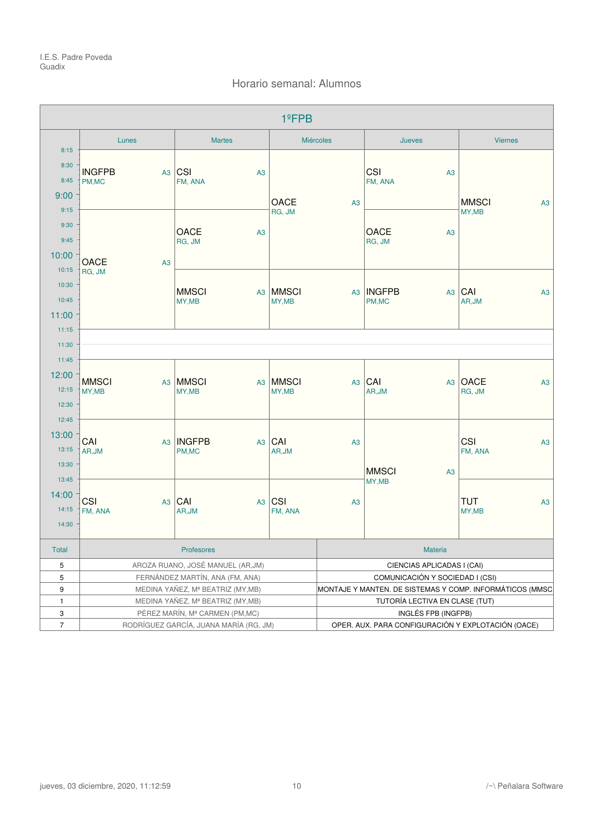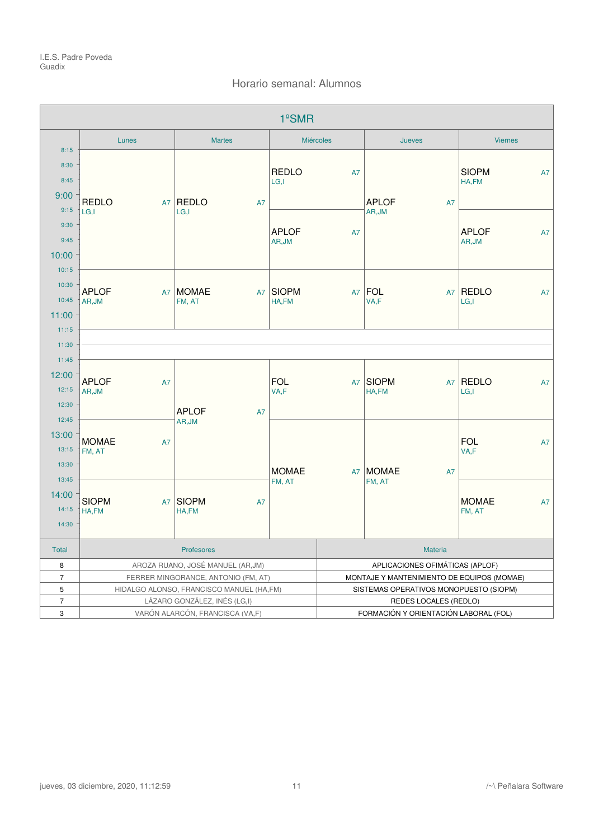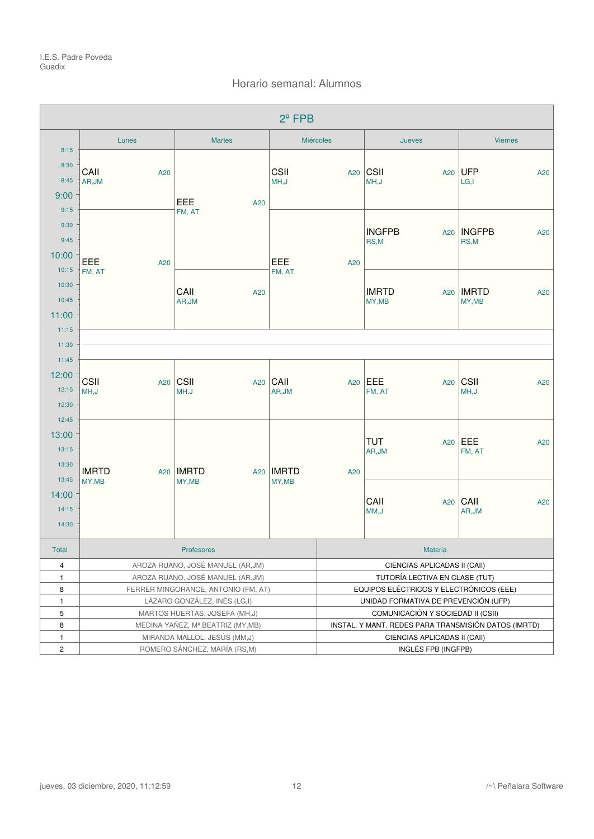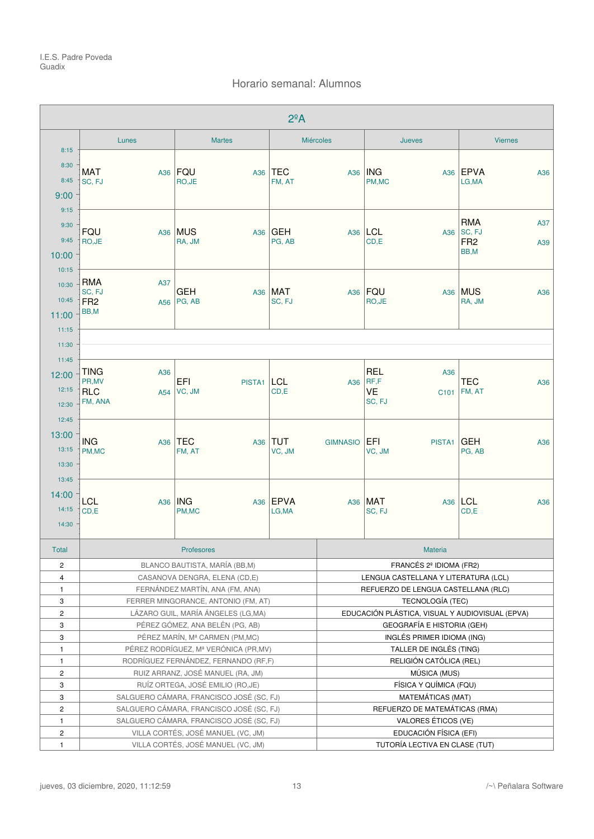|                                           |                                                                                         |                                                                                      | $2^{\circ}A$          |                                                    |                                        |                                |                                                 |            |
|-------------------------------------------|-----------------------------------------------------------------------------------------|--------------------------------------------------------------------------------------|-----------------------|----------------------------------------------------|----------------------------------------|--------------------------------|-------------------------------------------------|------------|
| 8:15                                      | Lunes                                                                                   | <b>Martes</b>                                                                        |                       | <b>Miércoles</b>                                   |                                        | Jueves                         | <b>Viernes</b>                                  |            |
| 8:30<br>8:45<br>9:00                      | <b>MAT</b><br>A36<br>SC, FJ                                                             | <b>FQU</b><br>A36<br>RO, JE                                                          | <b>TEC</b><br>FM, AT  |                                                    | A <sub>36</sub>   <b>ING</b><br>PM, MC | A36                            | <b>EPVA</b><br>LG, MA                           | A36        |
| 9:15<br>9:30<br>9:45<br>10:00             | <b>FQU</b><br>A36<br>RO, JE                                                             | <b>MUS</b><br>A36<br>RA, JM                                                          | <b>GEH</b><br>PG, AB  |                                                    | $A36$ LCL<br>CD, E                     | A36                            | <b>RMA</b><br>SC, FJ<br>FR <sub>2</sub><br>BB,M | A37<br>A39 |
| 10:15<br>10:30<br>10:45<br>11:00<br>11:15 | <b>RMA</b><br>A37<br>SC, FJ<br>FR <sub>2</sub><br>A56<br>BB,M                           | <b>GEH</b><br>A36<br>PG, AB                                                          | MAT<br>SC, FJ         |                                                    | A36   FQU<br>RO, JE                    | A36                            | MUS<br>RA, JM                                   | A36        |
| 11:30<br>11:45                            |                                                                                         |                                                                                      |                       |                                                    |                                        |                                |                                                 |            |
| 12:00<br>12:15<br>12:30<br>12:45          | <b>TING</b><br>A36<br>EFI<br>PR, MV<br>PISTA1<br><b>RLC</b><br>VC, JM<br>A54<br>FM, ANA |                                                                                      | ∣LCL<br>CD,E          | A36                                                | <b>REL</b><br>RF,F<br>VE<br>SC, FJ     | A36<br>C <sub>101</sub>        | <b>TEC</b><br>FM, AT                            | A36        |
| 13:00<br>13:15<br>13:30                   | <b>ING</b><br>A36<br>PM, MC                                                             | <b>TEC</b><br>A36<br>FM, AT                                                          | <b>TUT</b><br>VC, JM  | <b>GIMNASIO</b>                                    | EFI<br>VC, JM                          | PISTA1                         | <b>GEH</b><br>PG, AB                            | A36        |
| 13:45<br>14:00<br>14:15<br>14:30          | <b>LCL</b><br>A36<br>CD, E                                                              | <b>ING</b><br>A36<br>PM, MC                                                          | <b>EPVA</b><br>LG, MA |                                                    | $A36$ MAT<br>SC, FJ                    | A36                            | <b>LCL</b><br>CD, E                             | A36        |
| Total                                     |                                                                                         | Profesores                                                                           |                       |                                                    |                                        | Materia                        |                                                 |            |
| $\overline{c}$                            |                                                                                         | BLANCO BAUTISTA, MARÍA (BB,M)                                                        |                       |                                                    |                                        | FRANCÉS 2º IDIOMA (FR2)        |                                                 |            |
| 4                                         |                                                                                         | CASANOVA DENGRA, ELENA (CD,E)                                                        |                       |                                                    |                                        |                                | LENGUA CASTELLANA Y LITERATURA (LCL)            |            |
| $\mathbf{1}$                              |                                                                                         | FERNÁNDEZ MARTÍN, ANA (FM, ANA)                                                      |                       |                                                    |                                        |                                | REFUERZO DE LENGUA CASTELLANA (RLC)             |            |
| 3<br>$\overline{\mathbf{c}}$              |                                                                                         | FERRER MINGORANCE, ANTONIO (FM, AT)<br>LÁZARO GUIL, MARÍA ÁNGELES (LG, MA)           |                       |                                                    |                                        | <b>TECNOLOGÍA (TEC)</b>        | EDUCACIÓN PLÁSTICA, VISUAL Y AUDIOVISUAL (EPVA) |            |
| 3                                         |                                                                                         | PÉREZ GÓMEZ, ANA BELÉN (PG, AB)                                                      |                       |                                                    |                                        | GEOGRAFÍA E HISTORIA (GEH)     |                                                 |            |
| 3                                         |                                                                                         | PÉREZ MARÍN, Mª CARMEN (PM, MC)                                                      |                       |                                                    |                                        | INGLÉS PRIMER IDIOMA (ING)     |                                                 |            |
| $\mathbf{1}$                              |                                                                                         | PÉREZ RODRÍGUEZ, Mª VERÓNICA (PR, MV)                                                |                       |                                                    |                                        | TALLER DE INGLÉS (TING)        |                                                 |            |
| $\mathbf{1}$                              |                                                                                         | RODRÍGUEZ FERNÁNDEZ, FERNANDO (RF,F)                                                 |                       |                                                    |                                        | RELIGIÓN CATÓLICA (REL)        |                                                 |            |
| $\overline{c}$                            |                                                                                         | RUIZ ARRANZ, JOSÉ MANUEL (RA, JM)                                                    |                       |                                                    |                                        | MÚSICA (MUS)                   |                                                 |            |
| 3                                         |                                                                                         | RUÍZ ORTEGA, JOSÉ EMILIO (RO, JE)                                                    |                       | FÍSICA Y QUÍMICA (FQU)                             |                                        |                                |                                                 |            |
| 3                                         |                                                                                         | SALGUERO CÁMARA, FRANCISCO JOSÉ (SC, FJ)                                             |                       | MATEMÁTICAS (MAT)<br>REFUERZO DE MATEMÁTICAS (RMA) |                                        |                                |                                                 |            |
| $\overline{c}$<br>$\mathbf{1}$            |                                                                                         | SALGUERO CÁMARA, FRANCISCO JOSÉ (SC, FJ)<br>SALGUERO CÁMARA, FRANCISCO JOSÉ (SC, FJ) |                       |                                                    |                                        |                                |                                                 |            |
| $\overline{\mathbf{c}}$                   |                                                                                         | VILLA CORTÉS, JOSÉ MANUEL (VC, JM)                                                   |                       | VALORES ÉTICOS (VE)<br>EDUCACIÓN FÍSICA (EFI)      |                                        |                                |                                                 |            |
| $\mathbf{1}$                              |                                                                                         | VILLA CORTÉS, JOSÉ MANUEL (VC, JM)                                                   |                       |                                                    |                                        | TUTORÍA LECTIVA EN CLASE (TUT) |                                                 |            |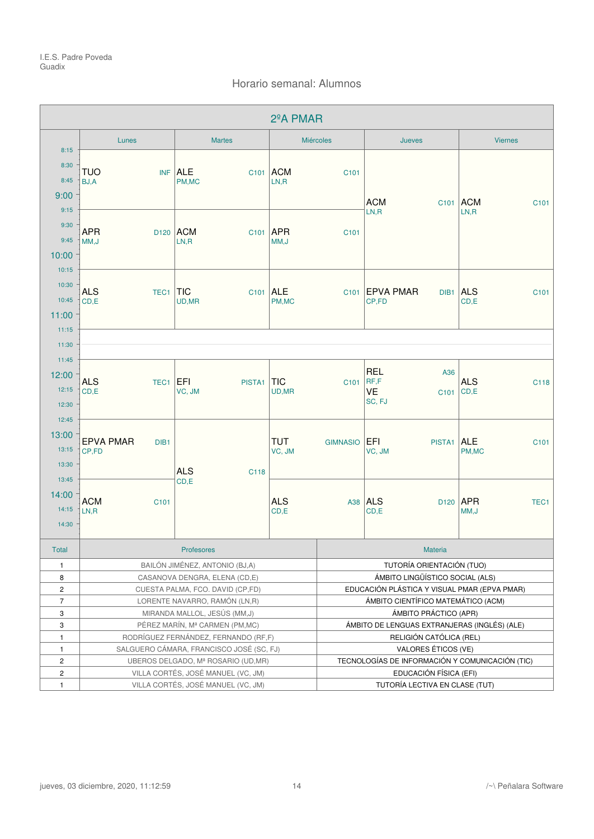|                         |                                                                         |                  |                                     |                  | 2ºA PMAR             |                                                 |                                |                                 |                                              |      |  |
|-------------------------|-------------------------------------------------------------------------|------------------|-------------------------------------|------------------|----------------------|-------------------------------------------------|--------------------------------|---------------------------------|----------------------------------------------|------|--|
|                         | Lunes                                                                   |                  |                                     | <b>Martes</b>    |                      | <b>Miércoles</b>                                |                                | <b>Jueves</b>                   | <b>Viernes</b>                               |      |  |
| 8:15                    |                                                                         |                  |                                     |                  |                      |                                                 |                                |                                 |                                              |      |  |
| 8:30                    | <b>TUO</b>                                                              | <b>INF</b>       | <b>ALE</b>                          | C <sub>101</sub> | ACM                  | C <sub>101</sub>                                |                                |                                 |                                              |      |  |
| 8:45                    | BJ,A                                                                    |                  | PM, MC                              |                  | LN, R                |                                                 |                                |                                 |                                              |      |  |
| 9:00                    |                                                                         |                  |                                     |                  |                      |                                                 | <b>ACM</b>                     | C101                            | ACM                                          | C101 |  |
| 9:15                    |                                                                         |                  |                                     |                  |                      |                                                 | LN, R                          |                                 | LN, R                                        |      |  |
| 9:30                    | <b>APR</b>                                                              |                  | <b>ACM</b>                          |                  | <b>APR</b>           |                                                 |                                |                                 |                                              |      |  |
| 9:45                    | MM, J                                                                   | D <sub>120</sub> | LN, R                               | C101             | MM, J                | C <sub>101</sub>                                |                                |                                 |                                              |      |  |
| 10:00                   |                                                                         |                  |                                     |                  |                      |                                                 |                                |                                 |                                              |      |  |
| 10:15                   |                                                                         |                  |                                     |                  |                      |                                                 |                                |                                 |                                              |      |  |
| 10:30                   |                                                                         |                  |                                     |                  |                      |                                                 |                                |                                 |                                              |      |  |
| 10:45                   | <b>ALS</b><br>CD,E                                                      | TEC1             | <b>TIC</b><br>UD, MR                | C <sub>101</sub> | <b>ALE</b><br>PM, MC | C <sub>101</sub>                                | <b>EPVA PMAR</b><br>CP,FD      | DIB <sub>1</sub>                | <sub>ALS</sub><br>CD, E                      | C101 |  |
| 11:00                   |                                                                         |                  |                                     |                  |                      |                                                 |                                |                                 |                                              |      |  |
| 11:15                   |                                                                         |                  |                                     |                  |                      |                                                 |                                |                                 |                                              |      |  |
| 11:30                   |                                                                         |                  |                                     |                  |                      |                                                 |                                |                                 |                                              |      |  |
|                         |                                                                         |                  |                                     |                  |                      |                                                 |                                |                                 |                                              |      |  |
| 11:45                   |                                                                         |                  |                                     |                  |                      |                                                 | <b>REL</b>                     | A36                             |                                              |      |  |
| 12:00                   | <b>ALS</b>                                                              | TEC1             | EFI                                 | PISTA1           | <b>TIC</b>           | C101                                            | RF,F                           |                                 | <b>ALS</b>                                   | C118 |  |
| 12:15                   | CD,E                                                                    |                  | VC, JM                              |                  | UD, MR               |                                                 | <b>VE</b>                      | C101                            | CD, E                                        |      |  |
| 12:30                   |                                                                         |                  |                                     |                  |                      |                                                 | SC, FJ                         |                                 |                                              |      |  |
| 12:45                   |                                                                         |                  |                                     |                  |                      |                                                 |                                |                                 |                                              |      |  |
| 13:00                   | <b>EPVA PMAR</b>                                                        | DIB <sub>1</sub> |                                     |                  | <b>TUT</b>           | <b>GIMNASIO</b>                                 | <b>EFI</b>                     | PISTA1                          | <b>ALE</b>                                   | C101 |  |
| 13:15                   | CP,FD                                                                   |                  |                                     |                  | VC, JM               |                                                 | VC, JM                         |                                 | PM, MC                                       |      |  |
| 13:30                   |                                                                         |                  |                                     |                  |                      |                                                 |                                |                                 |                                              |      |  |
| 13:45                   |                                                                         |                  | <b>ALS</b><br>CD,E                  | C118             |                      |                                                 |                                |                                 |                                              |      |  |
| 14:00                   |                                                                         |                  |                                     |                  |                      |                                                 |                                |                                 |                                              |      |  |
| 14:15                   | <b>ACM</b><br>LN, R                                                     | C <sub>101</sub> |                                     |                  | <b>ALS</b><br>CD,E   | A38                                             | <b>ALS</b><br>CD,E             | D <sub>120</sub>                | <b>APR</b><br>MM,J                           | TEC1 |  |
| 14:30                   |                                                                         |                  |                                     |                  |                      |                                                 |                                |                                 |                                              |      |  |
|                         |                                                                         |                  |                                     |                  |                      |                                                 |                                |                                 |                                              |      |  |
| Total                   |                                                                         |                  | Profesores                          |                  |                      |                                                 |                                | Materia                         |                                              |      |  |
| $\mathbf{1}$            |                                                                         |                  | BAILÓN JIMÉNEZ, ANTONIO (BJ,A)      |                  |                      |                                                 |                                | TUTORÍA ORIENTACIÓN (TUO)       |                                              |      |  |
| 8                       |                                                                         |                  | CASANOVA DENGRA, ELENA (CD,E)       |                  |                      |                                                 |                                | ÁMBITO LINGÜÍSTICO SOCIAL (ALS) |                                              |      |  |
| $\overline{\mathbf{c}}$ |                                                                         |                  | CUESTA PALMA, FCO. DAVID (CP,FD)    |                  |                      |                                                 |                                |                                 | EDUCACIÓN PLÁSTICA Y VISUAL PMAR (EPVA PMAR) |      |  |
| $\overline{7}$          |                                                                         |                  | LORENTE NAVARRO, RAMÓN (LN,R)       |                  |                      |                                                 |                                |                                 | ÁMBITO CIENTÍFICO MATEMÁTICO (ACM)           |      |  |
| 3<br>3                  |                                                                         |                  | MIRANDA MALLOL, JESÚS (MM,J)        |                  |                      |                                                 |                                | ÁMBITO PRÁCTICO (APR)           | ÁMBITO DE LENGUAS EXTRANJERAS (INGLÉS) (ALE) |      |  |
| $\mathbf{1}$            | PÉREZ MARÍN, Mª CARMEN (PM, MC)<br>RODRÍGUEZ FERNÁNDEZ, FERNANDO (RF,F) |                  |                                     |                  |                      |                                                 |                                | RELIGIÓN CATÓLICA (REL)         |                                              |      |  |
| $\mathbf{1}$            | SALGUERO CÁMARA, FRANCISCO JOSÉ (SC, FJ)                                |                  |                                     |                  |                      |                                                 |                                | VALORES ÉTICOS (VE)             |                                              |      |  |
| $\overline{\mathbf{c}}$ |                                                                         |                  | UBEROS DELGADO, Mª ROSARIO (UD, MR) |                  |                      | TECNOLOGÍAS DE INFORMACIÓN Y COMUNICACIÓN (TIC) |                                |                                 |                                              |      |  |
| $\mathsf 2$             |                                                                         |                  | VILLA CORTÉS, JOSÉ MANUEL (VC, JM)  |                  |                      |                                                 |                                | EDUCACIÓN FÍSICA (EFI)          |                                              |      |  |
| $\mathbf{1}$            |                                                                         |                  | VILLA CORTÉS, JOSÉ MANUEL (VC, JM)  |                  |                      |                                                 | TUTORÍA LECTIVA EN CLASE (TUT) |                                 |                                              |      |  |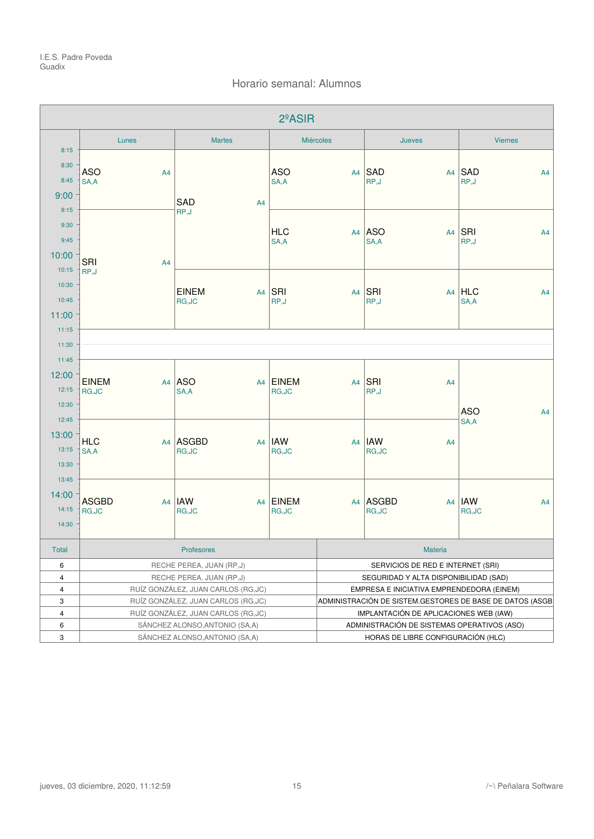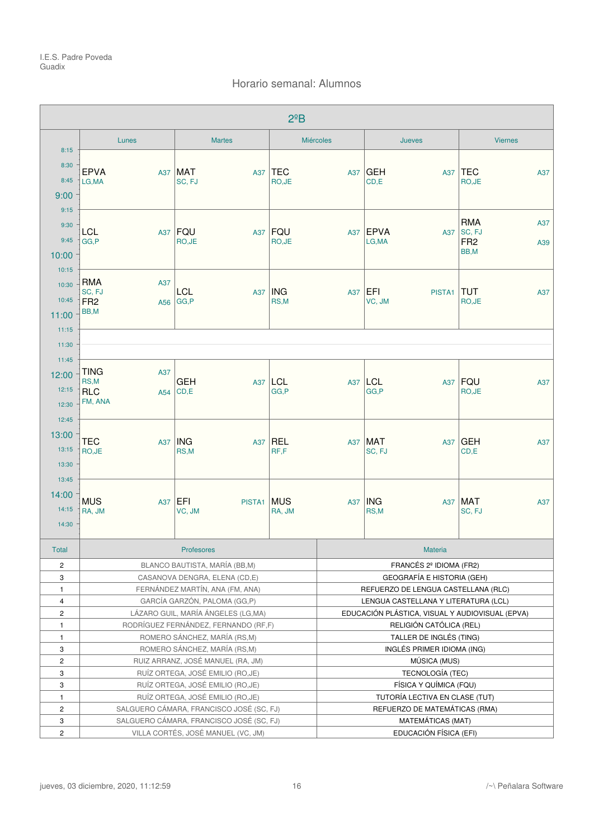|                                           |                                                 |                                          |                                                                   |        | $2^{\circ}B$         |                                |                        |                                                                             |                                                 |                |  |
|-------------------------------------------|-------------------------------------------------|------------------------------------------|-------------------------------------------------------------------|--------|----------------------|--------------------------------|------------------------|-----------------------------------------------------------------------------|-------------------------------------------------|----------------|--|
|                                           |                                                 | Lunes                                    | <b>Martes</b>                                                     |        |                      | <b>Miércoles</b>               |                        | Jueves                                                                      |                                                 | <b>Viernes</b> |  |
| 8:15<br>8:30<br>8:45<br>9:00              | <b>EPVA</b><br>LG, MA                           | A37                                      | <b>MAT</b><br>SC, FJ                                              | A37    | TEC<br>RO, JE        | A37                            | <b>GEH</b><br>CD, E    | A37                                                                         | <b>TEC</b><br>RO, JE                            | A37            |  |
| 9:15<br>9:30<br>9:45<br>10:00             | <b>LCL</b><br>GG,P                              | A37                                      | FQU<br>RO, JE                                                     | A37    | FQU<br>RO, JE        |                                | $A37$ EPVA<br>LG, MA   | A37                                                                         | <b>RMA</b><br>SC, FJ<br>FR <sub>2</sub><br>BB,M | A37<br>A39     |  |
| 10:15<br>10:30<br>10:45<br>11:00<br>11:15 | <b>RMA</b><br>SC, FJ<br>FR <sub>2</sub><br>BB,M | A37<br>A56                               | <b>LCL</b><br>GG,P                                                | A37    | <b>ING</b><br>RS,M   | A37                            | <b>EFI</b><br>VC, JM   | PISTA1                                                                      | <b>TUT</b><br>RO, JE                            | A37            |  |
| 11:30<br>11:45<br>12:00                   | <b>TING</b>                                     | A37                                      |                                                                   |        |                      |                                |                        |                                                                             |                                                 |                |  |
| 12:15<br>12:30<br>12:45                   | RS,M<br><b>RLC</b><br>FM, ANA                   | A54                                      | <b>GEH</b><br>CD,E                                                | A37    | LCL<br>GG,P          | A37                            | LCL<br>GG,P            | A37                                                                         | FQU<br>RO, JE                                   | A37            |  |
| 13:00<br>13:15<br>13:30                   | <b>TEC</b><br>RO, JE                            | A37                                      | <b>ING</b><br>RS,M                                                | A37    | REL<br>RF,F          | A37                            | MAT<br>SC, FJ          | A37                                                                         | <b>GEH</b><br>CD, E                             | A37            |  |
| 13:45<br>14:00<br>14:15<br>14:30          | <b>MUS</b><br>RA, JM                            | A37                                      | EFI<br>VC, JM                                                     | PISTA1 | <b>MUS</b><br>RA, JM | A37                            | ING<br>RS,M            | A37                                                                         | MAT<br>SC, FJ                                   | A37            |  |
| Total                                     |                                                 |                                          | Profesores                                                        |        |                      |                                |                        | <b>Materia</b>                                                              |                                                 |                |  |
| $\overline{\mathbf{c}}$                   |                                                 |                                          | BLANCO BAUTISTA, MARÍA (BB,M)                                     |        |                      |                                |                        | FRANCÉS 2º IDIOMA (FR2)                                                     |                                                 |                |  |
| 3                                         |                                                 |                                          | CASANOVA DENGRA, ELENA (CD,E)                                     |        |                      |                                |                        | GEOGRAFÍA E HISTORIA (GEH)                                                  |                                                 |                |  |
| $\mathbf{1}$<br>4                         |                                                 |                                          | FERNÁNDEZ MARTÍN, ANA (FM, ANA)<br>GARCÍA GARZÓN, PALOMA (GG,P)   |        |                      |                                |                        | REFUERZO DE LENGUA CASTELLANA (RLC)<br>LENGUA CASTELLANA Y LITERATURA (LCL) |                                                 |                |  |
| $\overline{\mathbf{c}}$                   |                                                 |                                          | LÁZARO GUIL, MARÍA ÁNGELES (LG, MA)                               |        |                      |                                |                        | EDUCACIÓN PLÁSTICA, VISUAL Y AUDIOVISUAL (EPVA)                             |                                                 |                |  |
| 1                                         |                                                 | RODRÍGUEZ FERNÁNDEZ, FERNANDO (RF,F)     |                                                                   |        |                      |                                |                        | RELIGIÓN CATÓLICA (REL)                                                     |                                                 |                |  |
| $\mathbf{1}$                              |                                                 |                                          | ROMERO SÁNCHEZ, MARÍA (RS,M)                                      |        |                      |                                |                        | TALLER DE INGLÉS (TING)                                                     |                                                 |                |  |
| 3                                         |                                                 |                                          | ROMERO SÁNCHEZ, MARÍA (RS,M)<br>RUIZ ARRANZ, JOSÉ MANUEL (RA, JM) |        |                      |                                |                        | INGLÉS PRIMER IDIOMA (ING)                                                  |                                                 |                |  |
| $\overline{\mathbf{c}}$<br>3              |                                                 |                                          | RUÍZ ORTEGA, JOSÉ EMILIO (RO, JE)                                 |        |                      |                                |                        | MÚSICA (MUS)<br>TECNOLOGÍA (TEC)                                            |                                                 |                |  |
| 3                                         |                                                 |                                          | RUÍZ ORTEGA, JOSÉ EMILIO (RO, JE)                                 |        |                      | FÍSICA Y QUÍMICA (FQU)         |                        |                                                                             |                                                 |                |  |
| $\mathbf{1}$                              |                                                 |                                          | RUÍZ ORTEGA, JOSÉ EMILIO (RO, JE)                                 |        |                      | TUTORÍA LECTIVA EN CLASE (TUT) |                        |                                                                             |                                                 |                |  |
| $\overline{\mathbf{c}}$                   |                                                 | SALGUERO CÁMARA, FRANCISCO JOSÉ (SC, FJ) |                                                                   |        |                      | REFUERZO DE MATEMÁTICAS (RMA)  |                        |                                                                             |                                                 |                |  |
| 3                                         |                                                 | SALGUERO CÁMARA, FRANCISCO JOSÉ (SC, FJ) |                                                                   |        |                      |                                |                        | MATEMÁTICAS (MAT)                                                           |                                                 |                |  |
| $\sqrt{2}$                                |                                                 |                                          | VILLA CORTÉS, JOSÉ MANUEL (VC, JM)                                |        |                      |                                | EDUCACIÓN FÍSICA (EFI) |                                                                             |                                                 |                |  |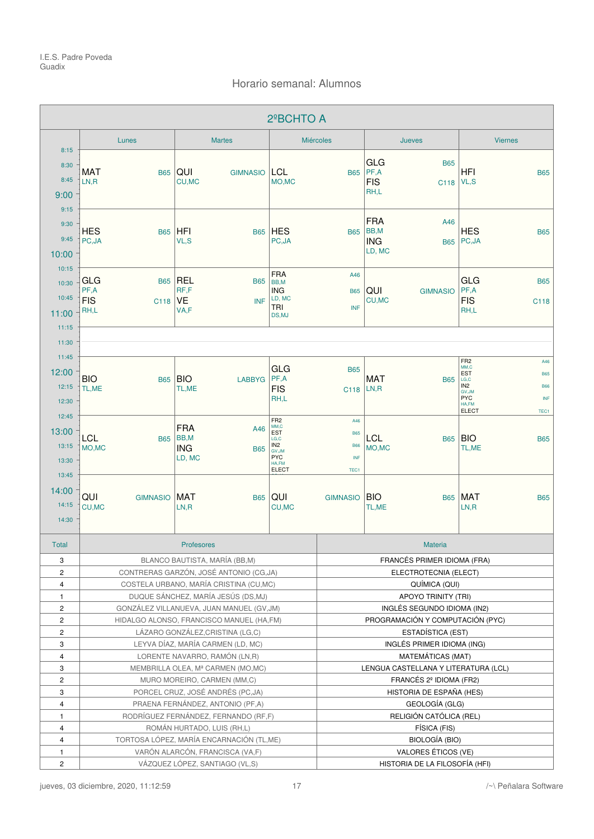|                                           |                                   |                                           |                                            |                                                                       | 2ºBCHTO A                                                                                                           |                                                |                                                       |                                                 |                                                                                                   |                                        |
|-------------------------------------------|-----------------------------------|-------------------------------------------|--------------------------------------------|-----------------------------------------------------------------------|---------------------------------------------------------------------------------------------------------------------|------------------------------------------------|-------------------------------------------------------|-------------------------------------------------|---------------------------------------------------------------------------------------------------|----------------------------------------|
|                                           |                                   | Lunes                                     |                                            | <b>Martes</b>                                                         |                                                                                                                     | <b>Miércoles</b>                               |                                                       | Jueves                                          |                                                                                                   | <b>Viernes</b>                         |
| 8:15<br>8:30<br>8:45<br>9:00              | <b>MAT</b><br>LN, R               | <b>B65</b>                                | QUI<br><b>CU,MC</b>                        | <b>GIMNASIO</b>                                                       | <b>LCL</b><br>MO, MC                                                                                                | B65                                            | GLG<br>PF, A<br><b>FIS</b><br>RH,L                    | <b>B65</b><br>C118                              | <b>HFI</b><br> VL, S                                                                              | <b>B65</b>                             |
| 9:15<br>9:30<br>9:45<br>10:00             | <b>HES</b><br>PC, JA              | <b>B65</b>                                | HFI)<br>VL,S                               | <b>B65</b>                                                            | HES <br>PC, JA                                                                                                      |                                                | <b>FRA</b><br><b>B65 BB,M</b><br><b>ING</b><br>LD, MC | A46<br><b>B65</b>                               | <b>HES</b><br>PC, JA                                                                              | <b>B65</b>                             |
| 10:15<br>10:30<br>10:45<br>11:00<br>11:15 | GLG<br>PF,A<br><b>FIS</b><br>RH,L | <b>B65</b><br>C118                        | REL<br>RF, F<br><b>VE</b><br>VA,F          | <b>B65</b><br><b>INF</b>                                              | <b>FRA</b><br>BB,M<br><b>ING</b><br>LD, MC<br>TRI<br>DS,MJ                                                          | A46<br><b>B65</b><br><b>INF</b>                | QUI<br><b>CU,MC</b>                                   | <b>GIMNASIO</b>                                 | GLG<br>PF,A<br><b>FIS</b><br>RH,L                                                                 | <b>B65</b><br>C118                     |
| 11:30<br>11:45<br>12:00<br>12:15<br>12:30 | <b>BIO</b><br>TL,ME               | <b>B65</b>                                | <b>BIO</b><br>TL,ME                        | <b>LABBYG</b>                                                         | GLG<br>PF,A<br><b>FIS</b><br>RH,L                                                                                   | <b>B65</b><br>C118                             | MAT<br>LN,R                                           | <b>B65</b>                                      | FR <sub>2</sub><br>MM,C<br><b>EST</b><br>LG,C<br>IN <sub>2</sub><br>GV, JM<br><b>PYC</b><br>HA,FM | A46<br><b>B65</b><br><b>B66</b><br>INF |
| 12:45<br>13:00<br>13:15<br>13:30<br>13:45 | <b>LCL</b><br>MO, MC              | <b>B65</b>                                | <b>FRA</b><br>BB,M<br><b>ING</b><br>LD, MC | A46<br><b>B65</b>                                                     | FR <sub>2</sub><br>MM, C<br><b>EST</b><br>LG, C<br>IN <sub>2</sub><br>GV, JM<br><b>PYC</b><br>HA,FM<br><b>ELECT</b> | A46<br><b>B65</b><br><b>B66</b><br>INF<br>TEC1 | LCL<br>MO, MC                                         | <b>B65</b>                                      | <b>ELECT</b><br> BIO<br>TL,ME                                                                     | TEC1<br><b>B65</b>                     |
| 14:00<br>14:15<br>14:30                   | QUI<br>CU, MC                     | <b>GIMNASIO</b>                           | MAT<br>LN, R                               | <b>B65</b>                                                            | <b>QUI</b><br>CU, MC                                                                                                | <b>GIMNASIO</b>                                | <b>BIO</b><br>TL,ME                                   | <b>B65</b>                                      | MAT<br>LN, R                                                                                      | <b>B65</b>                             |
| <b>Total</b>                              |                                   |                                           | <b>Profesores</b>                          |                                                                       |                                                                                                                     |                                                |                                                       | <b>Materia</b>                                  |                                                                                                   |                                        |
| 3                                         |                                   |                                           |                                            | BLANCO BAUTISTA, MARÍA (BB,M)                                         |                                                                                                                     |                                                |                                                       | FRANCÉS PRIMER IDIOMA (FRA)                     |                                                                                                   |                                        |
| $\overline{c}$                            |                                   | CONTRERAS GARZÓN, JOSÉ ANTONIO (CG,JA)    |                                            |                                                                       |                                                                                                                     |                                                |                                                       | ELECTROTECNIA (ELECT)                           |                                                                                                   |                                        |
| 4                                         |                                   |                                           |                                            | COSTELA URBANO, MARÍA CRISTINA (CU, MC)                               |                                                                                                                     |                                                |                                                       | QUÍMICA (QUI)                                   |                                                                                                   |                                        |
| $\mathbf{1}$                              |                                   |                                           |                                            | DUQUE SÁNCHEZ, MARÍA JESÚS (DS,MJ)                                    |                                                                                                                     |                                                |                                                       | APOYO TRINITY (TRI)                             |                                                                                                   |                                        |
| $\overline{c}$                            |                                   | GONZÁLEZ VILLANUEVA, JUAN MANUEL (GV, JM) |                                            |                                                                       |                                                                                                                     |                                                |                                                       | INGLÉS SEGUNDO IDIOMA (IN2)                     |                                                                                                   |                                        |
| $\overline{c}$                            |                                   | HIDALGO ALONSO, FRANCISCO MANUEL (HA,FM)  |                                            |                                                                       |                                                                                                                     |                                                |                                                       | PROGRAMACIÓN Y COMPUTACIÓN (PYC)                |                                                                                                   |                                        |
| $\overline{c}$<br>3                       |                                   |                                           |                                            | LÁZARO GONZÁLEZ, CRISTINA (LG,C)<br>LEYVA DÍAZ, MARÍA CARMEN (LD, MC) |                                                                                                                     |                                                |                                                       | ESTADÍSTICA (EST)<br>INGLÉS PRIMER IDIOMA (ING) |                                                                                                   |                                        |
| $\overline{4}$                            |                                   |                                           |                                            | LORENTE NAVARRO, RAMÓN (LN,R)                                         |                                                                                                                     |                                                |                                                       | <b>MATEMÁTICAS (MAT)</b>                        |                                                                                                   |                                        |
| 3                                         |                                   |                                           |                                            | MEMBRILLA OLEA, Mª CARMEN (MO,MC)                                     |                                                                                                                     |                                                |                                                       | LENGUA CASTELLANA Y LITERATURA (LCL)            |                                                                                                   |                                        |
| $\overline{c}$                            |                                   |                                           |                                            | MURO MOREIRO, CARMEN (MM,C)                                           |                                                                                                                     |                                                |                                                       | FRANCÉS 2º IDIOMA (FR2)                         |                                                                                                   |                                        |
| 3                                         |                                   |                                           |                                            | PORCEL CRUZ, JOSÉ ANDRÉS (PC, JA)                                     |                                                                                                                     |                                                |                                                       | HISTORIA DE ESPAÑA (HES)                        |                                                                                                   |                                        |
| 4                                         |                                   |                                           |                                            | PRAENA FERNÁNDEZ, ANTONIO (PF,A)                                      |                                                                                                                     | GEOLOGÍA (GLG)                                 |                                                       |                                                 |                                                                                                   |                                        |
| $\mathbf{1}$                              |                                   |                                           |                                            | RODRÍGUEZ FERNÁNDEZ, FERNANDO (RF,F)                                  |                                                                                                                     | RELIGIÓN CATÓLICA (REL)                        |                                                       |                                                 |                                                                                                   |                                        |
| $\overline{4}$                            |                                   |                                           | ROMÁN HURTADO, LUIS (RH,L)                 |                                                                       |                                                                                                                     | FÍSICA (FIS)                                   |                                                       |                                                 |                                                                                                   |                                        |
| $\overline{4}$                            |                                   | TORTOSA LÓPEZ, MARÍA ENCARNACIÓN (TL,ME)  |                                            |                                                                       |                                                                                                                     | BIOLOGÍA (BIO)                                 |                                                       |                                                 |                                                                                                   |                                        |
| $\mathbf{1}$                              |                                   |                                           |                                            | VARÓN ALARCÓN, FRANCISCA (VA,F)                                       |                                                                                                                     |                                                |                                                       | VALORES ÉTICOS (VE)                             |                                                                                                   |                                        |
| $\mathbf{2}$                              |                                   |                                           |                                            | VÁZQUEZ LÓPEZ, SANTIAGO (VL,S)                                        |                                                                                                                     |                                                |                                                       | HISTORIA DE LA FILOSOFÍA (HFI)                  |                                                                                                   |                                        |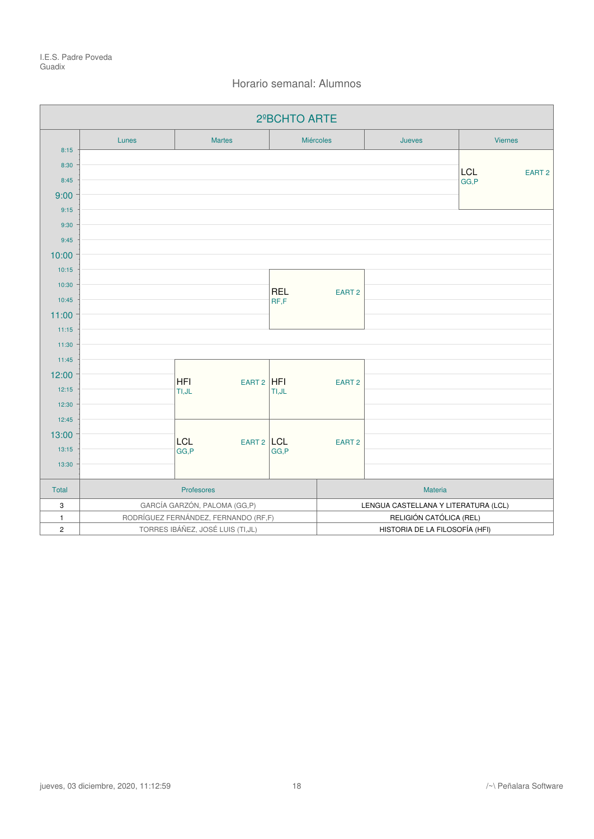|                | 2ºBCHTO ARTE |                                      |                     |                                      |               |                |                   |  |  |  |  |  |
|----------------|--------------|--------------------------------------|---------------------|--------------------------------------|---------------|----------------|-------------------|--|--|--|--|--|
|                | Lunes        | <b>Martes</b>                        |                     | <b>Miércoles</b>                     | <b>Jueves</b> | <b>Viernes</b> |                   |  |  |  |  |  |
| 8:15           |              |                                      |                     |                                      |               |                |                   |  |  |  |  |  |
| 8:30           |              |                                      |                     |                                      |               | <b>LCL</b>     | EART <sub>2</sub> |  |  |  |  |  |
| 8:45           |              |                                      |                     |                                      |               | GG, P          |                   |  |  |  |  |  |
| 9:00           |              |                                      |                     |                                      |               |                |                   |  |  |  |  |  |
| 9:15           |              |                                      |                     |                                      |               |                |                   |  |  |  |  |  |
| 9:30           |              |                                      |                     |                                      |               |                |                   |  |  |  |  |  |
| 9:45           |              |                                      |                     |                                      |               |                |                   |  |  |  |  |  |
| 10:00          |              |                                      |                     |                                      |               |                |                   |  |  |  |  |  |
| 10:15          |              |                                      |                     |                                      |               |                |                   |  |  |  |  |  |
| 10:30          |              |                                      |                     |                                      |               |                |                   |  |  |  |  |  |
| 10:45          |              |                                      | <b>REL</b><br>RF, F | EART <sub>2</sub>                    |               |                |                   |  |  |  |  |  |
| 11:00          |              |                                      |                     |                                      |               |                |                   |  |  |  |  |  |
| 11:15          |              |                                      |                     |                                      |               |                |                   |  |  |  |  |  |
| 11:30          |              |                                      |                     |                                      |               |                |                   |  |  |  |  |  |
| 11:45          |              |                                      |                     |                                      |               |                |                   |  |  |  |  |  |
| 12:00          |              |                                      |                     |                                      |               |                |                   |  |  |  |  |  |
| 12:15          |              | <b>HFI</b><br>EART $2$ HFI<br>TI,JL  | TI,JL               | EART <sub>2</sub>                    |               |                |                   |  |  |  |  |  |
| 12:30          |              |                                      |                     |                                      |               |                |                   |  |  |  |  |  |
| 12:45          |              |                                      |                     |                                      |               |                |                   |  |  |  |  |  |
| 13:00          |              |                                      |                     |                                      |               |                |                   |  |  |  |  |  |
| 13:15          |              | <b>LCL</b><br>EART $2$ LCL<br>GG,P   | GG, P               | EART <sub>2</sub>                    |               |                |                   |  |  |  |  |  |
| 13:30          |              |                                      |                     |                                      |               |                |                   |  |  |  |  |  |
|                |              |                                      |                     |                                      |               |                |                   |  |  |  |  |  |
| Total          |              | Profesores                           |                     |                                      | Materia       |                |                   |  |  |  |  |  |
| 3              |              | GARCÍA GARZÓN, PALOMA (GG,P)         |                     | LENGUA CASTELLANA Y LITERATURA (LCL) |               |                |                   |  |  |  |  |  |
| $\mathbf{1}$   |              | RODRÍGUEZ FERNÁNDEZ, FERNANDO (RF,F) |                     | RELIGIÓN CATÓLICA (REL)              |               |                |                   |  |  |  |  |  |
| $\overline{c}$ |              | TORRES IBÁÑEZ, JOSÉ LUIS (TI, JL)    |                     | HISTORIA DE LA FILOSOFÍA (HFI)       |               |                |                   |  |  |  |  |  |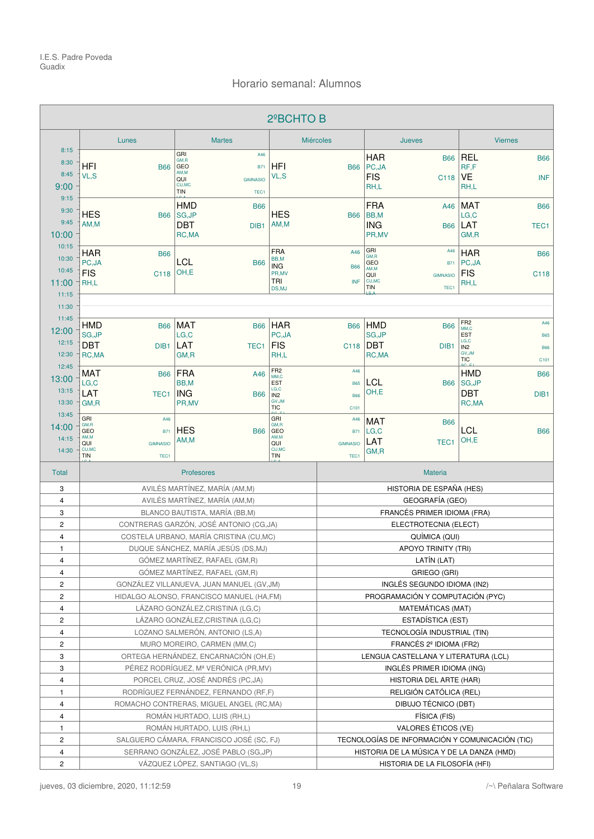| 2ºBCHTO B                                          |                                                                                                    |                                                                                                          |                                                                                          |                                                 |                                                    |                                                                 |                                                                                   |                                         |  |  |  |
|----------------------------------------------------|----------------------------------------------------------------------------------------------------|----------------------------------------------------------------------------------------------------------|------------------------------------------------------------------------------------------|-------------------------------------------------|----------------------------------------------------|-----------------------------------------------------------------|-----------------------------------------------------------------------------------|-----------------------------------------|--|--|--|
|                                                    | Lunes                                                                                              | <b>Martes</b>                                                                                            |                                                                                          | <b>Miércoles</b>                                |                                                    | <b>Jueves</b>                                                   | <b>Viernes</b>                                                                    |                                         |  |  |  |
| 8:15<br>8:30<br>8:45<br>9:00                       | HFI<br><b>B66</b><br>VL,S                                                                          | GRI<br>A46<br>GM,R<br>GEO<br><b>B71</b><br>AM,M<br>QUI<br>CU,MC<br><b>GIMNASIO</b><br><b>TIN</b><br>TEC1 | <b>HFI</b><br>VL,S                                                                       | <b>B66</b>                                      | <b>HAR</b><br>PC, JA<br><b>FIS</b><br>RH,L         | <b>B66</b><br>C118                                              | <b>REL</b><br>RF,F<br><b>VE</b><br>RH,L                                           | <b>B66</b><br><b>INF</b>                |  |  |  |
| 9:15<br>9:30<br>9:45<br>10:00                      | <b>HES</b><br><b>B66</b><br>AM,M                                                                   | <b>HMD</b><br><b>B66</b><br>SG,JP<br><b>DBT</b><br>DIB <sub>1</sub><br>RC, MA                            | <b>HES</b><br>AM, M                                                                      | <b>B66</b>                                      | <b>FRA</b><br>BB,M<br><b>ING</b><br>PR,MV          | A46<br><b>B66</b>                                               | <b>MAT</b><br>LG, C<br>LAT<br>GM,R                                                | <b>B66</b><br>TEC1                      |  |  |  |
| 10:15<br>10:30<br>10:45<br>11:00<br>11:15<br>11:30 | <b>HAR</b><br><b>B66</b><br>PC, JA<br><b>FIS</b><br>C118<br>RH,L                                   | <b>LCL</b><br><b>B66</b><br>OH,E                                                                         | <b>FRA</b><br>BB,M<br><b>ING</b><br>PR,MV<br>TRI<br>DS,MJ                                | A46<br><b>B66</b><br><b>INF</b>                 | GRI<br>GM,R<br>GEO<br>AM,M<br>QUI<br>CU, MC<br>TIN | A46<br><b>B71</b><br><b>GIMNASIO</b><br>TEC1                    | <b>HAR</b><br>PC, JA<br><b>FIS</b><br>RH,L                                        | <b>B66</b><br>C118                      |  |  |  |
| 11:45<br>12:00<br>12:15<br>12:30                   | <b>HMD</b><br><b>B66</b><br>SG, JP<br><b>DBT</b><br>DIB <sub>1</sub><br>RC, MA                     | MAT<br><b>B66</b><br>LG, C<br>LAT<br>TEC <sub>1</sub><br>GM,R                                            | <b>HAR</b><br>PC, JA<br><b>FIS</b><br>RH,L                                               | <b>B66</b><br>C118                              | <b>HMD</b><br>SG, JP<br><b>DBT</b><br>RC, MA       | <b>B66</b><br>DIB <sub>1</sub>                                  | FR <sub>2</sub><br>MM,C<br>EST<br>LG,C<br>IN <sub>2</sub><br>GV, JM<br><b>TIC</b> | A46<br><b>B65</b><br><b>B66</b><br>C101 |  |  |  |
| 12:45<br>13:00<br>13:15<br>13:30<br>13:45          | <b>MAT</b><br><b>B66</b><br>LG, C<br>LAT<br>TEC <sub>1</sub><br>GM,R                               | FRA<br>A46<br>BB,M<br><b>ING</b><br><b>B66</b><br>PR,MV                                                  | FR <sub>2</sub><br>MM,C<br><b>EST</b><br>LG,C<br>IN <sub>2</sub><br>GV, JM<br><b>TIC</b> | A46<br><b>B65</b><br><b>B66</b><br>C101         | LCL<br>OH,E                                        | <b>B66</b>                                                      | <b>HMD</b><br> SG, JP<br><b>DBT</b><br>RC, MA                                     | <b>B66</b><br>DIB <sub>1</sub>          |  |  |  |
| 14:00<br>14:15<br>14:30                            | GRI<br>A46<br>GM,R<br>GEO<br><b>B71</b><br>AM,M<br><b>GIMNASIO</b><br>QUI<br>CU, MC<br>TIN<br>TEC1 | <b>HES</b><br><b>B66</b><br>AM, M                                                                        | <b>GRI</b><br>GM,R<br>GEO<br>AM,M<br>QUI<br>CU, MC<br>TIN                                | A46<br><b>B71</b><br><b>GIMNASIO</b><br>TEC1    | <b>MAT</b><br>LG, C<br>LAT<br>GM,R                 | <b>B66</b><br>TEC <sub>1</sub>                                  | <b>LCL</b><br>OH,E                                                                | <b>B66</b>                              |  |  |  |
| <b>Total</b>                                       |                                                                                                    | <b>Profesores</b>                                                                                        |                                                                                          |                                                 |                                                    | <b>Materia</b>                                                  |                                                                                   |                                         |  |  |  |
| 3                                                  |                                                                                                    | AVILÉS MARTÍNEZ, MARÍA (AM, M)                                                                           |                                                                                          |                                                 | HISTORIA DE ESPAÑA (HES)<br>GEOGRAFÍA (GEO)        |                                                                 |                                                                                   |                                         |  |  |  |
| $\overline{4}$<br>3                                |                                                                                                    | AVILÉS MARTÍNEZ, MARÍA (AM,M)<br>BLANCO BAUTISTA, MARÍA (BB,M)                                           |                                                                                          |                                                 |                                                    | FRANCÉS PRIMER IDIOMA (FRA)                                     |                                                                                   |                                         |  |  |  |
| $\overline{c}$                                     |                                                                                                    | CONTRERAS GARZÓN, JOSÉ ANTONIO (CG, JA)                                                                  |                                                                                          |                                                 |                                                    | ELECTROTECNIA (ELECT)                                           |                                                                                   |                                         |  |  |  |
| 4                                                  |                                                                                                    | COSTELA URBANO, MARÍA CRISTINA (CU,MC)                                                                   |                                                                                          |                                                 |                                                    | QUÍMICA (QUI)                                                   |                                                                                   |                                         |  |  |  |
| 1                                                  |                                                                                                    | DUQUE SÁNCHEZ, MARÍA JESÚS (DS,MJ)                                                                       |                                                                                          |                                                 |                                                    | APOYO TRINITY (TRI)                                             |                                                                                   |                                         |  |  |  |
| 4                                                  |                                                                                                    | GÓMEZ MARTÍNEZ, RAFAEL (GM,R)                                                                            |                                                                                          |                                                 |                                                    | LATÍN (LAT)                                                     |                                                                                   |                                         |  |  |  |
| 4                                                  |                                                                                                    | GÓMEZ MARTÍNEZ, RAFAEL (GM,R)                                                                            |                                                                                          |                                                 |                                                    | GRIEGO (GRI)                                                    |                                                                                   |                                         |  |  |  |
| 2                                                  |                                                                                                    | GONZÁLEZ VILLANUEVA, JUAN MANUEL (GV, JM)<br>HIDALGO ALONSO, FRANCISCO MANUEL (HA,FM)                    |                                                                                          |                                                 |                                                    | INGLÉS SEGUNDO IDIOMA (IN2)<br>PROGRAMACIÓN Y COMPUTACIÓN (PYC) |                                                                                   |                                         |  |  |  |
| 2<br>4                                             |                                                                                                    | LÁZARO GONZÁLEZ, CRISTINA (LG, C)                                                                        |                                                                                          |                                                 |                                                    | MATEMÁTICAS (MAT)                                               |                                                                                   |                                         |  |  |  |
| 2                                                  |                                                                                                    | LÁZARO GONZÁLEZ, CRISTINA (LG,C)                                                                         |                                                                                          |                                                 |                                                    | ESTADÍSTICA (EST)                                               |                                                                                   |                                         |  |  |  |
| 4                                                  |                                                                                                    | LOZANO SALMERÓN, ANTONIO (LS,A)                                                                          |                                                                                          |                                                 |                                                    | TECNOLOGÍA INDUSTRIAL (TIN)                                     |                                                                                   |                                         |  |  |  |
| 2                                                  |                                                                                                    | MURO MOREIRO, CARMEN (MM,C)                                                                              |                                                                                          |                                                 |                                                    | FRANCÉS 2º IDIOMA (FR2)                                         |                                                                                   |                                         |  |  |  |
| 3                                                  |                                                                                                    | ORTEGA HERNÁNDEZ, ENCARNACIÓN (OH,E)                                                                     |                                                                                          |                                                 |                                                    | LENGUA CASTELLANA Y LITERATURA (LCL)                            |                                                                                   |                                         |  |  |  |
| 3                                                  |                                                                                                    | PÉREZ RODRÍGUEZ, Mª VERÓNICA (PR, MV)                                                                    |                                                                                          |                                                 |                                                    | INGLÉS PRIMER IDIOMA (ING)                                      |                                                                                   |                                         |  |  |  |
| 4                                                  |                                                                                                    | PORCEL CRUZ, JOSÉ ANDRÉS (PC, JA)                                                                        |                                                                                          |                                                 |                                                    | HISTORIA DEL ARTE (HAR)                                         |                                                                                   |                                         |  |  |  |
| $\mathbf{1}$                                       |                                                                                                    | RODRÍGUEZ FERNÁNDEZ, FERNANDO (RF,F)                                                                     |                                                                                          |                                                 |                                                    | RELIGIÓN CATÓLICA (REL)                                         |                                                                                   |                                         |  |  |  |
| 4                                                  |                                                                                                    | ROMACHO CONTRERAS, MIGUEL ANGEL (RC,MA)                                                                  |                                                                                          | DIBUJO TÉCNICO (DBT)                            |                                                    |                                                                 |                                                                                   |                                         |  |  |  |
| 4                                                  |                                                                                                    | ROMÁN HURTADO, LUIS (RH,L)                                                                               |                                                                                          | FÍSICA (FIS)<br>VALORES ÉTICOS (VE)             |                                                    |                                                                 |                                                                                   |                                         |  |  |  |
| $\mathbf{1}$<br>2                                  |                                                                                                    | ROMÁN HURTADO, LUIS (RH,L)<br>SALGUERO CÁMARA, FRANCISCO JOSÉ (SC, FJ)                                   |                                                                                          | TECNOLOGÍAS DE INFORMACIÓN Y COMUNICACIÓN (TIC) |                                                    |                                                                 |                                                                                   |                                         |  |  |  |
| 4                                                  |                                                                                                    | SERRANO GONZÁLEZ, JOSÉ PABLO (SG,JP)                                                                     |                                                                                          | HISTORIA DE LA MÚSICA Y DE LA DANZA (HMD)       |                                                    |                                                                 |                                                                                   |                                         |  |  |  |
| $\mathbf{2}$                                       |                                                                                                    | VÁZQUEZ LÓPEZ, SANTIAGO (VL,S)                                                                           |                                                                                          |                                                 | HISTORIA DE LA FILOSOFÍA (HFI)                     |                                                                 |                                                                                   |                                         |  |  |  |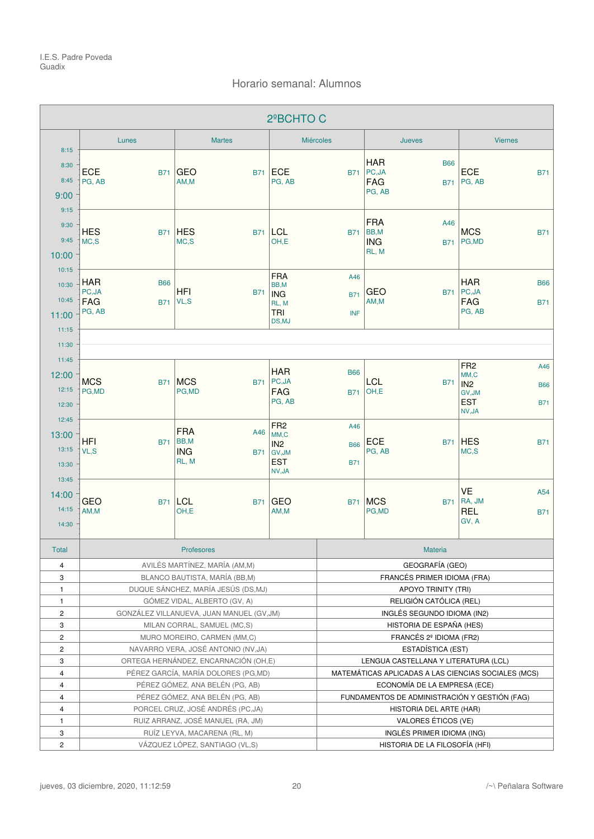|                                           | 2ºBCHTO C                                                                |                                                                    |                   |                                                                              |                                                                               |                                              |                                                     |                                                                              |                                 |  |  |  |
|-------------------------------------------|--------------------------------------------------------------------------|--------------------------------------------------------------------|-------------------|------------------------------------------------------------------------------|-------------------------------------------------------------------------------|----------------------------------------------|-----------------------------------------------------|------------------------------------------------------------------------------|---------------------------------|--|--|--|
|                                           | Lunes                                                                    | <b>Martes</b>                                                      |                   |                                                                              | <b>Miércoles</b>                                                              |                                              | <b>Jueves</b>                                       |                                                                              | <b>Viernes</b>                  |  |  |  |
| 8:15<br>8:30<br>8:45<br>9:00              | ECE<br><b>B71</b><br>PG, AB                                              | GEO<br>AM,M                                                        | <b>B71</b>        | ECE<br>PG, AB                                                                | <b>B71</b>                                                                    | <b>HAR</b><br>PC, JA<br><b>FAG</b><br>PG, AB | <b>B66</b><br><b>B71</b>                            | ECE<br>PG, AB                                                                | <b>B71</b>                      |  |  |  |
| 9:15<br>9:30<br>9:45<br>10:00             | <b>HES</b><br><b>B71</b><br>MC, S                                        | <b>HES</b><br>MC, S                                                | <b>B71</b>        | LCL<br>OH,E                                                                  | <b>B71</b>                                                                    | <b>FRA</b><br>BB,M<br><b>ING</b><br>RL, M    | A46<br><b>B71</b>                                   | <b>MCS</b><br>PG,MD                                                          | <b>B71</b>                      |  |  |  |
| 10:15<br>10:30<br>10:45<br>11:00<br>11:15 | <b>HAR</b><br><b>B66</b><br>PC, JA<br><b>FAG</b><br><b>B71</b><br>PG, AB | <b>HFI</b><br>VL, S                                                | <b>B71</b>        | <b>FRA</b><br>BB,M<br><b>ING</b><br>RL, M<br><b>TRI</b><br>DS,MJ             | A46<br><b>B71</b><br><b>INF</b>                                               | <b>GEO</b><br>AM,M                           | <b>B71</b>                                          | <b>HAR</b><br>PC, JA<br><b>FAG</b><br>PG, AB                                 | <b>B66</b><br><b>B71</b>        |  |  |  |
| 11:30<br>11:45<br>12:00<br>12:15<br>12:30 | <b>MCS</b><br><b>B71</b><br>PG,MD                                        | MCS<br>PG,MD                                                       | <b>B71</b>        | <b>HAR</b><br>PC, JA<br><b>FAG</b><br>PG, AB                                 | <b>B66</b><br><b>B71</b>                                                      | <b>LCL</b><br>OH,E                           | <b>B71</b>                                          | FR <sub>2</sub><br>MM,C<br>IN <sub>2</sub><br>GV, JM<br><b>EST</b><br>NV, JA | A46<br><b>B66</b><br><b>B71</b> |  |  |  |
| 12:45<br>13:00<br>13:15<br>13:30<br>13:45 | <b>HFI</b><br><b>B71</b><br>VL,S                                         | <b>FRA</b><br><b>BB,M</b><br><b>ING</b><br>RL, M                   | A46<br><b>B71</b> | FR <sub>2</sub><br>MM,C<br>IN <sub>2</sub><br>GV, JM<br><b>EST</b><br>NV, JA | A46<br><b>B66</b><br><b>B71</b>                                               | <b>ECE</b><br>PG, AB                         | <b>B71</b>                                          | <b>HES</b><br>MC,S                                                           | <b>B71</b>                      |  |  |  |
| 14:00<br>14:15<br>14:30                   | <b>GEO</b><br><b>B71</b><br>AM,M                                         | LCL<br>OH,E                                                        | <b>B71</b>        | <b>GEO</b><br>AM,M                                                           | <b>B71</b>                                                                    | <b>MCS</b><br>PG,MD                          | <b>B71</b>                                          | <b>VE</b><br>RA, JM<br><b>REL</b><br>GV, A                                   | A54<br><b>B71</b>               |  |  |  |
| Total                                     |                                                                          | Profesores                                                         |                   |                                                                              |                                                                               |                                              | Materia                                             |                                                                              |                                 |  |  |  |
| 4                                         |                                                                          | AVILÉS MARTÍNEZ, MARÍA (AM,M)                                      |                   |                                                                              |                                                                               |                                              | GEOGRAFÍA (GEO)                                     |                                                                              |                                 |  |  |  |
| 3                                         |                                                                          | BLANCO BAUTISTA, MARÍA (BB,M)                                      |                   |                                                                              |                                                                               |                                              | FRANCÉS PRIMER IDIOMA (FRA)                         |                                                                              |                                 |  |  |  |
| $\mathbf{1}$<br>$\mathbf{1}$              |                                                                          | DUQUE SÁNCHEZ, MARÍA JESÚS (DS,MJ)<br>GÓMEZ VIDAL, ALBERTO (GV, A) |                   |                                                                              |                                                                               |                                              | APOYO TRINITY (TRI)<br>RELIGIÓN CATÓLICA (REL)      |                                                                              |                                 |  |  |  |
| $\overline{c}$                            |                                                                          | GONZÁLEZ VILLANUEVA, JUAN MANUEL (GV, JM)                          |                   |                                                                              |                                                                               |                                              | INGLÉS SEGUNDO IDIOMA (IN2)                         |                                                                              |                                 |  |  |  |
| 3                                         |                                                                          | MILAN CORRAL, SAMUEL (MC,S)                                        |                   |                                                                              |                                                                               |                                              | HISTORIA DE ESPAÑA (HES)                            |                                                                              |                                 |  |  |  |
| $\overline{c}$                            |                                                                          | MURO MOREIRO, CARMEN (MM,C)                                        |                   |                                                                              |                                                                               |                                              | FRANCÉS 2º IDIOMA (FR2)                             |                                                                              |                                 |  |  |  |
| $\overline{c}$                            |                                                                          | NAVARRO VERA, JOSÉ ANTONIO (NV, JA)                                |                   |                                                                              |                                                                               |                                              | ESTADÍSTICA (EST)                                   |                                                                              |                                 |  |  |  |
| 3                                         |                                                                          | ORTEGA HERNÁNDEZ, ENCARNACIÓN (OH,E)                               |                   |                                                                              |                                                                               |                                              | LENGUA CASTELLANA Y LITERATURA (LCL)                |                                                                              |                                 |  |  |  |
| $\overline{4}$                            |                                                                          | PÉREZ GARCÍA, MARÍA DOLORES (PG,MD)                                |                   |                                                                              |                                                                               |                                              | MATEMÁTICAS APLICADAS A LAS CIENCIAS SOCIALES (MCS) |                                                                              |                                 |  |  |  |
| $\overline{4}$<br>$\overline{4}$          |                                                                          | PÉREZ GÓMEZ, ANA BELÉN (PG, AB)<br>PÉREZ GÓMEZ, ANA BELÉN (PG, AB) |                   |                                                                              | ECONOMÍA DE LA EMPRESA (ECE)<br>FUNDAMENTOS DE ADMINISTRACIÓN Y GESTIÓN (FAG) |                                              |                                                     |                                                                              |                                 |  |  |  |
| $\overline{4}$                            |                                                                          | PORCEL CRUZ, JOSÉ ANDRÉS (PC,JA)                                   |                   |                                                                              | HISTORIA DEL ARTE (HAR)                                                       |                                              |                                                     |                                                                              |                                 |  |  |  |
| $\mathbf{1}$                              |                                                                          | RUIZ ARRANZ, JOSÉ MANUEL (RA, JM)                                  |                   |                                                                              | VALORES ÉTICOS (VE)                                                           |                                              |                                                     |                                                                              |                                 |  |  |  |
| 3                                         |                                                                          | RUÍZ LEYVA, MACARENA (RL, M)                                       |                   |                                                                              |                                                                               | INGLÉS PRIMER IDIOMA (ING)                   |                                                     |                                                                              |                                 |  |  |  |
| $\sqrt{2}$                                |                                                                          | VÁZQUEZ LÓPEZ, SANTIAGO (VL,S)                                     |                   |                                                                              |                                                                               | HISTORIA DE LA FILOSOFÍA (HFI)               |                                                     |                                                                              |                                 |  |  |  |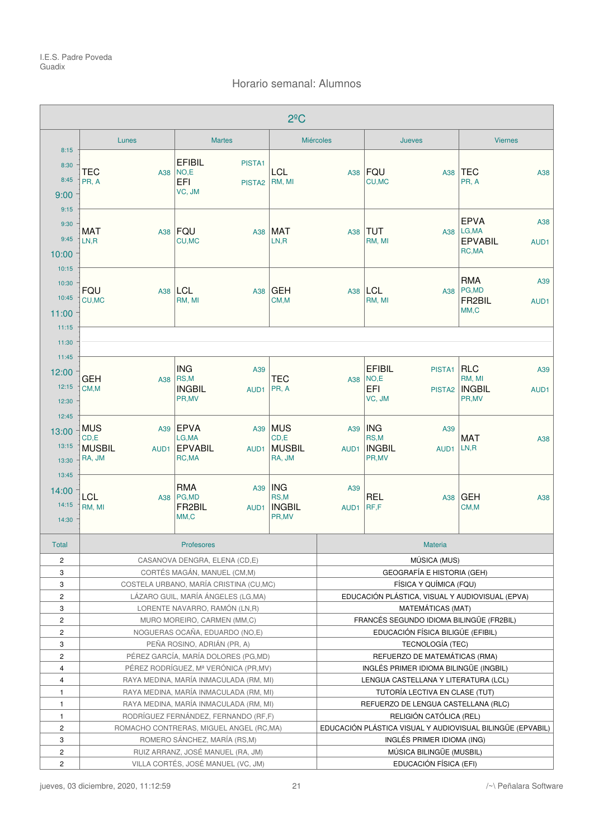|                                           | $2^{\circ}$ C                                                            |                                                                              |                                               |                                                            |                                              |                                   |                                                   |                         |  |  |  |  |
|-------------------------------------------|--------------------------------------------------------------------------|------------------------------------------------------------------------------|-----------------------------------------------|------------------------------------------------------------|----------------------------------------------|-----------------------------------|---------------------------------------------------|-------------------------|--|--|--|--|
|                                           | Lunes                                                                    | <b>Martes</b>                                                                |                                               | <b>Miércoles</b>                                           |                                              | <b>Jueves</b>                     | <b>Viernes</b>                                    |                         |  |  |  |  |
| 8:15<br>8:30<br>8:45<br>9:00              | <b>TEC</b><br>A38<br>PR, A                                               | EFIBIL<br>PISTA1<br>NO.E<br>EFI<br><b>PISTA2</b><br>VC, JM                   | <b>LCL</b><br>RM, MI                          | A38                                                        | FQU<br><b>CU,MC</b>                          | A38                               | <b>TEC</b><br>PR, A                               | A38                     |  |  |  |  |
| 9:15<br>9:30<br>9:45<br>10:00             | <b>MAT</b><br>A38<br>LN, R                                               | <b>FQU</b><br>A38<br><b>CU,MC</b>                                            | MAT<br>LN, R                                  | A38                                                        | <b>TUT</b><br>RM, MI                         | A38                               | <b>EPVA</b><br>LG, MA<br><b>EPVABIL</b><br>RC, MA | A38<br>AUD <sub>1</sub> |  |  |  |  |
| 10:15<br>10:30<br>10:45<br>11:00<br>11:15 | <b>FQU</b><br>A38<br><b>CU,MC</b>                                        | <b>LCL</b><br>A38<br>RM, MI                                                  | <b>GEH</b><br>CM, M                           | A38                                                        | LCL<br>RM, MI                                | A38                               | <b>RMA</b><br>PG,MD<br>FR2BIL<br>MM, C            | A39<br>AUD <sub>1</sub> |  |  |  |  |
| 11:30                                     |                                                                          |                                                                              |                                               |                                                            |                                              |                                   |                                                   |                         |  |  |  |  |
| 11:45<br>12:00<br>12:15<br>12:30          | <b>GEH</b><br>A38<br>CM,M                                                | <b>ING</b><br>A39<br>RS,M<br><b>INGBIL</b><br>AUD <sub>1</sub><br>PR, MV     | TEC<br>PR, A                                  | A38                                                        | <b>EFIBIL</b><br>NO, E<br>EFI<br>VC, JM      | PISTA1<br>PISTA <sub>2</sub>      | <b>RLC</b><br>RM, MI<br>∣INGBIL<br>PR,MV          | A39<br>AUD <sub>1</sub> |  |  |  |  |
| 12:45<br>13:00<br>13:15<br>13:30          | <b>MUS</b><br>A39<br>CD,E<br><b>MUSBIL</b><br>AUD <sub>1</sub><br>RA, JM | <b>EPVA</b><br>A39<br>LG, MA<br><b>EPVABIL</b><br>AUD <sub>1</sub><br>RC, MA | <b>MUS</b><br>CD,E<br><b>MUSBIL</b><br>RA, JM | A39<br>AUD <sub>1</sub>                                    | <b>ING</b><br>RS,M<br><b>INGBIL</b><br>PR,MV | A39<br>AUD <sub>1</sub>           | <b>MAT</b><br>LN,R                                | A38                     |  |  |  |  |
| 13:45<br>14:00<br>14:15<br>14:30          | <b>LCL</b><br>A38<br>RM, MI                                              | <b>RMA</b><br>A39<br>PG,MD<br>FR2BIL<br>AUD <sub>1</sub><br>MM, C            | <b>ING</b><br>RS,M<br><b>INGBIL</b><br>PR,MV  | A39<br>AUD <sub>1</sub>                                    | REL<br>RF,F                                  | A38                               | <b>GEH</b><br>CM,M                                | A38                     |  |  |  |  |
| <b>Total</b>                              |                                                                          | <b>Profesores</b>                                                            |                                               |                                                            |                                              | <b>Materia</b>                    |                                                   |                         |  |  |  |  |
| $\overline{c}$                            |                                                                          | CASANOVA DENGRA, ELENA (CD,E)                                                |                                               |                                                            |                                              | MÚSICA (MUS)                      |                                                   |                         |  |  |  |  |
| 3                                         |                                                                          | CORTÉS MAGÁN, MANUEL (CM,M)                                                  |                                               |                                                            |                                              | <b>GEOGRAFÍA E HISTORIA (GEH)</b> |                                                   |                         |  |  |  |  |
| 3                                         |                                                                          | COSTELA URBANO, MARÍA CRISTINA (CU,MC)                                       |                                               |                                                            |                                              | FÍSICA Y QUÍMICA (FQU)            |                                                   |                         |  |  |  |  |
| $\overline{c}$                            |                                                                          | LÁZARO GUIL, MARÍA ÁNGELES (LG, MA)                                          |                                               |                                                            |                                              | MATEMÁTICAS (MAT)                 | EDUCACIÓN PLÁSTICA, VISUAL Y AUDIOVISUAL (EPVA)   |                         |  |  |  |  |
| 3<br>$\overline{\mathbf{c}}$              |                                                                          | LORENTE NAVARRO, RAMÓN (LN,R)<br>MURO MOREIRO, CARMEN (MM,C)                 |                                               |                                                            |                                              |                                   | FRANCÉS SEGUNDO IDIOMA BILINGÜE (FR2BIL)          |                         |  |  |  |  |
| $\overline{\mathbf{c}}$                   |                                                                          | NOGUERAS OCAÑA, EDUARDO (NO,E)                                               |                                               |                                                            |                                              | EDUCACIÓN FÍSICA BILIGÚE (EFIBIL) |                                                   |                         |  |  |  |  |
| 3                                         |                                                                          | PEÑA ROSINO, ADRIÁN (PR, A)                                                  |                                               |                                                            |                                              | TECNOLOGÍA (TEC)                  |                                                   |                         |  |  |  |  |
| $\overline{c}$                            |                                                                          | PÉREZ GARCÍA, MARÍA DOLORES (PG,MD)                                          |                                               |                                                            |                                              | REFUERZO DE MATEMÁTICAS (RMA)     |                                                   |                         |  |  |  |  |
| 4                                         |                                                                          | PÉREZ RODRÍGUEZ, Mª VERÓNICA (PR, MV)                                        |                                               |                                                            |                                              |                                   | INGLÉS PRIMER IDIOMA BILINGÜE (INGBIL)            |                         |  |  |  |  |
| 4                                         |                                                                          | RAYA MEDINA, MARÍA INMACULADA (RM, MI)                                       |                                               |                                                            |                                              |                                   | LENGUA CASTELLANA Y LITERATURA (LCL)              |                         |  |  |  |  |
| $\mathbf{1}$                              |                                                                          | RAYA MEDINA, MARÍA INMACULADA (RM, MI)                                       |                                               |                                                            |                                              | TUTORÍA LECTIVA EN CLASE (TUT)    |                                                   |                         |  |  |  |  |
| $\mathbf{1}$                              |                                                                          | RAYA MEDINA, MARÍA INMACULADA (RM, MI)                                       |                                               | REFUERZO DE LENGUA CASTELLANA (RLC)                        |                                              |                                   |                                                   |                         |  |  |  |  |
| $\mathbf{1}$                              |                                                                          | RODRÍGUEZ FERNÁNDEZ, FERNANDO (RF,F)                                         |                                               | RELIGIÓN CATÓLICA (REL)                                    |                                              |                                   |                                                   |                         |  |  |  |  |
| $\overline{c}$                            |                                                                          | ROMACHO CONTRERAS, MIGUEL ANGEL (RC,MA)                                      |                                               | EDUCACIÓN PLÁSTICA VISUAL Y AUDIOVISUAL BILINGÜE (EPVABIL) |                                              |                                   |                                                   |                         |  |  |  |  |
| 3                                         |                                                                          | ROMERO SÁNCHEZ, MARÍA (RS,M)                                                 |                                               | INGLÉS PRIMER IDIOMA (ING)                                 |                                              |                                   |                                                   |                         |  |  |  |  |
| $\overline{\mathbf{c}}$<br>$\overline{c}$ |                                                                          | RUIZ ARRANZ, JOSÉ MANUEL (RA, JM)<br>VILLA CORTÉS, JOSÉ MANUEL (VC, JM)      |                                               | MÚSICA BILINGÜE (MUSBIL)<br>EDUCACIÓN FÍSICA (EFI)         |                                              |                                   |                                                   |                         |  |  |  |  |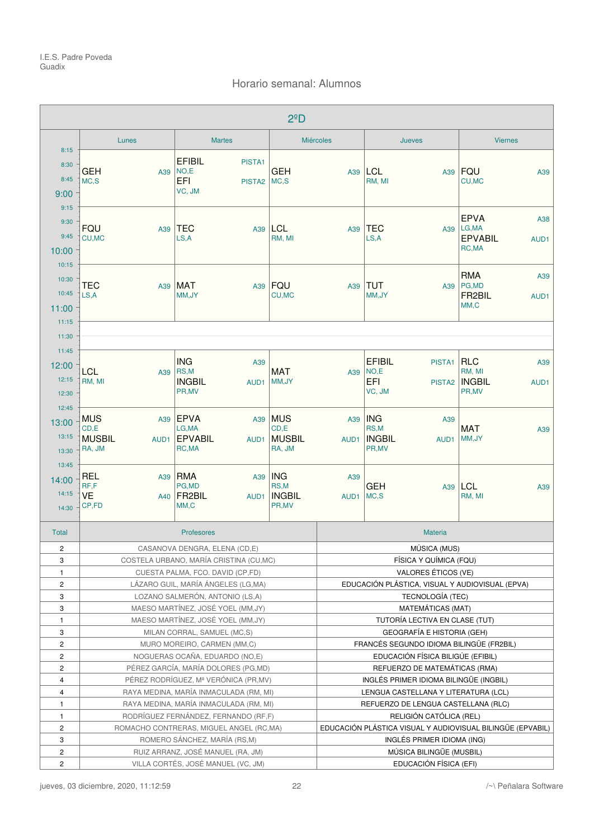|                                  | $2^{\circ}D$                                                             |                                                                             |                                               |                                                            |                                                                                |                                                                              |  |  |  |  |  |  |
|----------------------------------|--------------------------------------------------------------------------|-----------------------------------------------------------------------------|-----------------------------------------------|------------------------------------------------------------|--------------------------------------------------------------------------------|------------------------------------------------------------------------------|--|--|--|--|--|--|
|                                  | Lunes                                                                    | <b>Martes</b>                                                               |                                               | <b>Miércoles</b>                                           | <b>Jueves</b>                                                                  | <b>Viernes</b>                                                               |  |  |  |  |  |  |
| 8:15<br>8:30<br>8:45<br>9:00     | <b>GEH</b><br>A39<br>MC,S                                                | <b>EFIBIL</b><br>PISTA1<br>NO,E<br><b>EFI</b><br><b>PISTA2</b><br>VC, JM    | <b>GEH</b><br>MC <sub>,</sub> S               | A39                                                        | <b>LCL</b><br>A39<br>RM, MI                                                    | <b>FQU</b><br>A39<br>CU, MC                                                  |  |  |  |  |  |  |
| 9:15<br>9:30<br>9:45<br>10:00    | <b>FQU</b><br>A39<br><b>CU,MC</b>                                        | <b>TEC</b><br>A39<br>LS, A                                                  | <b>LCL</b><br>RM, MI                          | A39                                                        | TEC<br>A39<br>LS, A                                                            | <b>EPVA</b><br>A38<br> LG,MA<br><b>EPVABIL</b><br>AUD <sub>1</sub><br>RC, MA |  |  |  |  |  |  |
| 10:15<br>10:30<br>10:45<br>11:00 | TEC<br>A39<br>LS, A                                                      | MAT<br>A39<br>MM, JY                                                        | FQU<br>CU, MC                                 | A39                                                        | <b>TUT</b><br>A39<br>MM, JY                                                    | <b>RMA</b><br>A39<br>PG,MD<br>FR2BIL<br>AUD <sub>1</sub><br>MM, C            |  |  |  |  |  |  |
| 11:15<br>11:30                   |                                                                          |                                                                             |                                               |                                                            |                                                                                |                                                                              |  |  |  |  |  |  |
| 11:45<br>12:00<br>12:15<br>12:30 | LCL<br>A39<br>RM, MI                                                     | <b>ING</b><br>A39<br>RS,M<br><b>INGBIL</b><br>AUD <sub>1</sub><br>PR,MV     | <b>MAT</b><br>MM, JY                          | A39                                                        | <b>EFIBIL</b><br>PISTA1<br>NO, E<br><b>EFI</b><br>PISTA <sub>2</sub><br>VC, JM | <b>RLC</b><br>A39<br>RM, MI<br><b>INGBIL</b><br>AUD <sub>1</sub><br>PR, MV   |  |  |  |  |  |  |
| 12:45<br>13:00<br>13:15<br>13:30 | <b>MUS</b><br>A39<br>CD,E<br><b>MUSBIL</b><br>AUD <sub>1</sub><br>RA, JM | <b>EPVA</b><br>A39<br>LG,MA<br><b>EPVABIL</b><br>AUD <sub>1</sub><br>RC, MA | <b>MUS</b><br>CD,E<br><b>MUSBIL</b><br>RA, JM | A39<br>AUD <sub>1</sub>                                    | <b>ING</b><br>A39<br>RS,M<br><b>INGBIL</b><br>AUD <sub>1</sub><br>PR,MV        | <b>MAT</b><br>A39<br>MM, JY                                                  |  |  |  |  |  |  |
| 13:45<br>14:00<br>14:15<br>14:30 | <b>REL</b><br>A39<br>RF, F<br><b>VE</b><br>A40<br>CP,FD                  | <b>RMA</b><br>A39<br>PG,MD<br><b>FR2BIL</b><br>AUD <sub>1</sub><br>MM, C    | <b>ING</b><br>RS,M<br><b>INGBIL</b><br>PR, MV | A39<br>AUD <sub>1</sub>                                    | GEH<br>A39<br>MC <sub>,</sub> S                                                | LCL<br>A39<br>RM, MI                                                         |  |  |  |  |  |  |
| <b>Total</b>                     |                                                                          | <b>Profesores</b>                                                           |                                               | <b>Materia</b>                                             |                                                                                |                                                                              |  |  |  |  |  |  |
| $\overline{2}$                   |                                                                          | CASANOVA DENGRA, ELENA (CD,E)                                               |                                               | MÚSICA (MUS)                                               |                                                                                |                                                                              |  |  |  |  |  |  |
| 3                                |                                                                          | COSTELA URBANO, MARIA CRISTINA (CU,MC)                                      |                                               |                                                            | FÍSICA Y QUÍMICA (FQU)                                                         |                                                                              |  |  |  |  |  |  |
| $\mathbf{1}$                     |                                                                          | CUESTA PALMA, FCO. DAVID (CP,FD)                                            |                                               |                                                            | VALORES ÉTICOS (VE)                                                            |                                                                              |  |  |  |  |  |  |
| $\overline{c}$                   |                                                                          | LÁZARO GUIL, MARÍA ÁNGELES (LG, MA)                                         |                                               |                                                            | EDUCACIÓN PLÁSTICA, VISUAL Y AUDIOVISUAL (EPVA)                                |                                                                              |  |  |  |  |  |  |
| 3                                |                                                                          | LOZANO SALMERÓN, ANTONIO (LS,A)                                             |                                               |                                                            | TECNOLOGÍA (TEC)                                                               |                                                                              |  |  |  |  |  |  |
| 3<br>$\mathbf{1}$                |                                                                          | MAESO MARTÍNEZ, JOSÉ YOEL (MM,JY)<br>MAESO MARTÍNEZ, JOSÉ YOEL (MM,JY)      |                                               |                                                            | <b>MATEMÁTICAS (MAT)</b><br>TUTORÍA LECTIVA EN CLASE (TUT)                     |                                                                              |  |  |  |  |  |  |
| 3                                |                                                                          | MILAN CORRAL, SAMUEL (MC,S)                                                 |                                               |                                                            | GEOGRAFÍA E HISTORIA (GEH)                                                     |                                                                              |  |  |  |  |  |  |
| $\overline{c}$                   |                                                                          | MURO MOREIRO, CARMEN (MM,C)                                                 |                                               |                                                            | FRANCÉS SEGUNDO IDIOMA BILINGÜE (FR2BIL)                                       |                                                                              |  |  |  |  |  |  |
| $\overline{c}$                   |                                                                          | NOGUERAS OCAÑA, EDUARDO (NO,E)                                              |                                               |                                                            | EDUCACIÓN FÍSICA BILIGÚE (EFIBIL)                                              |                                                                              |  |  |  |  |  |  |
| $\overline{c}$                   |                                                                          | PÉREZ GARCÍA, MARÍA DOLORES (PG,MD)                                         |                                               |                                                            | REFUERZO DE MATEMÁTICAS (RMA)                                                  |                                                                              |  |  |  |  |  |  |
| 4                                |                                                                          | PÉREZ RODRÍGUEZ, Mª VERÓNICA (PR, MV)                                       |                                               |                                                            | INGLÉS PRIMER IDIOMA BILINGÜE (INGBIL)                                         |                                                                              |  |  |  |  |  |  |
| 4                                |                                                                          | RAYA MEDINA, MARÍA INMACULADA (RM, MI)                                      |                                               |                                                            | LENGUA CASTELLANA Y LITERATURA (LCL)                                           |                                                                              |  |  |  |  |  |  |
| $\mathbf{1}$                     |                                                                          | RAYA MEDINA, MARÍA INMACULADA (RM, MI)                                      |                                               | REFUERZO DE LENGUA CASTELLANA (RLC)                        |                                                                                |                                                                              |  |  |  |  |  |  |
| $\mathbf{1}$                     |                                                                          | RODRÍGUEZ FERNÁNDEZ, FERNANDO (RF,F)                                        |                                               | RELIGIÓN CATÓLICA (REL)                                    |                                                                                |                                                                              |  |  |  |  |  |  |
| $\overline{c}$                   |                                                                          | ROMACHO CONTRERAS, MIGUEL ANGEL (RC,MA)                                     |                                               | EDUCACIÓN PLÁSTICA VISUAL Y AUDIOVISUAL BILINGÜE (EPVABIL) |                                                                                |                                                                              |  |  |  |  |  |  |
| 3                                |                                                                          | ROMERO SÁNCHEZ, MARÍA (RS,M)                                                |                                               | INGLÉS PRIMER IDIOMA (ING)                                 |                                                                                |                                                                              |  |  |  |  |  |  |
| 2                                |                                                                          | RUIZ ARRANZ, JOSÉ MANUEL (RA, JM)                                           |                                               |                                                            | MÚSICA BILINGÜE (MUSBIL)                                                       |                                                                              |  |  |  |  |  |  |
| $\mathbf{2}$                     |                                                                          | VILLA CORTÉS, JOSÉ MANUEL (VC, JM)                                          |                                               |                                                            | EDUCACIÓN FÍSICA (EFI)                                                         |                                                                              |  |  |  |  |  |  |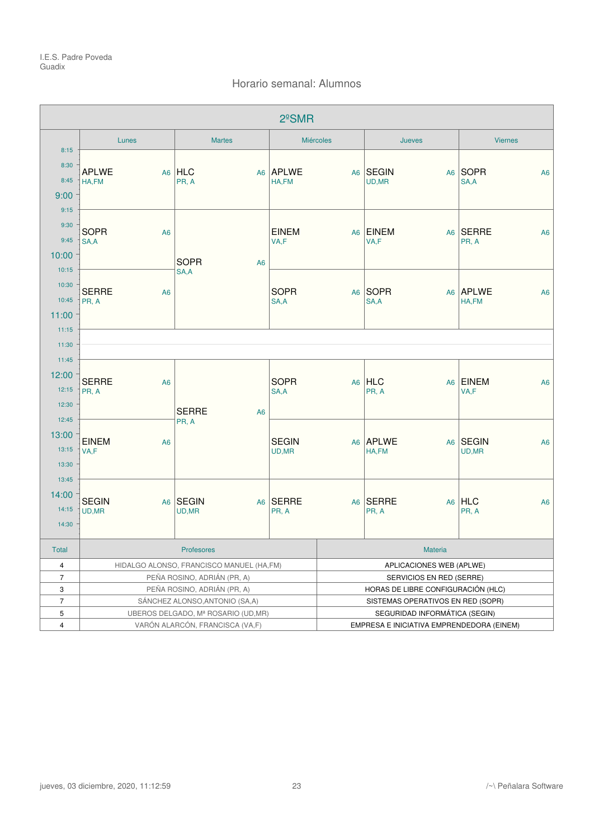|                                           | 2 <sup>°</sup> SMR                       |                                                            |                                       |                                                                |                                        |  |  |  |  |  |  |  |
|-------------------------------------------|------------------------------------------|------------------------------------------------------------|---------------------------------------|----------------------------------------------------------------|----------------------------------------|--|--|--|--|--|--|--|
| 8:15                                      | Lunes                                    | <b>Martes</b>                                              | <b>Miércoles</b>                      | <b>Jueves</b>                                                  | <b>Viernes</b>                         |  |  |  |  |  |  |  |
| 8:30<br>8:45<br>9:00                      | <b>APLWE</b><br>A6<br>HA,FM              | <b>HLC</b><br>A6<br>PR, A                                  | <b>APLWE</b><br>HA,FM                 | A6 SEGIN<br>A <sub>6</sub><br>UD, MR                           | <b>SOPR</b><br>A <sub>6</sub><br>SA,A  |  |  |  |  |  |  |  |
| 9:15<br>9:30<br>9:45<br>10:00<br>10:15    | <b>SOPR</b><br>A <sub>6</sub><br>SA,A    | <b>SOPR</b><br>A <sub>6</sub><br>SA,A                      | <b>EINEM</b><br>VA,F                  | A6 EINEM<br>A <sub>6</sub><br>VA,F                             | SERRE<br>A <sub>6</sub><br>PR, A       |  |  |  |  |  |  |  |
| 10:30<br>10:45<br>11:00                   | <b>SERRE</b><br>A <sub>6</sub><br>PR, A  |                                                            | <b>SOPR</b><br>A <sub>6</sub><br>SA,A | <b>SOPR</b><br>A <sub>6</sub><br>SA,A                          | APLWE<br>A <sub>6</sub><br>HA,FM       |  |  |  |  |  |  |  |
| 11:15<br>11:30                            |                                          |                                                            |                                       |                                                                |                                        |  |  |  |  |  |  |  |
| 11:45<br>12:00<br>12:15<br>12:30          | <b>SERRE</b><br>A <sub>6</sub><br>PR, A  | <b>SERRE</b><br>A <sub>6</sub>                             | <b>SOPR</b><br>SA,A                   | $A6$ HLC<br>A <sub>6</sub><br>PR, A                            | <b>EINEM</b><br>A <sub>6</sub><br>VA,F |  |  |  |  |  |  |  |
| 12:45<br>13:00<br>13:15<br>13:30<br>13:45 | <b>EINEM</b><br>A <sub>6</sub><br>VA,F   | PR, A                                                      | <b>SEGIN</b><br>UD, MR                | A6 APLWE<br>A <sub>6</sub><br>HA,FM                            | SEGIN<br>A <sub>6</sub><br>UD, MR      |  |  |  |  |  |  |  |
| 14:00<br>14:15<br>14:30                   | <b>SEGIN</b><br>A <sub>6</sub><br>UD, MR | <b>SEGIN</b><br>A <sub>6</sub><br>UD, MR                   | SERRE<br>PR, A                        | A6 SERRE<br>A <sub>6</sub><br>PR, A                            | <b>HLC</b><br>A <sub>6</sub><br>PR, A  |  |  |  |  |  |  |  |
| Total                                     |                                          | Profesores                                                 |                                       | Materia                                                        |                                        |  |  |  |  |  |  |  |
| 4                                         |                                          | HIDALGO ALONSO, FRANCISCO MANUEL (HA,FM)                   |                                       | APLICACIONES WEB (APLWE)                                       |                                        |  |  |  |  |  |  |  |
| $\overline{7}$<br>$\boldsymbol{3}$        |                                          | PEÑA ROSINO, ADRIÁN (PR, A)<br>PEÑA ROSINO, ADRIÁN (PR, A) |                                       | SERVICIOS EN RED (SERRE)<br>HORAS DE LIBRE CONFIGURACIÓN (HLC) |                                        |  |  |  |  |  |  |  |
| $\boldsymbol{7}$                          |                                          | SÁNCHEZ ALONSO, ANTONIO (SA, A)                            |                                       | SISTEMAS OPERATIVOS EN RED (SOPR)                              |                                        |  |  |  |  |  |  |  |
| 5                                         |                                          | UBEROS DELGADO, Mª ROSARIO (UD, MR)                        |                                       | SEGURIDAD INFORMÁTICA (SEGIN)                                  |                                        |  |  |  |  |  |  |  |
| $\pmb{4}$                                 |                                          | VARÓN ALARCÓN, FRANCISCA (VA,F)                            |                                       | EMPRESA E INICIATIVA EMPRENDEDORA (EINEM)                      |                                        |  |  |  |  |  |  |  |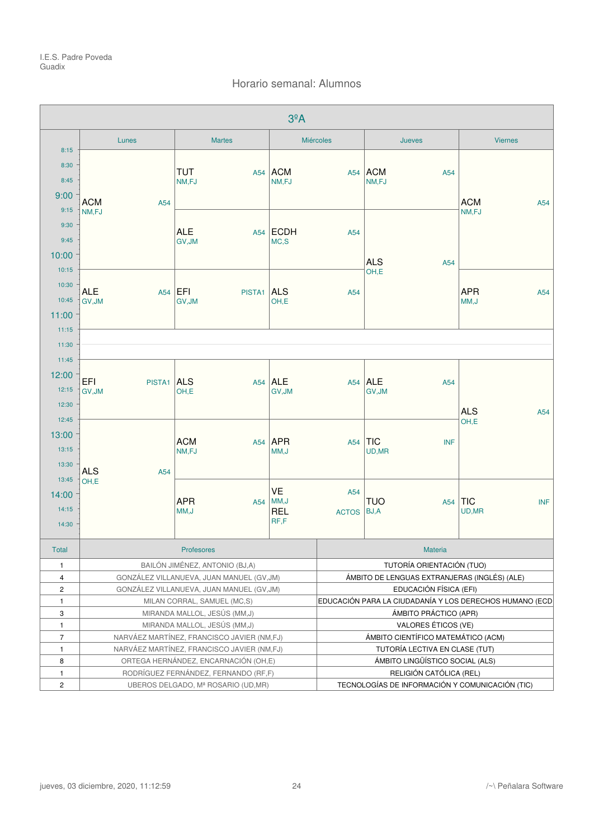|                         | 3 <sup>°</sup> A     |                                            |                                                             |                                     |                     |                                                 |                           |                           |                                                         |            |  |  |
|-------------------------|----------------------|--------------------------------------------|-------------------------------------------------------------|-------------------------------------|---------------------|-------------------------------------------------|---------------------------|---------------------------|---------------------------------------------------------|------------|--|--|
|                         |                      | Lunes                                      |                                                             | <b>Martes</b>                       |                     | <b>Miércoles</b>                                |                           | Jueves                    | <b>Viernes</b>                                          |            |  |  |
| 8:15                    |                      |                                            |                                                             |                                     |                     |                                                 |                           |                           |                                                         |            |  |  |
| 8:30                    |                      |                                            | <b>TUT</b>                                                  | A54                                 | <b>ACM</b>          | A54                                             | <b>ACM</b>                | A54                       |                                                         |            |  |  |
| 8:45                    |                      |                                            | NM,FJ                                                       |                                     | NM,FJ               |                                                 | NM,FJ                     |                           |                                                         |            |  |  |
| 9:00                    | <b>ACM</b>           | A54                                        |                                                             |                                     |                     |                                                 |                           |                           | <b>ACM</b>                                              | A54        |  |  |
| 9:15                    | NM,FJ                |                                            |                                                             |                                     |                     |                                                 |                           |                           | NM,FJ                                                   |            |  |  |
| 9:30                    |                      |                                            | <b>ALE</b>                                                  | A54                                 | <b>ECDH</b>         | A54                                             |                           |                           |                                                         |            |  |  |
| 9:45                    |                      |                                            | GV, JM                                                      |                                     | MC,S                |                                                 |                           |                           |                                                         |            |  |  |
| 10:00                   |                      |                                            |                                                             |                                     |                     |                                                 | <b>ALS</b>                |                           |                                                         |            |  |  |
| 10:15                   |                      |                                            |                                                             |                                     |                     |                                                 | OH,E                      | A54                       |                                                         |            |  |  |
| 10:30                   |                      |                                            |                                                             |                                     |                     |                                                 |                           |                           |                                                         |            |  |  |
| 10:45                   | <b>ALE</b><br>GV, JM | A54                                        | EFI<br>GV, JM                                               | PISTA1                              | <b>ALS</b><br>OH,E  | A54                                             |                           |                           | <b>APR</b><br>MM, J                                     | A54        |  |  |
| 11:00                   |                      |                                            |                                                             |                                     |                     |                                                 |                           |                           |                                                         |            |  |  |
| 11:15                   |                      |                                            |                                                             |                                     |                     |                                                 |                           |                           |                                                         |            |  |  |
| 11:30                   |                      |                                            |                                                             |                                     |                     |                                                 |                           |                           |                                                         |            |  |  |
| 11:45                   |                      |                                            |                                                             |                                     |                     |                                                 |                           |                           |                                                         |            |  |  |
|                         |                      |                                            |                                                             |                                     |                     |                                                 |                           |                           |                                                         |            |  |  |
| 12:00                   | EFI                  | PISTA1                                     | <b>ALS</b>                                                  | A54                                 | <b>ALE</b>          |                                                 | $A54$ ALE                 | A54                       |                                                         |            |  |  |
| 12:15                   | GV, JM               |                                            | OH,E                                                        |                                     | GV, JM              |                                                 | GV, JM                    |                           |                                                         |            |  |  |
| 12:30                   |                      |                                            |                                                             |                                     |                     |                                                 |                           |                           | <b>ALS</b>                                              | A54        |  |  |
| 12:45                   |                      |                                            |                                                             |                                     |                     |                                                 |                           |                           | OH,E                                                    |            |  |  |
| 13:00                   |                      |                                            | <b>ACM</b>                                                  | A54                                 | APR                 | A54                                             | <b>TIC</b>                | <b>INF</b>                |                                                         |            |  |  |
| 13:15                   |                      |                                            | NM,FJ                                                       |                                     | MM, J               |                                                 | UD, MR                    |                           |                                                         |            |  |  |
| 13:30                   | <b>ALS</b>           | A54                                        |                                                             |                                     |                     |                                                 |                           |                           |                                                         |            |  |  |
| 13:45                   | OH,E                 |                                            |                                                             |                                     |                     |                                                 |                           |                           |                                                         |            |  |  |
| 14:00                   |                      |                                            |                                                             |                                     | VE                  | A54                                             |                           |                           |                                                         |            |  |  |
| 14:15                   |                      |                                            | <b>APR</b><br>MM, J                                         | A54                                 | MM, J<br><b>REL</b> | <b>ACTOS</b>                                    | <b>TUO</b><br><b>BJ,A</b> | A54                       | <b>TIC</b><br>UD, MR                                    | <b>INF</b> |  |  |
| 14:30                   |                      |                                            |                                                             |                                     | RF,F                |                                                 |                           |                           |                                                         |            |  |  |
|                         |                      |                                            |                                                             |                                     |                     |                                                 |                           |                           |                                                         |            |  |  |
| Total                   |                      |                                            | Profesores                                                  |                                     |                     |                                                 |                           | Materia                   |                                                         |            |  |  |
| $\mathbf{1}$            |                      |                                            | BAILÓN JIMÉNEZ, ANTONIO (BJ,A)                              |                                     |                     |                                                 |                           | TUTORÍA ORIENTACIÓN (TUO) |                                                         |            |  |  |
| $\overline{\mathbf{4}}$ |                      | GONZÁLEZ VILLANUEVA, JUAN MANUEL (GV, JM)  |                                                             |                                     |                     |                                                 |                           |                           | ÁMBITO DE LENGUAS EXTRANJERAS (INGLÉS) (ALE)            |            |  |  |
| 2                       |                      | GONZÁLEZ VILLANUEVA, JUAN MANUEL (GV, JM)  |                                                             |                                     |                     |                                                 |                           | EDUCACIÓN FÍSICA (EFI)    |                                                         |            |  |  |
| 1<br>3                  |                      |                                            | MILAN CORRAL, SAMUEL (MC,S)<br>MIRANDA MALLOL, JESÚS (MM,J) |                                     |                     |                                                 |                           | ÁMBITO PRÁCTICO (APR)     | EDUCACIÓN PARA LA CIUDADANÍA Y LOS DERECHOS HUMANO (ECD |            |  |  |
| 1                       |                      |                                            | MIRANDA MALLOL, JESÚS (MM,J)                                |                                     |                     |                                                 |                           | VALORES ÉTICOS (VE)       |                                                         |            |  |  |
| $\overline{7}$          |                      | NARVÁEZ MARTÍNEZ, FRANCISCO JAVIER (NM,FJ) |                                                             |                                     |                     | ÁMBITO CIENTÍFICO MATEMÁTICO (ACM)              |                           |                           |                                                         |            |  |  |
| 1                       |                      | NARVÁEZ MARTÍNEZ, FRANCISCO JAVIER (NM,FJ) |                                                             |                                     |                     | TUTORÍA LECTIVA EN CLASE (TUT)                  |                           |                           |                                                         |            |  |  |
| 8                       |                      | ORTEGA HERNÁNDEZ, ENCARNACIÓN (OH,E)       |                                                             |                                     |                     | ÁMBITO LINGÜÍSTICO SOCIAL (ALS)                 |                           |                           |                                                         |            |  |  |
| 1                       |                      | RODRÍGUEZ FERNÁNDEZ, FERNANDO (RF,F)       |                                                             |                                     |                     |                                                 |                           | RELIGIÓN CATÓLICA (REL)   |                                                         |            |  |  |
| $\overline{c}$          |                      |                                            |                                                             | UBEROS DELGADO, Mª ROSARIO (UD, MR) |                     | TECNOLOGÍAS DE INFORMACIÓN Y COMUNICACIÓN (TIC) |                           |                           |                                                         |            |  |  |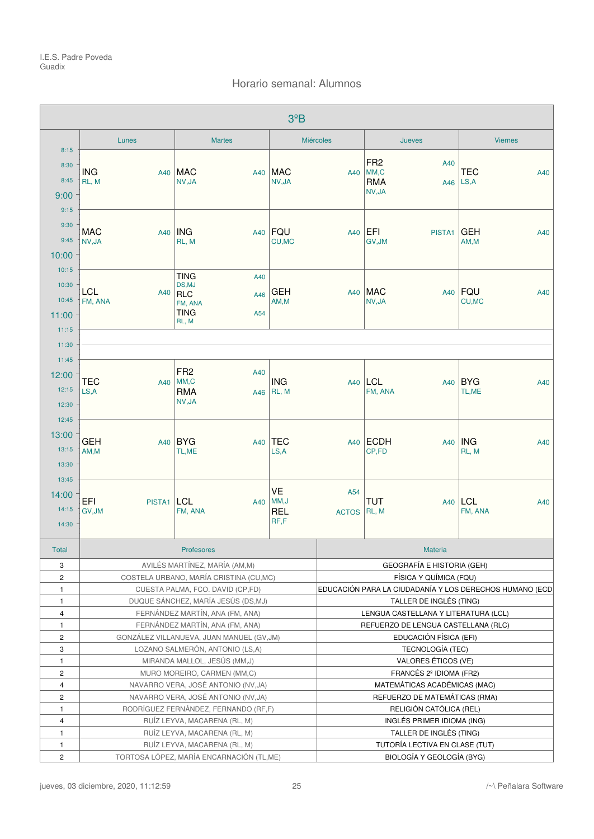|                                           | 3 <sup>°</sup> B      |                                           |                                                                        |                   |                                   |                                                           |                                          |                                                                 |                      |                |  |  |
|-------------------------------------------|-----------------------|-------------------------------------------|------------------------------------------------------------------------|-------------------|-----------------------------------|-----------------------------------------------------------|------------------------------------------|-----------------------------------------------------------------|----------------------|----------------|--|--|
|                                           |                       | Lunes                                     | <b>Martes</b>                                                          |                   |                                   | <b>Miércoles</b>                                          |                                          | Jueves                                                          |                      | <b>Viernes</b> |  |  |
| 8:15<br>8:30<br>8:45<br>9:00              | <b>ING</b><br>RL, M   | A40                                       | <b>MAC</b><br>NV, JA                                                   | A40               | MAC<br>NV, JA                     | A40                                                       | FR <sub>2</sub><br>MM,C<br>RMA<br>NV, JA | A40<br>A46                                                      | <b>TEC</b><br> LS, A | A40            |  |  |
| 9:15<br>9:30<br>9:45<br>10:00             | <b>MAC</b><br>NV, JA  | A40                                       | <b>ING</b><br>RL, M                                                    | A40               | FQU<br>CU, MC                     | A40                                                       | <b>EFI</b><br>GV, JM                     | PISTA1                                                          | <b>GEH</b><br>AM,M   | A40            |  |  |
| 10:15<br>10:30<br>10:45<br>11:00<br>11:15 | <b>LCL</b><br>FM, ANA | A40                                       | <b>TING</b><br>DS,MJ<br><b>RLC</b><br>FM, ANA<br><b>TING</b><br>RL, M  | A40<br>A46<br>A54 | <b>GEH</b><br>AM,M                | A40                                                       | MAC<br>NV, JA                            | A40                                                             | FQU<br>CU, MC        | A40            |  |  |
| 11:30                                     |                       |                                           |                                                                        |                   |                                   |                                                           |                                          |                                                                 |                      |                |  |  |
| 11:45<br>12:00<br>12:15<br>12:30<br>12:45 | <b>TEC</b><br>LS, A   | A40                                       | FR <sub>2</sub><br>MM, C<br><b>RMA</b><br>NV, JA                       | A40<br>A46        | <b>ING</b><br>RL, M               | A40                                                       | LCL<br>FM, ANA                           | A40                                                             | BYG<br>TL,ME         | A40            |  |  |
| 13:00<br>13:15<br>13:30                   | <b>GEH</b><br>AM,M    | A40                                       | <b>BYG</b><br>TL,ME                                                    | A40               | <b>TEC</b><br>LS,A                |                                                           | A40 ECDH<br>CP,FD                        | A40                                                             | <b>ING</b><br>RL, M  | A40            |  |  |
| 13:45<br>14:00<br>14:15<br>14:30          | <b>EFI</b><br>GV, JM  | PISTA1                                    | <b>LCL</b><br>FM, ANA                                                  | A40               | VE<br>MM, J<br><b>REL</b><br>RF,F | A54<br><b>ACTOS</b>                                       | TUT<br>RL, M                             | A40                                                             | LCL<br>FM, ANA       | A40            |  |  |
| Total                                     |                       |                                           | <b>Profesores</b>                                                      |                   |                                   |                                                           |                                          | <b>Materia</b>                                                  |                      |                |  |  |
| 3                                         |                       |                                           | AVILÉS MARTÍNEZ, MARÍA (AM,M)                                          |                   |                                   |                                                           |                                          | <b>GEOGRAFÍA E HISTORIA (GEH)</b>                               |                      |                |  |  |
| $\mathsf 2$                               |                       |                                           | COSTELA URBANO, MARÍA CRISTINA (CU,MC)                                 |                   |                                   |                                                           |                                          | FÍSICA Y QUÍMICA (FQU)                                          |                      |                |  |  |
| $\mathbf{1}$                              |                       |                                           | CUESTA PALMA, FCO. DAVID (CP,FD)<br>DUQUE SÁNCHEZ, MARÍA JESÚS (DS,MJ) |                   |                                   |                                                           |                                          | EDUCACIÓN PARA LA CIUDADANÍA Y LOS DERECHOS HUMANO (ECD         |                      |                |  |  |
| $\mathbf{1}$<br>$\overline{\mathbf{4}}$   |                       |                                           | FERNÁNDEZ MARTÍN, ANA (FM, ANA)                                        |                   |                                   |                                                           |                                          | TALLER DE INGLÉS (TING)<br>LENGUA CASTELLANA Y LITERATURA (LCL) |                      |                |  |  |
| 1                                         |                       |                                           | FERNÁNDEZ MARTÍN, ANA (FM, ANA)                                        |                   |                                   |                                                           |                                          | REFUERZO DE LENGUA CASTELLANA (RLC)                             |                      |                |  |  |
| $\overline{\mathbf{c}}$                   |                       | GONZÁLEZ VILLANUEVA, JUAN MANUEL (GV,JM)  |                                                                        |                   |                                   |                                                           |                                          | EDUCACIÓN FÍSICA (EFI)                                          |                      |                |  |  |
| 3                                         |                       |                                           | LOZANO SALMERÓN, ANTONIO (LS,A)                                        |                   |                                   |                                                           |                                          | TECNOLOGÍA (TEC)                                                |                      |                |  |  |
| 1                                         |                       |                                           | MIRANDA MALLOL, JESÚS (MM,J)                                           |                   |                                   |                                                           |                                          | VALORES ÉTICOS (VE)                                             |                      |                |  |  |
| $\overline{\mathbf{c}}$                   |                       |                                           | MURO MOREIRO, CARMEN (MM,C)                                            |                   |                                   |                                                           |                                          | FRANCÉS 2º IDIOMA (FR2)                                         |                      |                |  |  |
| $\overline{4}$                            |                       |                                           | NAVARRO VERA, JOSÉ ANTONIO (NV, JA)                                    |                   |                                   |                                                           |                                          | MATEMÁTICAS ACADÉMICAS (MAC)                                    |                      |                |  |  |
| $\overline{\mathbf{c}}$                   |                       |                                           | NAVARRO VERA, JOSÉ ANTONIO (NV, JA)                                    |                   |                                   | REFUERZO DE MATEMÁTICAS (RMA)                             |                                          |                                                                 |                      |                |  |  |
| 1                                         |                       |                                           | RODRÍGUEZ FERNÁNDEZ, FERNANDO (RF,F)                                   |                   |                                   | RELIGIÓN CATÓLICA (REL)                                   |                                          |                                                                 |                      |                |  |  |
| $\overline{\mathbf{4}}$                   |                       |                                           | RUÍZ LEYVA, MACARENA (RL, M)                                           |                   |                                   | INGLÉS PRIMER IDIOMA (ING)                                |                                          |                                                                 |                      |                |  |  |
| $\mathbf{1}$<br>$\mathbf{1}$              |                       |                                           | RUÍZ LEYVA, MACARENA (RL, M)<br>RUÍZ LEYVA, MACARENA (RL, M)           |                   |                                   | TALLER DE INGLÉS (TING)<br>TUTORÍA LECTIVA EN CLASE (TUT) |                                          |                                                                 |                      |                |  |  |
| $\mathsf 2$                               |                       | TORTOSA LÓPEZ, MARÍA ENCARNACIÓN (TL, ME) |                                                                        |                   |                                   |                                                           |                                          | BIOLOGÍA Y GEOLOGÍA (BYG)                                       |                      |                |  |  |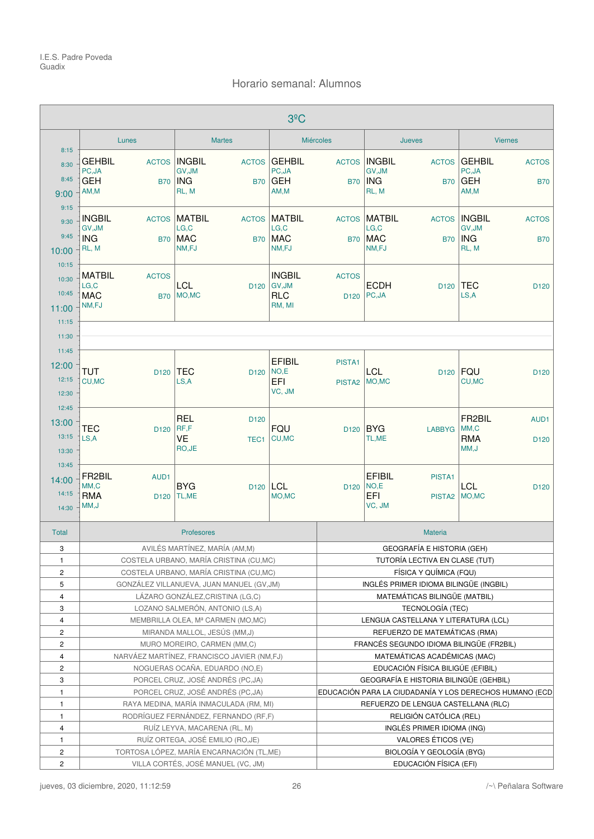|                                  |                                                |                                            |                                                |                                      | $3^{\circ}$ C                                   |                                                                                                |                                                |                                                                       |                                                   |                                      |
|----------------------------------|------------------------------------------------|--------------------------------------------|------------------------------------------------|--------------------------------------|-------------------------------------------------|------------------------------------------------------------------------------------------------|------------------------------------------------|-----------------------------------------------------------------------|---------------------------------------------------|--------------------------------------|
|                                  |                                                | Lunes                                      |                                                | <b>Martes</b>                        |                                                 | <b>Miércoles</b>                                                                               |                                                | Jueves                                                                |                                                   | <b>Viernes</b>                       |
| 8:15<br>8:30<br>8:45<br>9:00     | <b>GEHBIL</b><br>PC, JA<br><b>GEH</b><br>AM, M | <b>ACTOS</b><br><b>B70</b>                 | <b>INGBIL</b><br>GV, JM<br><b>ING</b><br>RL, M | <b>ACTOS</b><br><b>B70</b>           | <b>GEHBIL</b><br>PC, JA<br><b>GEH</b><br>AM,M   | <b>ACTOS</b><br><b>B70</b>                                                                     | <b>INGBIL</b><br>GV, JM<br><b>ING</b><br>RL, M | <b>ACTOS</b><br><b>B70</b>                                            | GEHBIL<br>PC, JA<br><b>GEH</b><br>AM,M            | <b>ACTOS</b><br><b>B70</b>           |
| 9:15<br>9:30<br>9:45<br>10:00    | <b>INGBIL</b><br>GV, JM<br><b>ING</b><br>RL, M | <b>ACTOS</b><br><b>B70</b>                 | <b>MATBIL</b><br>LG, C<br><b>MAC</b><br>NM,FJ  | <b>ACTOS</b><br><b>B70</b>           | <b>MATBIL</b><br>LG, C<br><b>MAC</b><br>NM,FJ   | <b>ACTOS</b><br><b>B70</b>                                                                     | <b>MATBIL</b><br>LG, C<br> MAC<br>NM,FJ        | <b>ACTOS</b><br><b>B70</b>                                            | <b>INGBIL</b><br>GV, JM<br><b>ING</b><br>RL, M    | <b>ACTOS</b><br><b>B70</b>           |
| 10:15<br>10:30<br>10:45<br>11:00 | <b>MATBIL</b><br>LG, C<br><b>MAC</b><br>NM,FJ  | <b>ACTOS</b><br><b>B70</b>                 | <b>LCL</b><br>MO, MC                           | D <sub>120</sub>                     | <b>INGBIL</b><br>GV, JM<br><b>RLC</b><br>RM, MI | <b>ACTOS</b><br>D <sub>120</sub>                                                               | <b>ECDH</b><br>PC, JA                          | D <sub>120</sub>                                                      | <b>TEC</b><br>LS, A                               | D <sub>120</sub>                     |
| 11:15<br>11:30<br>11:45          |                                                |                                            |                                                |                                      | <b>EFIBIL</b>                                   | PISTA1                                                                                         |                                                |                                                                       |                                                   |                                      |
| 12:00<br>12:15<br>12:30<br>12:45 | <b>TUT</b><br><b>CU,MC</b>                     | D <sub>120</sub>                           | <b>TEC</b><br>LS, A                            | D <sub>120</sub>                     | NO,E<br><b>EFI</b><br>VC, JM                    | PISTA2 MO, MC                                                                                  | <b>LCL</b>                                     | D <sub>120</sub>                                                      | <b>FQU</b><br>CU, MC                              | D <sub>120</sub>                     |
| 13:00<br>13:15<br>13:30          | <b>TEC</b><br>LS, A                            | D <sub>120</sub>                           | <b>REL</b><br>RF,F<br><b>VE</b><br>RO, JE      | D <sub>120</sub><br>TEC <sub>1</sub> | <b>FQU</b><br><b>CU,MC</b>                      | D <sub>120</sub>                                                                               | BYG<br>TL,ME                                   | <b>LABBYG</b>                                                         | FR2BIL<br>MM <sub>.</sub> C<br><b>RMA</b><br>MM,J | AUD <sub>1</sub><br>D <sub>120</sub> |
| 13:45<br>14:00<br>14:15<br>14:30 | FR2BIL<br>MM, C<br><b>RMA</b><br>MM, J         | AUD <sub>1</sub><br>D <sub>120</sub>       | <b>BYG</b><br>TL, ME                           | D <sub>120</sub>                     | <b>ILCL</b><br>MO, MC                           | D <sub>120</sub>                                                                               | <b>EFIBIL</b><br>NO, E<br><b>EFI</b><br>VC, JM | PISTA1<br>PISTA <sub>2</sub>                                          | <b>LCL</b><br> MO,MC                              | D <sub>120</sub>                     |
| Total                            |                                                |                                            | <b>Profesores</b>                              |                                      |                                                 |                                                                                                |                                                | <b>Materia</b>                                                        |                                                   |                                      |
| 3                                |                                                |                                            | AVILÉS MARTÍNEZ, MARÍA (AM,M)                  |                                      |                                                 |                                                                                                |                                                | GEOGRAFÍA E HISTORIA (GEH)                                            |                                                   |                                      |
| $\mathbf{1}$                     |                                                | COSTELA URBANO, MARÍA CRISTINA (CU,MC)     |                                                |                                      |                                                 |                                                                                                |                                                | TUTORÍA LECTIVA EN CLASE (TUT)                                        |                                                   |                                      |
| 2                                |                                                | COSTELA URBANO, MARÍA CRISTINA (CU,MC)     |                                                |                                      |                                                 |                                                                                                |                                                | FÍSICA Y QUÍMICA (FQU)                                                |                                                   |                                      |
| 5                                |                                                | GONZÁLEZ VILLANUEVA, JUAN MANUEL (GV, JM)  |                                                |                                      |                                                 |                                                                                                |                                                | INGLÉS PRIMER IDIOMA BILINGÜE (INGBIL)                                |                                                   |                                      |
| 4                                |                                                |                                            | LÁZARO GONZÁLEZ, CRISTINA (LG,C)               |                                      |                                                 |                                                                                                |                                                | MATEMÁTICAS BILINGÜE (MATBIL)                                         |                                                   |                                      |
| 3                                |                                                |                                            | LOZANO SALMERÓN, ANTONIO (LS,A)                |                                      |                                                 |                                                                                                |                                                | TECNOLOGÍA (TEC)                                                      |                                                   |                                      |
| 4<br>$\overline{\mathbf{c}}$     |                                                |                                            | MIRANDA MALLOL, JESÚS (MM,J)                   | MEMBRILLA OLEA, Mª CARMEN (MO,MC)    |                                                 |                                                                                                |                                                | LENGUA CASTELLANA Y LITERATURA (LCL)<br>REFUERZO DE MATEMÁTICAS (RMA) |                                                   |                                      |
| 2                                |                                                |                                            | MURO MOREIRO, CARMEN (MM,C)                    |                                      |                                                 |                                                                                                |                                                | FRANCÉS SEGUNDO IDIOMA BILINGÜE (FR2BIL)                              |                                                   |                                      |
| 4                                |                                                | NARVÁEZ MARTÍNEZ, FRANCISCO JAVIER (NM,FJ) |                                                |                                      |                                                 |                                                                                                |                                                | MATEMÁTICAS ACADÉMICAS (MAC)                                          |                                                   |                                      |
| $\sqrt{2}$                       |                                                |                                            | NOGUERAS OCAÑA, EDUARDO (NO,E)                 |                                      |                                                 |                                                                                                |                                                | EDUCACIÓN FÍSICA BILIGÚE (EFIBIL)                                     |                                                   |                                      |
| 3                                |                                                |                                            | PORCEL CRUZ, JOSÉ ANDRÉS (PC, JA)              |                                      |                                                 |                                                                                                |                                                | GEOGRAFÍA E HISTORIA BILINGÜE (GEHBIL)                                |                                                   |                                      |
| $\mathbf{1}$                     |                                                |                                            | PORCEL CRUZ, JOSÉ ANDRÉS (PC, JA)              |                                      |                                                 |                                                                                                |                                                |                                                                       |                                                   |                                      |
| $\mathbf{1}$                     |                                                | RAYA MEDINA, MARÍA INMACULADA (RM, MI)     |                                                |                                      |                                                 | EDUCACIÓN PARA LA CIUDADANÍA Y LOS DERECHOS HUMANO (ECD<br>REFUERZO DE LENGUA CASTELLANA (RLC) |                                                |                                                                       |                                                   |                                      |
| $\mathbf{1}$                     |                                                | RODRÍGUEZ FERNÁNDEZ, FERNANDO (RF,F)       |                                                |                                      |                                                 | RELIGIÓN CATÓLICA (REL)                                                                        |                                                |                                                                       |                                                   |                                      |
| 4                                |                                                |                                            | RUÍZ LEYVA, MACARENA (RL, M)                   |                                      |                                                 | INGLÉS PRIMER IDIOMA (ING)                                                                     |                                                |                                                                       |                                                   |                                      |
| $\mathbf{1}$                     |                                                |                                            | RUÍZ ORTEGA, JOSÉ EMILIO (RO,JE)               |                                      |                                                 | VALORES ÉTICOS (VE)                                                                            |                                                |                                                                       |                                                   |                                      |
| $\overline{\mathbf{c}}$          |                                                | TORTOSA LÓPEZ, MARÍA ENCARNACIÓN (TL, ME)  |                                                |                                      |                                                 |                                                                                                |                                                | BIOLOGÍA Y GEOLOGÍA (BYG)                                             |                                                   |                                      |
| $\sqrt{2}$                       |                                                |                                            | VILLA CORTÉS, JOSÉ MANUEL (VC, JM)             |                                      |                                                 | EDUCACIÓN FÍSICA (EFI)                                                                         |                                                |                                                                       |                                                   |                                      |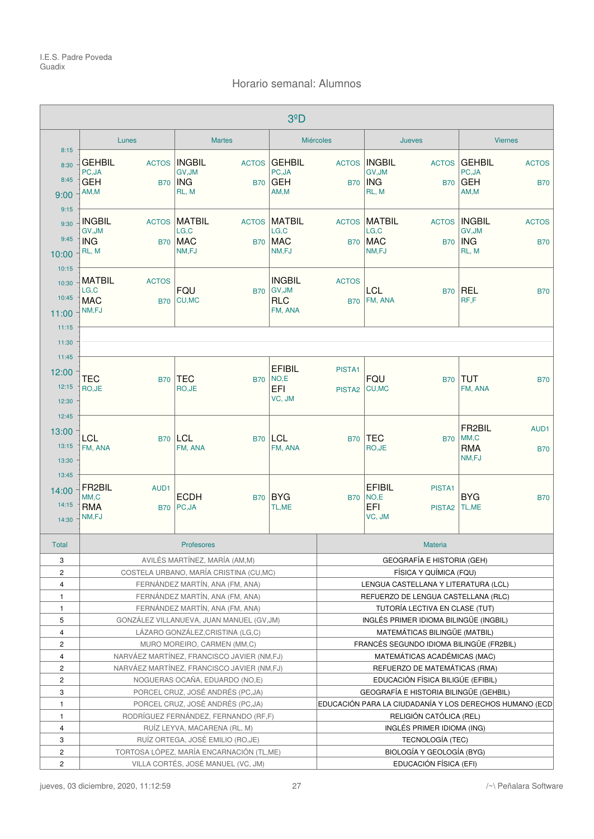|                                  |                                                    |                                |                                                                    |                            | 3ºD                                              |                                                         |                                                |                                                                          |                                                |                                |
|----------------------------------|----------------------------------------------------|--------------------------------|--------------------------------------------------------------------|----------------------------|--------------------------------------------------|---------------------------------------------------------|------------------------------------------------|--------------------------------------------------------------------------|------------------------------------------------|--------------------------------|
|                                  | Lunes                                              |                                | <b>Martes</b>                                                      |                            |                                                  | <b>Miércoles</b>                                        |                                                | <b>Jueves</b>                                                            |                                                | <b>Viernes</b>                 |
| 8:15<br>8:30<br>8:45<br>9:00     | <b>GEHBIL</b><br>PC, JA<br><b>GEH</b><br>AM, M     | <b>ACTOS</b><br><b>B70</b>     | <b>INGBIL</b><br>GV, JM<br><b>ING</b><br>RL, M                     | <b>ACTOS</b><br><b>B70</b> | <b>GEHBIL</b><br>PC, JA<br>GEH<br>AM,M           | <b>ACTOS</b><br><b>B70</b>                              | <b>INGBIL</b><br>GV, JM<br><b>ING</b><br>RL, M | <b>ACTOS</b><br><b>B70</b>                                               | <b>GEHBIL</b><br>PC, JA<br><b>GEH</b><br>AM,M  | <b>ACTOS</b><br><b>B70</b>     |
| 9:15<br>9:30<br>9:45<br>10:00    | <b>INGBIL</b><br>GV, JM<br><b>ING</b><br>RL, M     | <b>ACTOS</b><br><b>B70</b>     | <b>MATBIL</b><br>LG.C<br><b>MAC</b><br>NM,FJ                       | <b>ACTOS</b><br><b>B70</b> | <b>MATBIL</b><br>LG.C<br>MAC<br>NM,FJ            | <b>ACTOS</b><br><b>B70</b>                              | <b>MATBIL</b><br>LG.C<br>MAC<br>NM,FJ          | <b>ACTOS</b><br><b>B70</b>                                               | <b>INGBIL</b><br>GV, JM<br><b>ING</b><br>RL, M | <b>ACTOS</b><br><b>B70</b>     |
| 10:15<br>10:30<br>10:45<br>11:00 | <b>MATBIL</b><br>$LG$ , $C$<br><b>MAC</b><br>NM,FJ | <b>ACTOS</b><br><b>B70</b>     | <b>FQU</b><br><b>CU,MC</b>                                         | <b>B70</b>                 | <b>INGBIL</b><br>GV, JM<br><b>RLC</b><br>FM, ANA | <b>ACTOS</b><br><b>B70</b>                              | <b>LCL</b><br>FM, ANA                          | <b>B70</b>                                                               | <b>REL</b><br>RF,F                             | <b>B70</b>                     |
| 11:15<br>11:30<br>11:45          |                                                    |                                |                                                                    |                            |                                                  |                                                         |                                                |                                                                          |                                                |                                |
| 12:00<br>12:15<br>12:30          | <b>TEC</b><br>RO, JE                               | <b>B70</b>                     | <b>TEC</b><br>RO, JE                                               | <b>B70</b>                 | <b>EFIBIL</b><br>NO.E<br>EFI.<br>VC, JM          | PISTA1<br>PISTA <sub>2</sub>                            | <b>FQU</b><br><b>CU.MC</b>                     | <b>B70</b>                                                               | <b>TUT</b><br>FM, ANA                          | <b>B70</b>                     |
| 12:45<br>13:00<br>13:15<br>13:30 | <b>LCL</b><br>FM, ANA                              | <b>B70</b>                     | LCL<br>FM, ANA                                                     | <b>B70</b>                 | LCL<br>FM, ANA                                   | <b>B70</b>                                              | <b>TEC</b><br>RO, JE                           | <b>B70</b>                                                               | FR2BIL<br>MM.C<br><b>RMA</b><br>NM,FJ          | AUD <sub>1</sub><br><b>B70</b> |
| 13:45<br>14:00<br>14:15<br>14:30 | FR2BIL<br>MM,C<br><b>RMA</b><br>NM,FJ              | AUD <sub>1</sub><br><b>B70</b> | <b>ECDH</b><br>PC, JA                                              | <b>B70</b>                 | <b>BYG</b><br>TL,ME                              | <b>B70</b>                                              | <b>EFIBIL</b><br>NO.E<br><b>EFI</b><br>VC, JM  | PISTA1<br>PISTA <sub>2</sub>                                             | BYG<br><b>TL,ME</b>                            | <b>B70</b>                     |
| <b>Total</b>                     |                                                    |                                | <b>Profesores</b>                                                  |                            |                                                  |                                                         |                                                | <b>Materia</b>                                                           |                                                |                                |
| 3                                |                                                    |                                | AVILÉS MARTÍNEZ, MARÍA (AM,M)                                      |                            |                                                  |                                                         |                                                | GEOGRAFÍA E HISTORIA (GEH)                                               |                                                |                                |
| $\overline{\mathbf{c}}$          |                                                    |                                | COSTELA URBANO, MARÍA CRISTINA (CU,MC)                             |                            |                                                  |                                                         |                                                | FÍSICA Y QUÍMICA (FQU)                                                   |                                                |                                |
| 4                                |                                                    |                                | FERNÁNDEZ MARTÍN, ANA (FM, ANA)                                    |                            |                                                  |                                                         |                                                | LENGUA CASTELLANA Y LITERATURA (LCL)                                     |                                                |                                |
| $\mathbf{1}$                     |                                                    |                                | FERNÁNDEZ MARTÍN, ANA (FM, ANA)<br>FERNÁNDEZ MARTÍN, ANA (FM, ANA) |                            |                                                  |                                                         |                                                | REFUERZO DE LENGUA CASTELLANA (RLC)                                      |                                                |                                |
| $\mathbf{1}$<br>5                |                                                    |                                | GONZÁLEZ VILLANUEVA, JUAN MANUEL (GV, JM)                          |                            |                                                  |                                                         |                                                | TUTORÍA LECTIVA EN CLASE (TUT)<br>INGLÉS PRIMER IDIOMA BILINGÜE (INGBIL) |                                                |                                |
| 4                                |                                                    |                                | LÁZARO GONZÁLEZ, CRISTINA (LG,C)                                   |                            |                                                  |                                                         |                                                | MATEMÁTICAS BILINGÜE (MATBIL)                                            |                                                |                                |
| $\sqrt{2}$                       |                                                    |                                | MURO MOREIRO, CARMEN (MM,C)                                        |                            |                                                  |                                                         |                                                | FRANCÉS SEGUNDO IDIOMA BILINGÜE (FR2BIL)                                 |                                                |                                |
| 4                                |                                                    |                                | NARVÁEZ MARTÍNEZ, FRANCISCO JAVIER (NM,FJ)                         |                            |                                                  |                                                         |                                                | MATEMÁTICAS ACADÉMICAS (MAC)                                             |                                                |                                |
| $\overline{c}$                   |                                                    |                                | NARVÁEZ MARTÍNEZ, FRANCISCO JAVIER (NM,FJ)                         |                            |                                                  |                                                         |                                                | REFUERZO DE MATEMÁTICAS (RMA)                                            |                                                |                                |
| $\mathsf 2$                      |                                                    |                                | NOGUERAS OCAÑA, EDUARDO (NO,E)                                     |                            |                                                  |                                                         |                                                | EDUCACIÓN FÍSICA BILIGÚE (EFIBIL)                                        |                                                |                                |
| 3                                |                                                    |                                | PORCEL CRUZ, JOSÉ ANDRÉS (PC, JA)                                  |                            |                                                  |                                                         |                                                | GEOGRAFÍA E HISTORIA BILINGÜE (GEHBIL)                                   |                                                |                                |
| $\mathbf{1}$                     |                                                    |                                | PORCEL CRUZ, JOSÉ ANDRÉS (PC, JA)                                  |                            |                                                  | EDUCACIÓN PARA LA CIUDADANÍA Y LOS DERECHOS HUMANO (ECD |                                                |                                                                          |                                                |                                |
| $\mathbf{1}$                     |                                                    |                                | RODRÍGUEZ FERNÁNDEZ, FERNANDO (RF,F)                               |                            |                                                  | RELIGIÓN CATÓLICA (REL)                                 |                                                |                                                                          |                                                |                                |
| $\overline{4}$                   |                                                    |                                | RUÍZ LEYVA, MACARENA (RL, M)<br>RUÍZ ORTEGA, JOSÉ EMILIO (RO, JE)  |                            |                                                  | INGLÉS PRIMER IDIOMA (ING)                              |                                                |                                                                          |                                                |                                |
| 3<br>$\overline{\mathbf{c}}$     |                                                    |                                | TORTOSA LÓPEZ, MARÍA ENCARNACIÓN (TL, ME)                          |                            |                                                  | TECNOLOGÍA (TEC)                                        |                                                |                                                                          |                                                |                                |
| $\sqrt{2}$                       |                                                    |                                | VILLA CORTÉS, JOSÉ MANUEL (VC, JM)                                 |                            |                                                  | BIOLOGÍA Y GEOLOGÍA (BYG)<br>EDUCACIÓN FÍSICA (EFI)     |                                                |                                                                          |                                                |                                |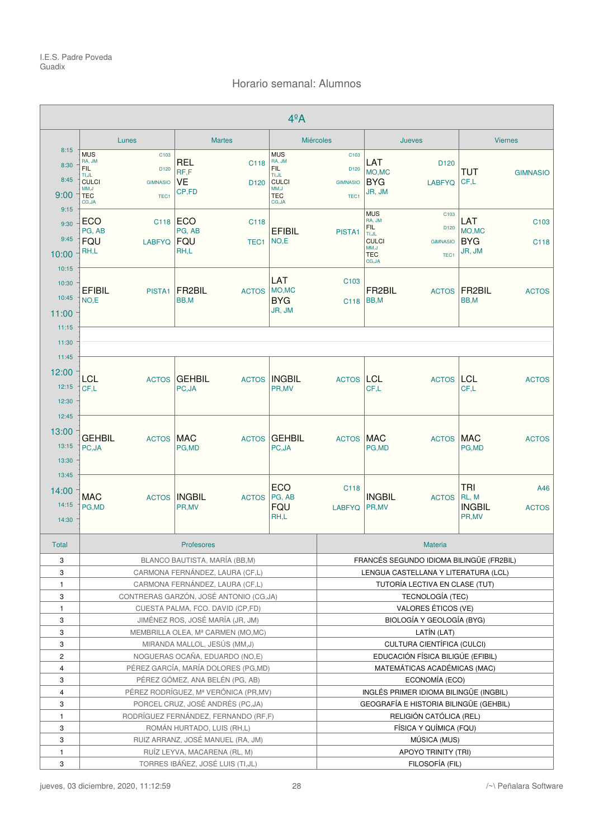|                                        | $4^{\circ}A$                                                                           |                                         |                                                                 |                          |                                                                                                     |                                                     |                                                                                             |                                                     |                                                |                          |  |
|----------------------------------------|----------------------------------------------------------------------------------------|-----------------------------------------|-----------------------------------------------------------------|--------------------------|-----------------------------------------------------------------------------------------------------|-----------------------------------------------------|---------------------------------------------------------------------------------------------|-----------------------------------------------------|------------------------------------------------|--------------------------|--|
|                                        |                                                                                        | Lunes                                   |                                                                 | <b>Martes</b>            |                                                                                                     | <b>Miércoles</b>                                    |                                                                                             | Jueves                                              |                                                | <b>Viernes</b>           |  |
| 8:15<br>8:30<br>8:45<br>9:00           | <b>MUS</b><br>RA, JM<br>FIL.<br>TI, JL<br><b>CULCI</b><br>MM,J<br><b>TEC</b><br>CG, JA | C103<br>D120<br><b>GIMNASIO</b><br>TEC1 | REL<br>RF,F<br><b>VE</b><br>CP,FD                               | C118<br>D <sub>120</sub> | <b>MUS</b><br>RA, JM<br><b>FIL</b><br>TI, JL<br><b>CULCI</b><br><b>MM,J</b><br><b>TEC</b><br>CG, JA | C <sub>103</sub><br>D120<br><b>GIMNASIO</b><br>TEC1 | LAT<br>MO, MC<br><b>BYG</b><br>JR, JM                                                       | D <sub>120</sub><br><b>LABFYQ</b>                   | <b>TUT</b><br>CF, L                            | <b>GIMNASIO</b>          |  |
| 9:15<br>9:30<br>9:45<br>10:00<br>10:15 | <b>ECO</b><br>PG, AB<br><b>FQU</b><br>RH,L                                             | $C118$ ECO<br><b>LABFYQ</b>             | PG, AB<br><b>FQU</b><br>RH,L                                    | C118<br>TEC <sub>1</sub> | <b>EFIBIL</b><br>NO, E                                                                              | PISTA1                                              | <b>MUS</b><br>RA, JM<br><b>FIL</b><br>TI,JL<br><b>CULCI</b><br>MM,J<br><b>TEC</b><br>CG, JA | C <sub>103</sub><br>D120<br><b>GIMNASIO</b><br>TEC1 | LAT<br>MO,MC<br><b>BYG</b><br>JR, JM           | C <sub>103</sub><br>C118 |  |
| 10:30<br>10:45<br>11:00<br>11:15       | <b>EFIBIL</b><br>NO.E                                                                  | PISTA1                                  | <b>FR2BIL</b><br>BB,M                                           | <b>ACTOS</b>             | LAT<br>MO, MC<br><b>BYG</b><br>JR, JM                                                               | C <sub>103</sub><br>C <sub>118</sub>                | FR2BIL<br>BB,M                                                                              | <b>ACTOS</b>                                        | <b>FR2BIL</b><br>BB,M                          | <b>ACTOS</b>             |  |
| 11:30<br>11:45                         |                                                                                        |                                         |                                                                 |                          |                                                                                                     |                                                     |                                                                                             |                                                     |                                                |                          |  |
| 12:00<br>12:15<br>12:30<br>12:45       | <b>LCL</b><br>CF, L                                                                    | <b>ACTOS</b>                            | <b>GEHBIL</b><br>PC, JA                                         | <b>ACTOS</b>             | <b>INGBIL</b><br>PR,MV                                                                              | <b>ACTOS</b>                                        | <b>LCL</b><br>CF,L                                                                          | <b>ACTOS</b>                                        | ∣LCL<br>CF, L                                  | <b>ACTOS</b>             |  |
| 13:00<br>13:15<br>13:30                | <b>GEHBIL</b><br>PC, JA                                                                | <b>ACTOS</b>                            | <b>MAC</b><br>PG,MD                                             | <b>ACTOS</b>             | <b>GEHBIL</b><br>PC, JA                                                                             | ACTOS                                               | ∣MAC<br>PG,MD                                                                               | <b>ACTOS</b>                                        | <b>MAC</b><br>PG,MD                            | <b>ACTOS</b>             |  |
| 13:45<br>14:00<br>14:15<br>14:30       | <b>MAC</b><br>PG,MD                                                                    | <b>ACTOS</b>                            | <b>INGBIL</b><br>PR,MV                                          | <b>ACTOS</b>             | <b>ECO</b><br>PG, AB<br><b>FQU</b><br>RH,L                                                          | C118<br><b>LABFYQ</b>                               | INGBIL<br>PR,MV                                                                             | <b>ACTOS</b>                                        | <b>TRI</b><br>RL, M<br><b>INGBIL</b><br>PR, MV | A46<br><b>ACTOS</b>      |  |
| Total                                  |                                                                                        |                                         | <b>Profesores</b>                                               |                          |                                                                                                     |                                                     |                                                                                             | <b>Materia</b>                                      |                                                |                          |  |
| 3                                      |                                                                                        |                                         | BLANCO BAUTISTA, MARÍA (BB,M)                                   |                          |                                                                                                     |                                                     |                                                                                             | FRANCÉS SEGUNDO IDIOMA BILINGÜE (FR2BIL)            |                                                |                          |  |
| 3                                      |                                                                                        |                                         | CARMONA FERNÁNDEZ, LAURA (CF,L)                                 |                          |                                                                                                     |                                                     |                                                                                             | LENGUA CASTELLANA Y LITERATURA (LCL)                |                                                |                          |  |
| $\mathbf{1}$                           |                                                                                        |                                         | CARMONA FERNÁNDEZ, LAURA (CF,L)                                 |                          |                                                                                                     |                                                     |                                                                                             | TUTORÍA LECTIVA EN CLASE (TUT)                      |                                                |                          |  |
| 3<br>$\mathbf{1}$                      |                                                                                        | CONTRERAS GARZÓN, JOSÉ ANTONIO (CG, JA) | CUESTA PALMA, FCO. DAVID (CP,FD)                                |                          |                                                                                                     |                                                     |                                                                                             | <b>TECNOLOGÍA (TEC)</b><br>VALORES ÉTICOS (VE)      |                                                |                          |  |
| 3                                      |                                                                                        |                                         | JIMÉNEZ ROS, JOSÉ MARÍA (JR, JM)                                |                          |                                                                                                     |                                                     |                                                                                             | BIOLOGÍA Y GEOLOGÍA (BYG)                           |                                                |                          |  |
| 3                                      |                                                                                        |                                         | MEMBRILLA OLEA, Mª CARMEN (MO,MC)                               |                          |                                                                                                     |                                                     |                                                                                             | LATÍN (LAT)                                         |                                                |                          |  |
| 3                                      |                                                                                        |                                         | MIRANDA MALLOL, JESÚS (MM,J)                                    |                          |                                                                                                     |                                                     |                                                                                             | CULTURA CIENTÍFICA (CULCI)                          |                                                |                          |  |
| $\mathsf 2$                            |                                                                                        |                                         | NOGUERAS OCAÑA, EDUARDO (NO,E)                                  |                          |                                                                                                     |                                                     |                                                                                             | EDUCACIÓN FÍSICA BILIGÚE (EFIBIL)                   |                                                |                          |  |
| 4                                      |                                                                                        | PÉREZ GARCÍA, MARÍA DOLORES (PG,MD)     |                                                                 |                          |                                                                                                     |                                                     |                                                                                             | MATEMÁTICAS ACADÉMICAS (MAC)                        |                                                |                          |  |
| 3                                      |                                                                                        |                                         | PÉREZ GÓMEZ, ANA BELÉN (PG, AB)                                 |                          |                                                                                                     |                                                     |                                                                                             | ECONOMÍA (ECO)                                      |                                                |                          |  |
| $\overline{4}$                         |                                                                                        | PÉREZ RODRÍGUEZ, Mª VERÓNICA (PR, MV)   |                                                                 |                          |                                                                                                     |                                                     |                                                                                             | INGLÉS PRIMER IDIOMA BILINGÜE (INGBIL)              |                                                |                          |  |
| 3                                      |                                                                                        |                                         | PORCEL CRUZ, JOSÉ ANDRÉS (PC,JA)                                |                          |                                                                                                     | GEOGRAFÍA E HISTORIA BILINGÜE (GEHBIL)              |                                                                                             |                                                     |                                                |                          |  |
| $\mathbf{1}$                           |                                                                                        | RODRÍGUEZ FERNÁNDEZ, FERNANDO (RF,F)    |                                                                 |                          |                                                                                                     | RELIGIÓN CATÓLICA (REL)                             |                                                                                             |                                                     |                                                |                          |  |
| 3<br>3                                 |                                                                                        |                                         | ROMÁN HURTADO, LUIS (RH,L)<br>RUIZ ARRANZ, JOSÉ MANUEL (RA, JM) |                          |                                                                                                     | FÍSICA Y QUÍMICA (FQU)                              |                                                                                             |                                                     |                                                |                          |  |
| $\mathbf{1}$                           |                                                                                        |                                         | RUÍZ LEYVA, MACARENA (RL, M)                                    |                          |                                                                                                     |                                                     | MÚSICA (MUS)                                                                                |                                                     |                                                |                          |  |
| 3                                      |                                                                                        |                                         | TORRES IBÁÑEZ, JOSÉ LUIS (TI, JL)                               |                          |                                                                                                     |                                                     | APOYO TRINITY (TRI)<br>FILOSOFIA (FIL)                                                      |                                                     |                                                |                          |  |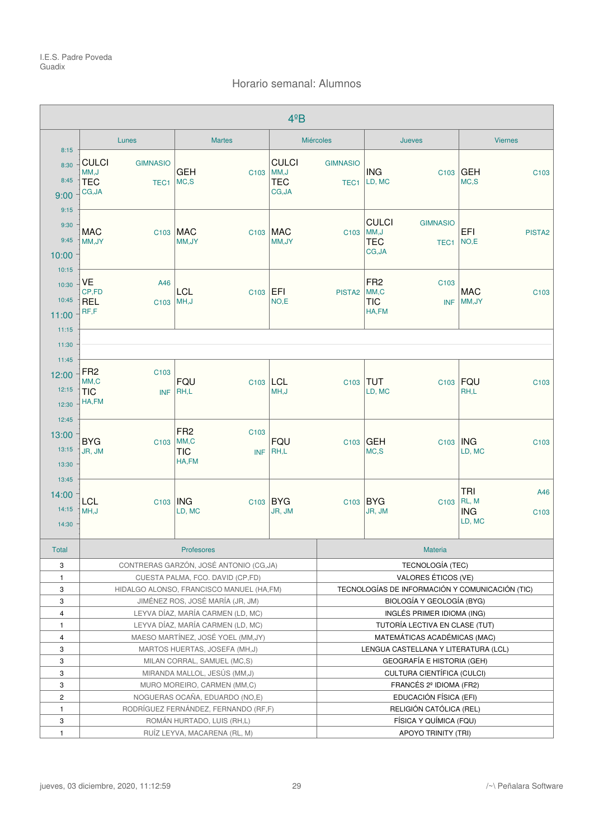|                                           | $4^{\circ}B$                                    |                                          |                                                               |                                |                                               |                                                   |                                                 |                                                                              |                                             |                         |  |  |
|-------------------------------------------|-------------------------------------------------|------------------------------------------|---------------------------------------------------------------|--------------------------------|-----------------------------------------------|---------------------------------------------------|-------------------------------------------------|------------------------------------------------------------------------------|---------------------------------------------|-------------------------|--|--|
|                                           |                                                 | Lunes                                    | <b>Martes</b>                                                 |                                |                                               | <b>Miércoles</b>                                  |                                                 | Jueves                                                                       |                                             | <b>Viernes</b>          |  |  |
| 8:15<br>8:30<br>8:45<br>9:00              | <b>CULCI</b><br>MM, J<br><b>TEC</b><br>CG, JA   | <b>GIMNASIO</b><br>TEC <sub>1</sub>      | <b>GEH</b><br>MC, S                                           | C <sub>103</sub>               | <b>CULCI</b><br>MM, J<br><b>TEC</b><br>CG, JA | <b>GIMNASIO</b><br>TEC <sub>1</sub>               | <b>ING</b><br>LD, MC                            | C <sub>103</sub>                                                             | <b>GEH</b><br>MC,S                          | C103                    |  |  |
| 9:15<br>9:30<br>9:45<br>10:00             | <b>MAC</b><br>MM, JY                            | C <sub>103</sub>                         | <b>MAC</b><br>MM, JY                                          | C <sub>103</sub>               | <b>MAC</b><br>MM, JY                          | C <sub>103</sub>                                  | <b>CULCI</b><br>MM, J<br><b>TEC</b><br>CG, JA   | <b>GIMNASIO</b><br>TEC <sub>1</sub>                                          | EFI<br>NO, E                                | PISTA <sub>2</sub>      |  |  |
| 10:15<br>10:30<br>10:45<br>11:00<br>11:15 | VE<br>CP,FD<br><b>REL</b><br>RF, F              | A46<br>C <sub>103</sub>                  | <b>LCL</b><br>MH,J                                            | C <sub>103</sub>               | EFI<br>NO, E                                  | <b>PISTA2</b>                                     | FR <sub>2</sub><br>MM, C<br><b>TIC</b><br>HA,FM | C <sub>103</sub><br><b>INF</b>                                               | <b>MAC</b><br>MM,JY                         | C <sub>103</sub>        |  |  |
| 11:30                                     |                                                 |                                          |                                                               |                                |                                               |                                                   |                                                 |                                                                              |                                             |                         |  |  |
| 11:45<br>12:00<br>12:15<br>12:30          | FR <sub>2</sub><br>MM, C<br><b>TIC</b><br>HA,FM | C <sub>103</sub><br><b>INF</b>           | <b>FQU</b><br>RH,L                                            | C <sub>103</sub>               | LCL<br>MH, J                                  | C <sub>103</sub>                                  | <b>TUT</b><br>LD, MC                            | C <sub>103</sub>                                                             | FQU<br>RH,L                                 | C <sub>103</sub>        |  |  |
| 12:45<br>13:00<br>13:15<br>13:30          | <b>BYG</b><br>JR, JM                            | C <sub>103</sub>                         | FR <sub>2</sub><br>MM, C<br><b>TIC</b><br>HA,FM               | C <sub>103</sub><br><b>INF</b> | <b>FQU</b><br>RH,L                            | C <sub>103</sub>                                  | <b>GEH</b><br>MC,S                              | C <sub>103</sub>                                                             | <b>ING</b><br>LD, MC                        | C <sub>103</sub>        |  |  |
| 13:45<br>14:00<br>14:15<br>14:30          | <b>LCL</b><br>MH, J                             | C <sub>103</sub>                         | <b>ING</b><br>LD, MC                                          | C <sub>103</sub>               | BYG<br>JR, JM                                 | C <sub>103</sub>                                  | BYG<br>JR, JM                                   | C <sub>103</sub>                                                             | <b>TRI</b><br>RL, M<br><b>ING</b><br>LD, MC | A46<br>C <sub>103</sub> |  |  |
| Total                                     |                                                 |                                          | <b>Profesores</b>                                             |                                |                                               |                                                   |                                                 | <b>Materia</b>                                                               |                                             |                         |  |  |
| 3                                         |                                                 | CONTRERAS GARZÓN, JOSÉ ANTONIO (CG, JA)  |                                                               |                                |                                               |                                                   |                                                 | <b>TECNOLOGÍA (TEC)</b>                                                      |                                             |                         |  |  |
| $\mathbf{1}$                              |                                                 |                                          | CUESTA PALMA, FCO. DAVID (CP,FD)                              |                                |                                               |                                                   |                                                 | VALORES ÉTICOS (VE)                                                          |                                             |                         |  |  |
| 3<br>3                                    |                                                 | HIDALGO ALONSO, FRANCISCO MANUEL (HA,FM) | JIMÉNEZ ROS, JOSÉ MARÍA (JR, JM)                              |                                |                                               |                                                   |                                                 | TECNOLOGÍAS DE INFORMACIÓN Y COMUNICACIÓN (TIC)<br>BIOLOGÍA Y GEOLOGÍA (BYG) |                                             |                         |  |  |
| $\overline{\mathbf{4}}$                   |                                                 |                                          | LEYVA DÍAZ, MARÍA CARMEN (LD, MC)                             |                                |                                               |                                                   |                                                 | INGLÉS PRIMER IDIOMA (ING)                                                   |                                             |                         |  |  |
| $\mathbf{1}$                              |                                                 |                                          | LEYVA DÍAZ, MARÍA CARMEN (LD, MC)                             |                                |                                               |                                                   |                                                 | TUTORÍA LECTIVA EN CLASE (TUT)                                               |                                             |                         |  |  |
| $\overline{4}$                            |                                                 |                                          | MAESO MARTÍNEZ, JOSÉ YOEL (MM,JY)                             |                                |                                               |                                                   |                                                 | MATEMÁTICAS ACADÉMICAS (MAC)                                                 |                                             |                         |  |  |
| 3                                         |                                                 |                                          | MARTOS HUERTAS, JOSEFA (MH,J)                                 |                                |                                               |                                                   |                                                 | LENGUA CASTELLANA Y LITERATURA (LCL)                                         |                                             |                         |  |  |
| 3                                         |                                                 |                                          | MILAN CORRAL, SAMUEL (MC,S)                                   |                                |                                               |                                                   |                                                 | GEOGRAFÍA E HISTORIA (GEH)                                                   |                                             |                         |  |  |
| 3                                         |                                                 |                                          | MIRANDA MALLOL, JESÚS (MM,J)                                  |                                |                                               | CULTURA CIENTÍFICA (CULCI)                        |                                                 |                                                                              |                                             |                         |  |  |
| 3<br>$\overline{\mathbf{c}}$              |                                                 |                                          | MURO MOREIRO, CARMEN (MM,C)<br>NOGUERAS OCAÑA, EDUARDO (NO,E) |                                |                                               | FRANCÉS 2º IDIOMA (FR2)<br>EDUCACIÓN FÍSICA (EFI) |                                                 |                                                                              |                                             |                         |  |  |
| $\mathbf{1}$                              |                                                 | RODRÍGUEZ FERNÁNDEZ, FERNANDO (RF,F)     |                                                               |                                |                                               | RELIGIÓN CATÓLICA (REL)                           |                                                 |                                                                              |                                             |                         |  |  |
| 3                                         |                                                 |                                          | ROMÁN HURTADO, LUIS (RH,L)                                    |                                |                                               |                                                   | FÍSICA Y QUÍMICA (FQU)                          |                                                                              |                                             |                         |  |  |
| $\mathbf{1}$                              |                                                 |                                          | RUÍZ LEYVA, MACARENA (RL, M)                                  |                                |                                               |                                                   | APOYO TRINITY (TRI)                             |                                                                              |                                             |                         |  |  |